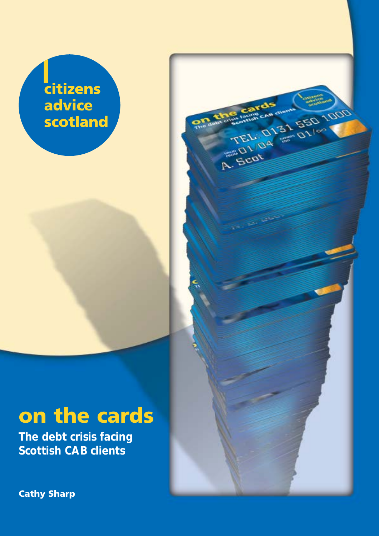# citizens advice scotland

TEL: 0131 550 1000

**A. Sept** 

# on the cards

**The debt crisis facing Scottish CAB clients**

Cathy Sharp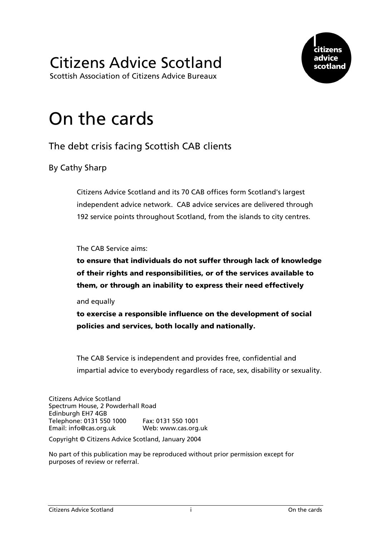# Citizens Advice Scotland

Scottish Association of Citizens Advice Bureaux



# On the cards

# The debt crisis facing Scottish CAB clients

### By Cathy Sharp

Citizens Advice Scotland and its 70 CAB offices form Scotland's largest independent advice network. CAB advice services are delivered through 192 service points throughout Scotland, from the islands to city centres.

The CAB Service aims:

to ensure that individuals do not suffer through lack of knowledge of their rights and responsibilities, or of the services available to them, or through an inability to express their need effectively

and equally

to exercise a responsible influence on the development of social policies and services, both locally and nationally.

The CAB Service is independent and provides free, confidential and impartial advice to everybody regardless of race, sex, disability or sexuality.

Citizens Advice Scotland Spectrum House, 2 Powderhall Road Edinburgh EH7 4GB Telephone: 0131 550 1000 Fax: 0131 550 1001 Email: [info@cas.org.uk](mailto:info@cas.org.uk) Web: [www.cas.org.uk](http://www.cas.org.uk/)

Copyright © Citizens Advice Scotland, January 2004

No part of this publication may be reproduced without prior permission except for purposes of review or referral.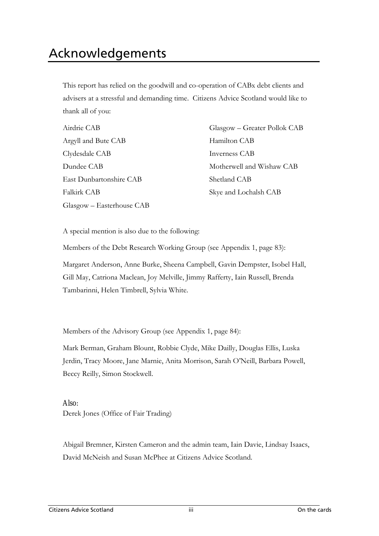<span id="page-3-0"></span>This report has relied on the goodwill and co-operation of CABx debt clients and advisers at a stressful and demanding time. Citizens Advice Scotland would like to thank all of you:

| Airdrie CAB               |
|---------------------------|
| Argyll and Bute CAB       |
| Clydesdale CAB            |
| Dundee CAB                |
| East Dunbartonshire CAB   |
| <b>Falkirk CAB</b>        |
| Glasgow - Easterhouse CAB |

Glasgow – Greater Pollok CAB Hamilton CAB Inverness CAB Motherwell and Wishaw CAB Shetland CAB Skye and Lochalsh CAB

A special mention is also due to the following:

Members of the Debt Research Working Group (see Appendix 1, page 83):

Margaret Anderson, Anne Burke, Sheena Campbell, Gavin Dempster, Isobel Hall, Gill May, Catriona Maclean, Joy Melville, Jimmy Rafferty, Iain Russell, Brenda Tambarinni, Helen Timbrell, Sylvia White.

Members of the Advisory Group (see Appendix 1, page 84):

Mark Berman, Graham Blount, Robbie Clyde, Mike Dailly, Douglas Ellis, Luska Jerdin, Tracy Moore, Jane Marnie, Anita Morrison, Sarah O'Neill, Barbara Powell, Beccy Reilly, Simon Stockwell.

Also: Derek Jones (Office of Fair Trading)

Abigail Bremner, Kirsten Cameron and the admin team, Iain Davie, Lindsay Isaacs, David McNeish and Susan McPhee at Citizens Advice Scotland.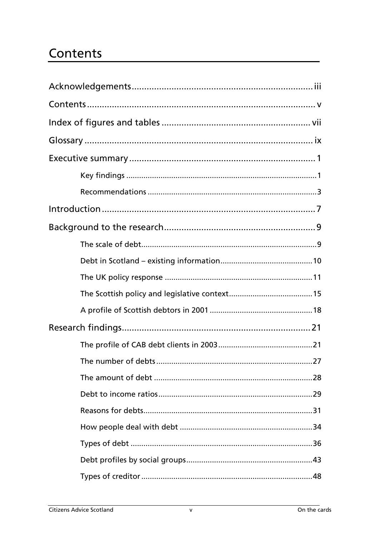# <span id="page-5-0"></span>Contents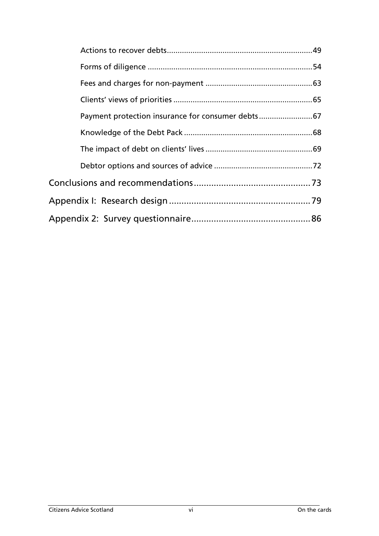| Payment protection insurance for consumer debts 67 |  |
|----------------------------------------------------|--|
|                                                    |  |
|                                                    |  |
|                                                    |  |
|                                                    |  |
|                                                    |  |
|                                                    |  |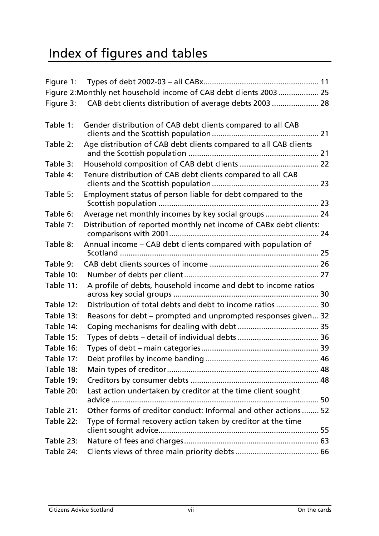# <span id="page-7-0"></span>Index of figures and tables

|           | Figure 2: Monthly net household income of CAB debt clients 2003  25 |
|-----------|---------------------------------------------------------------------|
| Figure 3: | CAB debt clients distribution of average debts 2003  28             |
|           |                                                                     |
| Table 1:  | Gender distribution of CAB debt clients compared to all CAB         |
| Table 2:  | Age distribution of CAB debt clients compared to all CAB clients    |
| Table 3:  |                                                                     |
| Table 4:  | Tenure distribution of CAB debt clients compared to all CAB         |
| Table 5:  | Employment status of person liable for debt compared to the         |
| Table 6:  | Average net monthly incomes by key social groups  24                |
| Table 7:  | Distribution of reported monthly net income of CABx debt clients:   |
| Table 8:  | Annual income - CAB debt clients compared with population of        |
| Table 9:  |                                                                     |
| Table 10: |                                                                     |
| Table 11: | A profile of debts, household income and debt to income ratios      |
| Table 12: | Distribution of total debts and debt to income ratios  30           |
| Table 13: | Reasons for debt – prompted and unprompted responses given 32       |
| Table 14: |                                                                     |
| Table 15: |                                                                     |
| Table 16: |                                                                     |
| Table 17: |                                                                     |
| Table 18: |                                                                     |
| Table 19: |                                                                     |
| Table 20: | Last action undertaken by creditor at the time client sought        |
| Table 21: | Other forms of creditor conduct: Informal and other actions  52     |
| Table 22: | Type of formal recovery action taken by creditor at the time        |
| Table 23: |                                                                     |
| Table 24: |                                                                     |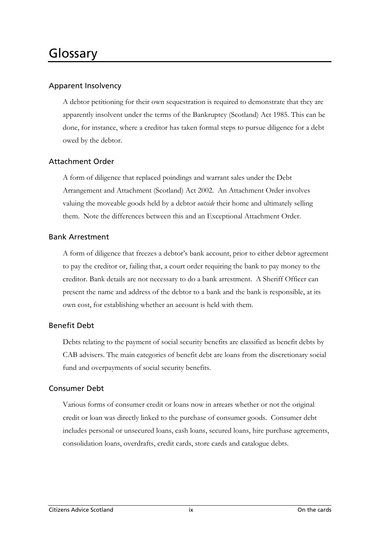# <span id="page-9-0"></span>Glossary

#### Apparent Insolvency

A debtor petitioning for their own sequestration is required to demonstrate that they are apparently insolvent under the terms of the Bankruptcy (Scotland) Act 1985. This can be done, for instance, where a creditor has taken formal steps to pursue diligence for a debt owed by the debtor.

#### Attachment Order

A form of diligence that replaced poindings and warrant sales under the Debt Arrangement and Attachment (Scotland) Act 2002. An Attachment Order involves valuing the moveable goods held by a debtor *outside* their home and ultimately selling them. Note the differences between this and an [Exceptional Attachment Order.](#page-10-0) 

#### Bank Arrestment

A form of diligence that freezes a debtor's bank account, prior to either debtor agreement to pay the creditor or, failing that, a court order requiring the bank to pay money to the creditor. Bank details are not necessary to do a bank arrestment. A Sheriff Officer can present the name and address of the debtor to a bank and the bank is responsible, at its own cost, for establishing whether an account is held with them.

#### Benefit Debt

Debts relating to the payment of social security benefits are classified as benefit debts by CAB advisers. The main categories of benefit debt are loans from the discretionary social fund and overpayments of social security benefits.

#### Consumer Debt

Various forms of consumer credit or loans now in arrears whether or not the original credit or loan was directly linked to the purchase of consumer goods. Consumer debt includes personal or unsecured loans, cash loans, secured loans, hire purchase agreements, consolidation loans, overdrafts, credit cards, store cards and catalogue debts.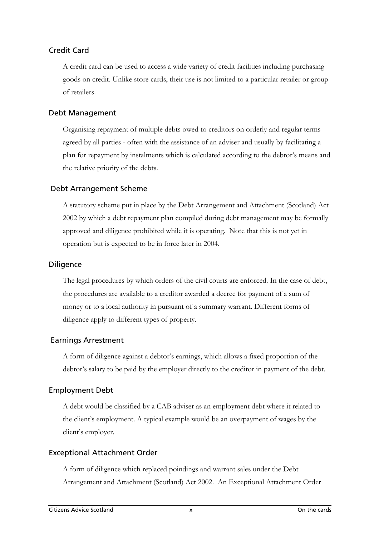#### Credit Card

A credit card can be used to access a wide variety of credit facilities including purchasing goods on credit. Unlike store cards, their use is not limited to a particular retailer or group of retailers.

#### Debt Management

Organising repayment of multiple debts owed to creditors on orderly and regular terms agreed by all parties - often with the assistance of an adviser and usually by facilitating a plan for repayment by instalments which is calculated according to the debtor's means and the relative priority of the debts.

#### Debt Arrangement Scheme

A statutory scheme put in place by the Debt Arrangement and Attachment (Scotland) Act 2002 by which a debt repayment plan compiled during debt management may be formally approved and diligence prohibited while it is operating. Note that this is not yet in operation but is expected to be in force later in 2004.

#### **Diligence**

The legal procedures by which orders of the civil courts are enforced. In the case of debt, the procedures are available to a creditor awarded a decree for payment of a sum of money or to a local authority in pursuant of a summary warrant. Different forms of diligence apply to different types of property.

#### Earnings Arrestment

A form of diligence against a debtor's earnings, which allows a fixed proportion of the debtor's salary to be paid by the employer directly to the creditor in payment of the debt.

#### Employment Debt

A debt would be classified by a CAB adviser as an employment debt where it related to the client's employment. A typical example would be an overpayment of wages by the client's employer.

#### <span id="page-10-0"></span>Exceptional Attachment Order

A form of diligence which replaced poindings and warrant sales under the Debt Arrangement and Attachment (Scotland) Act 2002. An Exceptional Attachment Order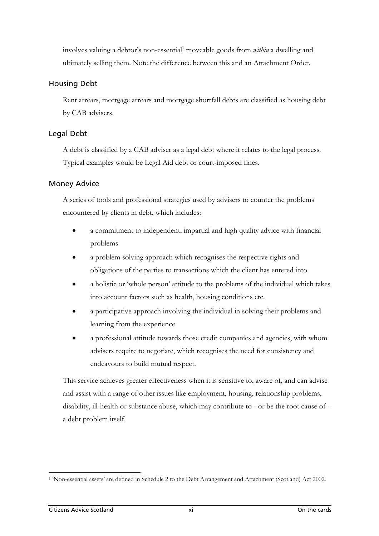involves valuing a debtor's non-essential<sup>[1](#page-11-0)</sup> moveable goods from *within* a dwelling and ultimately selling them. Note the difference between this and an Attachment Order.

#### Housing Debt

Rent arrears, mortgage arrears and mortgage shortfall debts are classified as housing debt by CAB advisers.

#### Legal Debt

A debt is classified by a CAB adviser as a legal debt where it relates to the legal process. Typical examples would be Legal Aid debt or court-imposed fines.

#### Money Advice

A series of tools and professional strategies used by advisers to counter the problems encountered by clients in debt, which includes:

- a commitment to independent, impartial and high quality advice with financial problems
- a problem solving approach which recognises the respective rights and obligations of the parties to transactions which the client has entered into
- a holistic or 'whole person' attitude to the problems of the individual which takes into account factors such as health, housing conditions etc.
- a participative approach involving the individual in solving their problems and learning from the experience
- a professional attitude towards those credit companies and agencies, with whom advisers require to negotiate, which recognises the need for consistency and endeavours to build mutual respect.

This service achieves greater effectiveness when it is sensitive to, aware of, and can advise and assist with a range of other issues like employment, housing, relationship problems, disability, ill-health or substance abuse, which may contribute to - or be the root cause of a debt problem itself.

<span id="page-11-0"></span> $\overline{a}$ 1 'Non-essential assets' are defined in Schedule 2 to the Debt Arrangement and Attachment (Scotland) Act 2002.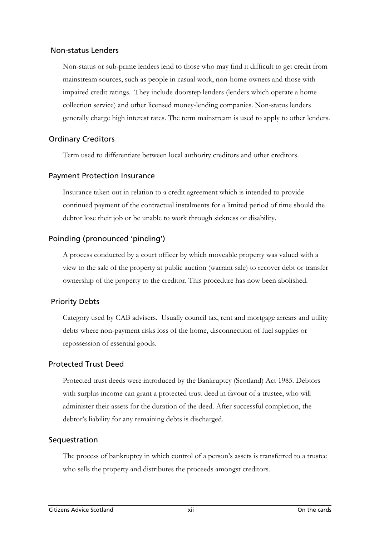#### Non-status Lenders

Non-status or sub-prime lenders lend to those who may find it difficult to get credit from mainstream sources, such as people in casual work, non-home owners and those with impaired credit ratings. They include doorstep lenders (lenders which operate a home collection service) and other licensed money-lending companies. Non-status lenders generally charge high interest rates. The term mainstream is used to apply to other lenders.

#### Ordinary Creditors

Term used to differentiate between local authority creditors and other creditors.

#### Payment Protection Insurance

Insurance taken out in relation to a credit agreement which is intended to provide continued payment of the contractual instalments for a limited period of time should the debtor lose their job or be unable to work through sickness or disability.

#### Poinding (pronounced 'pinding')

A process conducted by a court officer by which moveable property was valued with a view to the sale of the property at public auction (warrant sale) to recover debt or transfer ownership of the property to the creditor. This procedure has now been abolished.

#### Priority Debts

Category used by CAB advisers. Usually council tax, rent and mortgage arrears and utility debts where non-payment risks loss of the home, disconnection of fuel supplies or repossession of essential goods.

#### Protected Trust Deed

Protected trust deeds were introduced by the Bankruptcy (Scotland) Act 1985. Debtors with surplus income can grant a protected trust deed in favour of a trustee, who will administer their assets for the duration of the deed. After successful completion, the debtor's liability for any remaining debts is discharged.

#### Sequestration

The process of bankruptcy in which control of a person's assets is transferred to a trustee who sells the property and distributes the proceeds amongst creditors.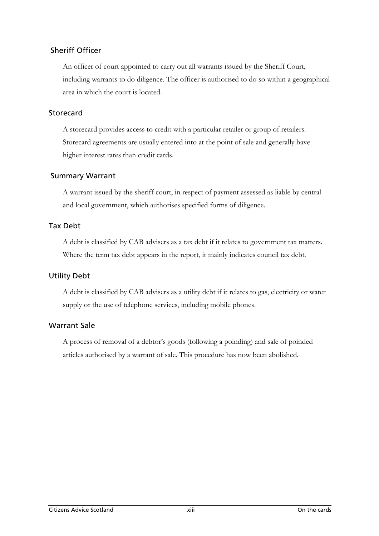#### Sheriff Officer

An officer of court appointed to carry out all warrants issued by the Sheriff Court, including warrants to do diligence. The officer is authorised to do so within a geographical area in which the court is located.

#### Storecard

A storecard provides access to credit with a particular retailer or group of retailers. Storecard agreements are usually entered into at the point of sale and generally have higher interest rates than credit cards.

#### Summary Warrant

A warrant issued by the sheriff court, in respect of payment assessed as liable by central and local government, which authorises specified forms of diligence.

#### Tax Debt

A debt is classified by CAB advisers as a tax debt if it relates to government tax matters. Where the term tax debt appears in the report, it mainly indicates council tax debt.

#### Utility Debt

A debt is classified by CAB advisers as a utility debt if it relates to gas, electricity or water supply or the use of telephone services, including mobile phones.

#### Warrant Sale

A process of removal of a debtor's goods (following a poinding) and sale of poinded articles authorised by a warrant of sale. This procedure has now been abolished.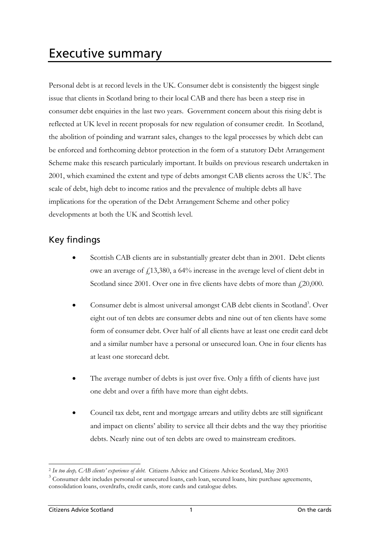<span id="page-15-0"></span>Personal debt is at record levels in the UK. Consumer debt is consistently the biggest single issue that clients in Scotland bring to their local CAB and there has been a steep rise in consumer debt enquiries in the last two years. Government concern about this rising debt is reflected at UK level in recent proposals for new regulation of consumer credit. In Scotland, the abolition of poinding and warrant sales, changes to the legal processes by which debt can be enforced and forthcoming debtor protection in the form of a statutory Debt Arrangement Scheme make this research particularly important. It builds on previous research undertaken in 2001, which examined the extent and type of debts amongst CAB clients across the UK<sup>2</sup>. The scale of debt, high debt to income ratios and the prevalence of multiple debts all have implications for the operation of the Debt Arrangement Scheme and other policy developments at both the UK and Scottish level.

# Key findings

- Scottish CAB clients are in substantially greater debt than in 2001. Debt clients owe an average of £13,380, a 64% increase in the average level of client debt in Scotland since 2001. Over one in five clients have debts of more than  $f(20,000)$ .
- Consumer debt is almost universal amongst CAB debt clients in Scotland<sup>3</sup>. Over eight out of ten debts are consumer debts and nine out of ten clients have some form of consumer debt. Over half of all clients have at least one credit card debt and a similar number have a personal or unsecured loan. One in four clients has at least one storecard debt.
- The average number of debts is just over five. Only a fifth of clients have just one debt and over a fifth have more than eight debts.
- Council tax debt, rent and mortgage arrears and utility debts are still significant and impact on clients' ability to service all their debts and the way they prioritise debts. Nearly nine out of ten debts are owed to mainstream creditors.

<span id="page-15-1"></span><sup>2</sup> *In too deep, CAB clients' experience of debt*. Citizens Advice and Citizens Advice Scotland, May 2003

<span id="page-15-2"></span><sup>&</sup>lt;sup>3</sup> Consumer debt includes personal or unsecured loans, cash loan, secured loans, hire purchase agreements, consolidation loans, overdrafts, credit cards, store cards and catalogue debts.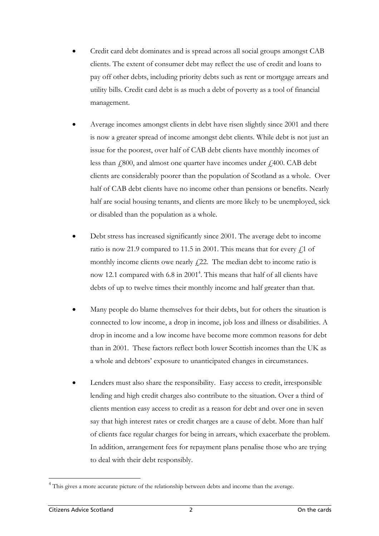- Credit card debt dominates and is spread across all social groups amongst CAB clients. The extent of consumer debt may reflect the use of credit and loans to pay off other debts, including priority debts such as rent or mortgage arrears and utility bills. Credit card debt is as much a debt of poverty as a tool of financial management.
- Average incomes amongst clients in debt have risen slightly since 2001 and there is now a greater spread of income amongst debt clients. While debt is not just an issue for the poorest, over half of CAB debt clients have monthly incomes of less than  $\dot{f}$ ,800, and almost one quarter have incomes under  $\dot{f}$ ,400. CAB debt clients are considerably poorer than the population of Scotland as a whole. Over half of CAB debt clients have no income other than pensions or benefits. Nearly half are social housing tenants, and clients are more likely to be unemployed, sick or disabled than the population as a whole.
- Debt stress has increased significantly since 2001. The average debt to income ratio is now 21.9 compared to 11.5 in 2001. This means that for every  $f<sub>1</sub>1$  of monthly income clients owe nearly  $f(22)$ . The median debt to income ratio is now 12.1 compared with 6.8 in 2001<sup>[4](#page-16-0)</sup>. This means that half of all clients have debts of up to twelve times their monthly income and half greater than that.
- Many people do blame themselves for their debts, but for others the situation is connected to low income, a drop in income, job loss and illness or disabilities. A drop in income and a low income have become more common reasons for debt than in 2001. These factors reflect both lower Scottish incomes than the UK as a whole and debtors' exposure to unanticipated changes in circumstances.
- Lenders must also share the responsibility. Easy access to credit, irresponsible lending and high credit charges also contribute to the situation. Over a third of clients mention easy access to credit as a reason for debt and over one in seven say that high interest rates or credit charges are a cause of debt. More than half of clients face regular charges for being in arrears, which exacerbate the problem. In addition, arrangement fees for repayment plans penalise those who are trying to deal with their debt responsibly.

 $\overline{a}$ 

<span id="page-16-0"></span><sup>&</sup>lt;sup>4</sup> This gives a more accurate picture of the relationship between debts and income than the average.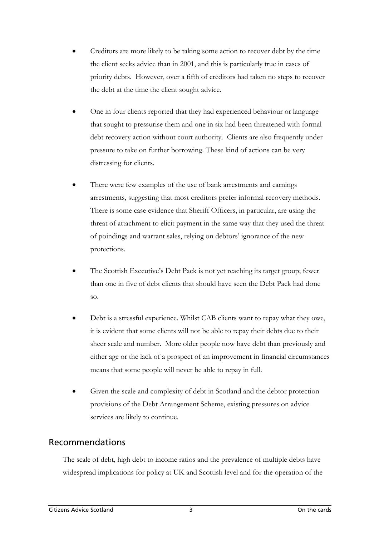- <span id="page-17-0"></span>• Creditors are more likely to be taking some action to recover debt by the time the client seeks advice than in 2001, and this is particularly true in cases of priority debts. However, over a fifth of creditors had taken no steps to recover the debt at the time the client sought advice.
- One in four clients reported that they had experienced behaviour or language that sought to pressurise them and one in six had been threatened with formal debt recovery action without court authority. Clients are also frequently under pressure to take on further borrowing. These kind of actions can be very distressing for clients.
- There were few examples of the use of bank arrestments and earnings arrestments, suggesting that most creditors prefer informal recovery methods. There is some case evidence that Sheriff Officers, in particular, are using the threat of attachment to elicit payment in the same way that they used the threat of poindings and warrant sales, relying on debtors' ignorance of the new protections.
- The Scottish Executive's Debt Pack is not yet reaching its target group; fewer than one in five of debt clients that should have seen the Debt Pack had done so.
- Debt is a stressful experience. Whilst CAB clients want to repay what they owe, it is evident that some clients will not be able to repay their debts due to their sheer scale and number. More older people now have debt than previously and either age or the lack of a prospect of an improvement in financial circumstances means that some people will never be able to repay in full.
- Given the scale and complexity of debt in Scotland and the debtor protection provisions of the Debt Arrangement Scheme, existing pressures on advice services are likely to continue.

### Recommendations

The scale of debt, high debt to income ratios and the prevalence of multiple debts have widespread implications for policy at UK and Scottish level and for the operation of the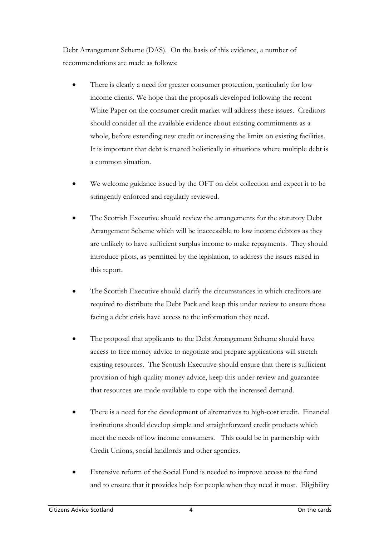Debt Arrangement Scheme (DAS). On the basis of this evidence, a number of recommendations are made as follows:

- There is clearly a need for greater consumer protection, particularly for low income clients. We hope that the proposals developed following the recent White Paper on the consumer credit market will address these issues. Creditors should consider all the available evidence about existing commitments as a whole, before extending new credit or increasing the limits on existing facilities. It is important that debt is treated holistically in situations where multiple debt is a common situation.
- We welcome guidance issued by the OFT on debt collection and expect it to be stringently enforced and regularly reviewed.
- The Scottish Executive should review the arrangements for the statutory Debt Arrangement Scheme which will be inaccessible to low income debtors as they are unlikely to have sufficient surplus income to make repayments. They should introduce pilots, as permitted by the legislation, to address the issues raised in this report.
- The Scottish Executive should clarify the circumstances in which creditors are required to distribute the Debt Pack and keep this under review to ensure those facing a debt crisis have access to the information they need.
- The proposal that applicants to the Debt Arrangement Scheme should have access to free money advice to negotiate and prepare applications will stretch existing resources. The Scottish Executive should ensure that there is sufficient provision of high quality money advice, keep this under review and guarantee that resources are made available to cope with the increased demand.
- There is a need for the development of alternatives to high-cost credit. Financial institutions should develop simple and straightforward credit products which meet the needs of low income consumers. This could be in partnership with Credit Unions, social landlords and other agencies.
- Extensive reform of the Social Fund is needed to improve access to the fund and to ensure that it provides help for people when they need it most. Eligibility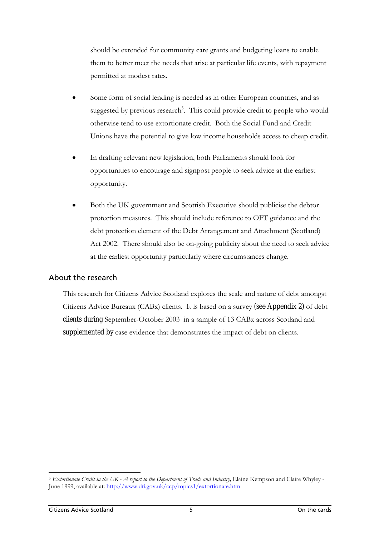should be extended for community care grants and budgeting loans to enable them to better meet the needs that arise at particular life events, with repayment permitted at modest rates.

- Some form of social lending is needed as in other European countries, and as suggested by previous research<sup>[5](#page-19-0)</sup>. This could provide credit to people who would otherwise tend to use extortionate credit. Both the Social Fund and Credit Unions have the potential to give low income households access to cheap credit.
- In drafting relevant new legislation, both Parliaments should look for opportunities to encourage and signpost people to seek advice at the earliest opportunity.
- Both the UK government and Scottish Executive should publicise the debtor protection measures. This should include reference to OFT guidance and the debt protection element of the Debt Arrangement and Attachment (Scotland) Act 2002. There should also be on-going publicity about the need to seek advice at the earliest opportunity particularly where circumstances change.

#### About the research

This research for Citizens Advice Scotland explores the scale and nature of debt amongst Citizens Advice Bureaux (CABx) clients. It is based on a survey (see Appendix 2) of debt clients during September-October 2003 in a sample of 13 CABx across Scotland and supplemented by case evidence that demonstrates the impact of debt on clients.

<span id="page-19-0"></span> $\overline{a}$ <sup>5</sup> *Extortionate Credit in the UK - A report to the Department of Trade and Industry,* Elaine Kempson and Claire Whyley - June 1999, available at:<http://www.dti.gov.uk/ccp/topics1/extortionate.htm>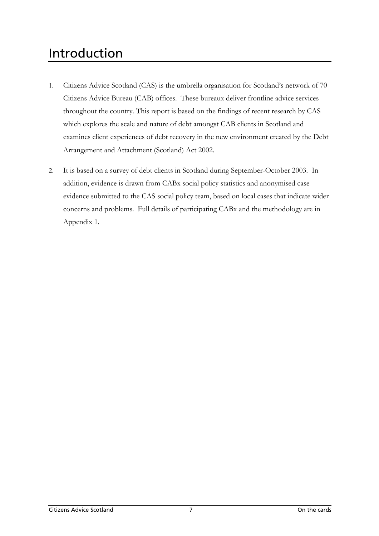# <span id="page-21-0"></span>Introduction

- 1. Citizens Advice Scotland (CAS) is the umbrella organisation for Scotland's network of 70 Citizens Advice Bureau (CAB) offices. These bureaux deliver frontline advice services throughout the country. This report is based on the findings of recent research by CAS which explores the scale and nature of debt amongst CAB clients in Scotland and examines client experiences of debt recovery in the new environment created by the Debt Arrangement and Attachment (Scotland) Act 2002.
- 2. It is based on a survey of debt clients in Scotland during September-October 2003. In addition, evidence is drawn from CABx social policy statistics and anonymised case evidence submitted to the CAS social policy team, based on local cases that indicate wider concerns and problems. Full details of participating CABx and the methodology are in Appendix 1.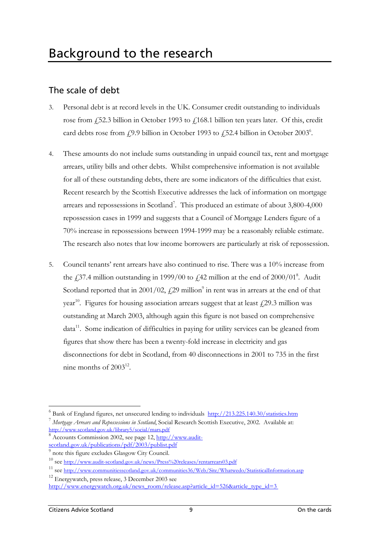## <span id="page-23-0"></span>The scale of debt

- 3. Personal debt is at record levels in the UK. Consumer credit outstanding to individuals rose from £52.3 billion in October 1993 to £168.1 billion ten years later. Of this, credit card debts rose from  $f(9.9)$  billion in October 1993 to  $f(52.4)$  billion in October 2003<sup>[6](#page-23-1)</sup>.
- 4. These amounts do not include sums outstanding in unpaid council tax, rent and mortgage arrears, utility bills and other debts. Whilst comprehensive information is not available for all of these outstanding debts, there are some indicators of the difficulties that exist. Recent research by the Scottish Executive addresses the lack of information on mortgage arrears and repossessions in Scotland<sup>[7](#page-23-2)</sup>. This produced an estimate of about 3,800-4,000 repossession cases in 1999 and suggests that a Council of Mortgage Lenders figure of a 70% increase in repossessions between 1994-1999 may be a reasonably reliable estimate. The research also notes that low income borrowers are particularly at risk of repossession.
- 5. Council tenants' rent arrears have also continued to rise. There was a 10% increase from the  $\text{\emph{L}}37.4$  million outstanding in 1999/00 to  $\text{\emph{L}}42$  million at the end of 2000/01<sup>8</sup>. Audit Scotland reported that in 2001/02,  $\text{\textsterling}29$  million<sup>9</sup> in rent was in arrears at the end of that year<sup>10</sup>. Figures for housing association arrears suggest that at least  $\ell$ 29.3 million was outstanding at March 2003, although again this figure is not based on comprehensive data<sup>11</sup>. Some indication of difficulties in paying for utility services can be gleaned from figures that show there has been a twenty-fold increase in electricity and gas disconnections for debt in Scotland, from 40 disconnections in 2001 to 735 in the first nine months of  $2003^{12}$ .

<span id="page-23-7"></span>12 Energywatch, press release, 3 December 2003 see [http://www.energywatch.org.uk/news\\_room/release.asp?article\\_id=526&article\\_type\\_id=3](http://www.energywatch.org.uk/)

<span id="page-23-2"></span><span id="page-23-1"></span><sup>&</sup>lt;sup>6</sup> Bank of England figures, net unsecured lending to individuals <http://213.225.140.30/statistics.htm> <sup>7</sup> *Mortgage Arrears and Repossessions in Scotland*, Social Research Scottish Executive, 2002. Available at: <http://www.scotland.gov.uk/library5/social/mars.pdf>

<span id="page-23-3"></span><sup>8</sup> Accounts Commission 2002, see page 12, [http://www.audit](http://www.audit-scotland.gov.uk/publications/pdf/2003/publist.pdf) $scotland.gov.uk/publications/pdf/2003/public$ 

<span id="page-23-4"></span><sup>&</sup>lt;sup>9</sup> note this figure excludes Glasgow City Council.

<span id="page-23-5"></span><sup>10</sup> see [http://www.audit-scotland.gov.uk/news/Press%20releases/rentarrears03.pdf](http://www.audit-scotland.gov.uk/news/Press releases/rentarrears03.pdf)

<span id="page-23-6"></span><sup>11</sup> see<http://www.communitiesscotland.gov.uk/communities36/Web/Site/Whatwedo/StatisticalInformation.asp>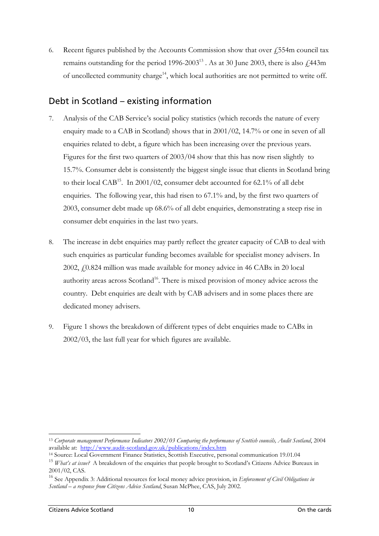<span id="page-24-0"></span>6. Recent figures published by the Accounts Commission show that over  $\hat{f}$  554m council tax remains outstanding for the period  $1996-2003^{13}$ . As at 30 June 2003, there is also  $\sqrt{443m}$ of uncollected community charge<sup>14</sup>, which local authorities are not permitted to write off.

### Debt in Scotland – existing information

- 7. Analysis of the CAB Service's social policy statistics (which records the nature of every enquiry made to a CAB in Scotland) shows that in 2001/02, 14.7% or one in seven of all enquiries related to debt, a figure which has been increasing over the previous years. Figures for the first two quarters of 2003/04 show that this has now risen slightly to 15.7%. Consumer debt is consistently the biggest single issue that clients in Scotland bring to their local CAB<sup>15</sup>. In 2001/02, consumer debt accounted for 62.1% of all debt enquiries. The following year, this had risen to 67.1% and, by the first two quarters of 2003, consumer debt made up 68.6% of all debt enquiries, demonstrating a steep rise in consumer debt enquiries in the last two years.
- 8. The increase in debt enquiries may partly reflect the greater capacity of CAB to deal with such enquiries as particular funding becomes available for specialist money advisers. In 2002, £0.824 million was made available for money advice in 46 CABx in 20 local authority areas across Scotland<sup>16</sup>. There is mixed provision of money advice across the country. Debt enquiries are dealt with by CAB advisers and in some places there are dedicated money advisers.
- 9. Figure 1 shows the breakdown of different types of debt enquiries made to CABx in 2002/03, the last full year for which figures are available.

<span id="page-24-1"></span><sup>13</sup> Corporate management Performance Indicators 2002/03 Comparing the performance of Scottish councils, Audit Scotland, 2004 available at: http://www.audit-scotland.gov.uk/publications/index.htm

<span id="page-24-2"></span><sup>&</sup>lt;sup>14</sup> Source: Local Government Finance Statistics, Scottish Executive, personal communication 19.01.04

<span id="page-24-3"></span><sup>&</sup>lt;sup>15</sup> *What's at issue?* A breakdown of the enquiries that people brought to Scotland's Citizens Advice Bureaux in 2001/02, CAS.

<span id="page-24-4"></span><sup>16</sup> See Appendix 3: Additional resources for local money advice provision, in *Enforcement of Civil Obligations in Scotland – a response from Citizens Advice Scotland*, Susan McPhee, CAS, July 2002.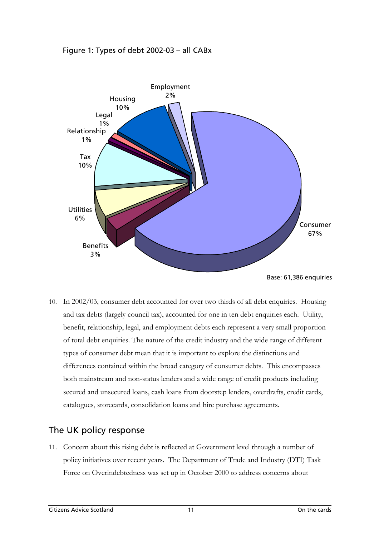<span id="page-25-0"></span>



Base: 61,386 enquiries

10. In 2002/03, consumer debt accounted for over two thirds of all debt enquiries. Housing and tax debts (largely council tax), accounted for one in ten debt enquiries each. Utility, benefit, relationship, legal, and employment debts each represent a very small proportion of total debt enquiries. The nature of the credit industry and the wide range of different types of consumer debt mean that it is important to explore the distinctions and differences contained within the broad category of consumer debts. This encompasses both mainstream and non-status lenders and a wide range of credit products including secured and unsecured loans, cash loans from doorstep lenders, overdrafts, credit cards, catalogues, storecards, consolidation loans and hire purchase agreements.

# The UK policy response

11. Concern about this rising debt is reflected at Government level through a number of policy initiatives over recent years. The Department of Trade and Industry (DTI) Task Force on Overindebtedness was set up in October 2000 to address concerns about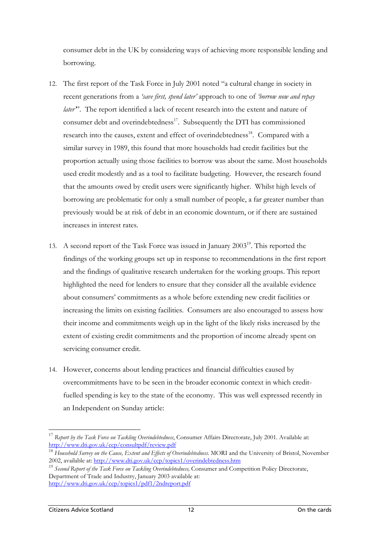consumer debt in the UK by considering ways of achieving more responsible lending and borrowing.

- 12. The first report of the Task Force in July 2001 noted "a cultural change in society in recent generations from a *'save first, spend later'* approach to one of *'borrow now and repay later'*". The report identified a lack of recent research into the extent and nature of consumer debt and overindebtedness<sup>17</sup>. Subsequently the DTI has commissioned research into the causes, extent and effect of overindebtedness<sup>18</sup>. Compared with a similar survey in 1989, this found that more households had credit facilities but the proportion actually using those facilities to borrow was about the same. Most households used credit modestly and as a tool to facilitate budgeting. However, the research found that the amounts owed by credit users were significantly higher. Whilst high levels of borrowing are problematic for only a small number of people, a far greater number than previously would be at risk of debt in an economic downturn, or if there are sustained increases in interest rates.
- 13. A second report of the Task Force was issued in January 2003<sup>19</sup>. This reported the findings of the working groups set up in response to recommendations in the first report and the findings of qualitative research undertaken for the working groups. This report highlighted the need for lenders to ensure that they consider all the available evidence about consumers' commitments as a whole before extending new credit facilities or increasing the limits on existing facilities. Consumers are also encouraged to assess how their income and commitments weigh up in the light of the likely risks increased by the extent of existing credit commitments and the proportion of income already spent on servicing consumer credit.
- 14. However, concerns about lending practices and financial difficulties caused by overcommitments have to be seen in the broader economic context in which creditfuelled spending is key to the state of the economy. This was well expressed recently in an Independent on Sunday article:

<span id="page-26-0"></span><sup>17</sup> *Report by the Task Force on Tackling Overindebtedness*, Consumer Affairs Directorate, July 2001. Available at: <http://www.dti.gov.uk/ccp/consultpdf/review.pdf>

<span id="page-26-1"></span><sup>&</sup>lt;sup>18</sup> *Household Survey on the Cause, Extent and Effects of Overindebtedness*. MORI and the University of Bristol, November 2002, available at: http://www.dti.gov.uk/ccp/topics1/overindebtedness.htm

<span id="page-26-2"></span><sup>&</sup>lt;sup>19</sup> Second Report of the Task Force on Tackling Overindebtedness, Consumer and Competition Policy Directorate, Department of Trade and Industry, January 2003 available at: <http://www.dti.gov.uk/ccp/topics1/pdf1/2ndreport.pdf>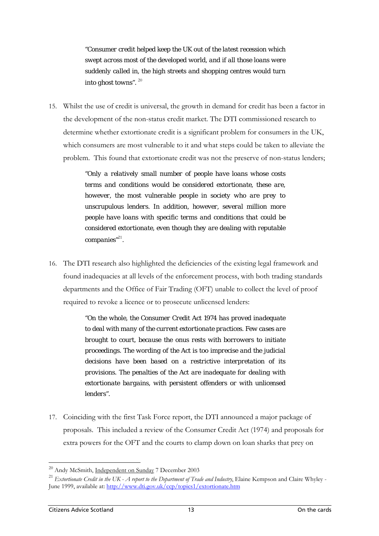*"Consumer credit helped keep the UK out of the latest recession which swept across most of the developed world, and if all those loans were suddenly called in, the high streets and shopping centres would turn into ghost towns".* [20](#page-27-0)

15. Whilst the use of credit is universal, the growth in demand for credit has been a factor in the development of the non-status credit market. The DTI commissioned research to determine whether extortionate credit is a significant problem for consumers in the UK, which consumers are most vulnerable to it and what steps could be taken to alleviate the problem. This found that extortionate credit was not the preserve of non-status lenders;

> *"Only a relatively small number of people have loans whose costs terms and conditions would be considered extortionate, these are, however, the most vulnerable people in society who are prey to unscrupulous lenders. In addition, however, several million more people have loans with specific terms and conditions that could be considered extortionate, even though they are dealing with reputable companies"*[21](#page-27-1)*.*

16. The DTI research also highlighted the deficiencies of the existing legal framework and found inadequacies at all levels of the enforcement process, with both trading standards departments and the Office of Fair Trading (OFT) unable to collect the level of proof required to revoke a licence or to prosecute unlicensed lenders:

> *"On the whole, the Consumer Credit Act 1974 has proved inadequate to deal with many of the current extortionate practices. Few cases are brought to court, because the onus rests with borrowers to initiate proceedings. The wording of the Act is too imprecise and the judicial decisions have been based on a restrictive interpretation of its provisions. The penalties of the Act are inadequate for dealing with extortionate bargains, with persistent offenders or with unlicensed lenders".*

17. Coinciding with the first Task Force report, the DTI announced a major package of proposals. This included a review of the Consumer Credit Act (1974) and proposals for extra powers for the OFT and the courts to clamp down on loan sharks that prey on

<span id="page-27-1"></span><span id="page-27-0"></span>

<sup>&</sup>lt;sup>20</sup> Andy McSmith, <u>Independent on Sunday</u> 7 December 2003<br><sup>21</sup> *Extortionate Credit in the UK - A report to the Department of Trade and Industry*, Elaine Kempson and Claire Whyley -June 1999, available at:<http://www.dti.gov.uk/ccp/topics1/extortionate.htm>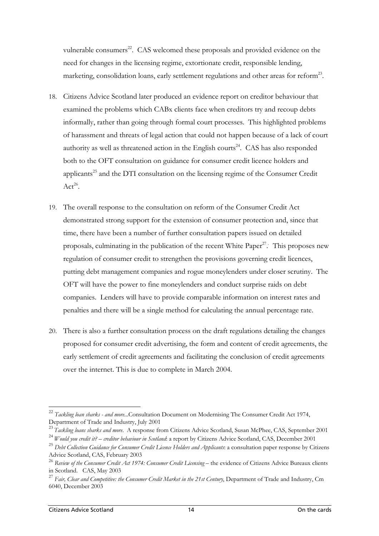vulnerable consumers<sup>22</sup>. CAS welcomed these proposals and provided evidence on the need for changes in the licensing regime, extortionate credit, responsible lending, marketing, consolidation loans, early settlement regulations and other areas for reform<sup>23</sup>.

- 18. Citizens Advice Scotland later produced an evidence report on creditor behaviour that examined the problems which CABx clients face when creditors try and recoup debts informally, rather than going through formal court processes. This highlighted problems of harassment and threats of legal action that could not happen because of a lack of court authority as well as threatened action in the English courts<sup>24</sup>. CAS has also responded both to the OFT consultation on guidance for consumer credit licence holders and applicants<sup>25</sup> and the DTI consultation on the licensing regime of the Consumer Credit  $Act^{26}$ .
- 19. The overall response to the consultation on reform of the Consumer Credit Act demonstrated strong support for the extension of consumer protection and, since that time, there have been a number of further consultation papers issued on detailed proposals, culminating in the publication of the recent White Paper<sup>27</sup>. This proposes new regulation of consumer credit to strengthen the provisions governing credit licences, putting debt management companies and rogue moneylenders under closer scrutiny. The OFT will have the power to fine moneylenders and conduct surprise raids on debt companies. Lenders will have to provide comparable information on interest rates and penalties and there will be a single method for calculating the annual percentage rate.
- 20. There is also a further consultation process on the draft regulations detailing the changes proposed for consumer credit advertising, the form and content of credit agreements, the early settlement of credit agreements and facilitating the conclusion of credit agreements over the internet. This is due to complete in March 2004.

<span id="page-28-0"></span><sup>&</sup>lt;sup>22</sup> *Tackling loan sharks - and more*...Consultation Document on Modernising The Consumer Credit Act 1974, Department of Trade and Industry, July 2001

<span id="page-28-1"></span><sup>&</sup>lt;sup>23</sup> Tackling loans sharks and more. A response from Citizens Advice Scotland, Susan McPhee, CAS, September 2001

<span id="page-28-2"></span><sup>24</sup>*Would you credit it? – creditor behaviour in Scotland*: a report by Citizens Advice Scotland, CAS, December 2001

<span id="page-28-3"></span><sup>&</sup>lt;sup>25</sup> Debt Collection Guidance for Consumer Credit Licence Holders and Applicants: a consultation paper response by Citizens Advice Scotland, CAS, February 2003

<span id="page-28-4"></span><sup>&</sup>lt;sup>26</sup> Review of the Consumer Credit Act 1974: Consumer Credit Licensing – the evidence of Citizens Advice Bureaux clients in Scotland. CAS, May 2003

<span id="page-28-5"></span><sup>&</sup>lt;sup>27</sup> Fair, Clear and Competitive: the Consumer Credit Market in the 21st Century, Department of Trade and Industry, Cm 6040, December 2003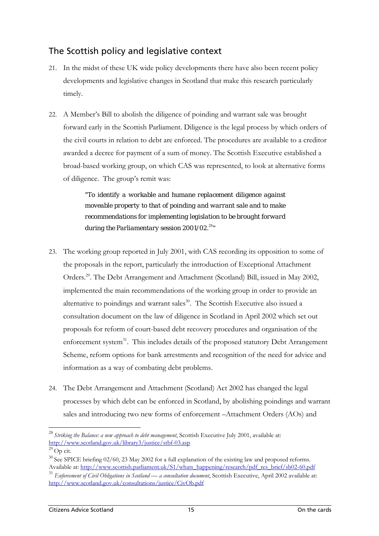## <span id="page-29-0"></span>The Scottish policy and legislative context

- 21. In the midst of these UK wide policy developments there have also been recent policy developments and legislative changes in Scotland that make this research particularly timely.
- 22. A Member's Bill to abolish the diligence of poinding and warrant sale was brought forward early in the Scottish Parliament. Diligence is the legal process by which orders of the civil courts in relation to debt are enforced. The procedures are available to a creditor awarded a decree for payment of a sum of money. The Scottish Executive established a broad-based working group, on which CAS was represented, to look at alternative forms of diligence. The group's remit was:

*"To identify a workable and humane replacement diligence against moveable property to that of poinding and warrant sale and to make recommendations for implementing legislation to be brought forward during the Parliamentary session 2001/02.*[28](#page-29-1)*"* 

- 23. The working group reported in July 2001, with CAS recording its opposition to some of the proposals in the report, particularly the introduction of Exceptional Attachment Orders.[29.](#page-29-2) The Debt Arrangement and Attachment (Scotland) Bill, issued in May 2002, implemented the main recommendations of the working group in order to provide an alternative to poindings and warrant sales<sup>30</sup>. The Scottish Executive also issued a consultation document on the law of diligence in Scotland in April 2002 which set out proposals for reform of court-based debt recovery procedures and organisation of the enforcement system<sup>31</sup>. This includes details of the proposed statutory Debt Arrangement Scheme, reform options for bank arrestments and recognition of the need for advice and information as a way of combating debt problems.
- 24. The Debt Arrangement and Attachment (Scotland) Act 2002 has changed the legal processes by which debt can be enforced in Scotland, by abolishing poindings and warrant sales and introducing two new forms of enforcement –Attachment Orders (AOs) and

<span id="page-29-1"></span><sup>28</sup>*Striking the Balance: a new approach to debt management*, Scottish Executive July 2001, available at: <http://www.scotland.gov.uk/library3/justice/stbf-03.asp>

<span id="page-29-2"></span> $29$  Op cit.

<span id="page-29-3"></span><sup>&</sup>lt;sup>30</sup> See SPICE briefing 02/60, 23 May 2002 for a full explanation of the existing law and proposed reforms. Available at: [http://www.scottish.parliament.uk/S1/whats\\_happening/research/pdf\\_res\\_brief/sb02-60.pdf](http://www.scottish.parliament.uk/S1/whats_happening/research/pdf_res_brief/sb02-60.pdf)

<span id="page-29-4"></span><sup>31</sup> *Enforcement of Civil Obligations in Scotland — a consultation document*, Scottish Executive, April 2002 available at: <http://www.scotland.gov.uk/consultations/justice/CivOb.pdf>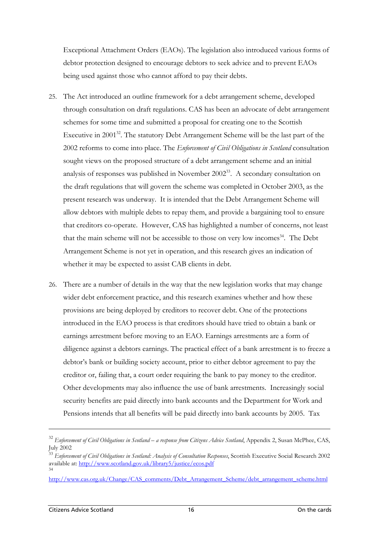Exceptional Attachment Orders (EAOs). The legislation also introduced various forms of debtor protection designed to encourage debtors to seek advice and to prevent EAOs being used against those who cannot afford to pay their debts.

- 25. The Act introduced an outline framework for a debt arrangement scheme, developed through consultation on draft regulations. CAS has been an advocate of debt arrangement schemes for some time and submitted a proposal for creating one to the Scottish Executive in 2001 $^{32}$ . The statutory Debt Arrangement Scheme will be the last part of the 2002 reforms to come into place. The *Enforcement of Civil Obligations in Scotland* consultation sought views on the proposed structure of a debt arrangement scheme and an initial analysis of responses was published in November 2002<sup>33</sup>. A secondary consultation on the draft regulations that will govern the scheme was completed in October 2003, as the present research was underway. It is intended that the Debt Arrangement Scheme will allow debtors with multiple debts to repay them, and provide a bargaining tool to ensure that creditors co-operate. However, CAS has highlighted a number of concerns, not least that the main scheme will not be accessible to those on very low incomes<sup>34</sup>. The Debt Arrangement Scheme is not yet in operation, and this research gives an indication of whether it may be expected to assist CAB clients in debt.
- 26. There are a number of details in the way that the new legislation works that may change wider debt enforcement practice, and this research examines whether and how these provisions are being deployed by creditors to recover debt. One of the protections introduced in the EAO process is that creditors should have tried to obtain a bank or earnings arrestment before moving to an EAO. Earnings arrestments are a form of diligence against a debtors earnings. The practical effect of a bank arrestment is to freeze a debtor's bank or building society account, prior to either debtor agreement to pay the creditor or, failing that, a court order requiring the bank to pay money to the creditor. Other developments may also influence the use of bank arrestments. Increasingly social security benefits are paid directly into bank accounts and the Department for Work and Pensions intends that all benefits will be paid directly into bank accounts by 2005. Tax

<span id="page-30-0"></span><sup>32</sup> *Enforcement of Civil Obligations in Scotland – a response from Citizens Advice Scotland*, Appendix 2, Susan McPhee, CAS, July 2002

<span id="page-30-1"></span><sup>33</sup> *Enforcement of Civil Obligations in Scotland: Analysis of Consultation Responses*, Scottish Executive Social Research 2002 available at: <http://www.scotland.gov.uk/library5/justice/ecos.pdf> 34

<span id="page-30-2"></span>[http://www.cas.org.uk/Change/CAS\\_comments/Debt\\_Arrangement\\_Scheme/debt\\_arrangement\\_scheme.html](http://www.cas.org.uk/Change/CAS_comments/Debt_Arrangement_Scheme/debt_arrangement_scheme.html)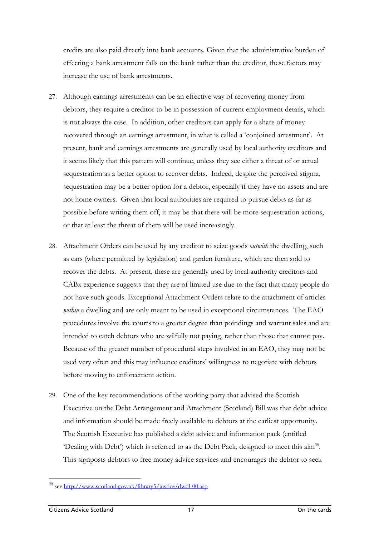credits are also paid directly into bank accounts. Given that the administrative burden of effecting a bank arrestment falls on the bank rather than the creditor, these factors may increase the use of bank arrestments.

- 27. Although earnings arrestments can be an effective way of recovering money from debtors, they require a creditor to be in possession of current employment details, which is not always the case. In addition, other creditors can apply for a share of money recovered through an earnings arrestment, in what is called a 'conjoined arrestment'. At present, bank and earnings arrestments are generally used by local authority creditors and it seems likely that this pattern will continue, unless they see either a threat of or actual sequestration as a better option to recover debts. Indeed, despite the perceived stigma, sequestration may be a better option for a debtor, especially if they have no assets and are not home owners. Given that local authorities are required to pursue debts as far as possible before writing them off, it may be that there will be more sequestration actions, or that at least the threat of them will be used increasingly.
- 28. Attachment Orders can be used by any creditor to seize goods *outwith* the dwelling, such as cars (where permitted by legislation) and garden furniture, which are then sold to recover the debts. At present, these are generally used by local authority creditors and CABx experience suggests that they are of limited use due to the fact that many people do not have such goods. Exceptional Attachment Orders relate to the attachment of articles *within* a dwelling and are only meant to be used in exceptional circumstances. The EAO procedures involve the courts to a greater degree than poindings and warrant sales and are intended to catch debtors who are wilfully not paying, rather than those that cannot pay. Because of the greater number of procedural steps involved in an EAO, they may not be used very often and this may influence creditors' willingness to negotiate with debtors before moving to enforcement action.
- 29. One of the key recommendations of the working party that advised the Scottish Executive on the Debt Arrangement and Attachment (Scotland) Bill was that debt advice and information should be made freely available to debtors at the earliest opportunity. The Scottish Executive has published a debt advice and information pack (entitled 'Dealing with Debt') which is referred to as the Debt Pack, designed to meet this ai[m35.](#page-31-0) This signposts debtors to free money advice services and encourages the debtor to seek

 $\overline{a}$ 

<span id="page-31-0"></span><sup>&</sup>lt;sup>35</sup> see <u>http://www.scotland.gov.uk/library5/justice/dwdl-00.asp</u>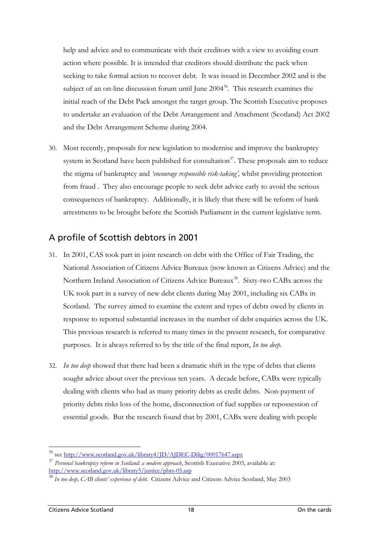<span id="page-32-0"></span>help and advice and to communicate with their creditors with a view to avoiding court action where possible. It is intended that creditors should distribute the pack when seeking to take formal action to recover debt. It was issued in December 2002 and is the subject of an on-line discussion forum until June  $2004^{36}$ . This research examines the initial reach of the Debt Pack amongst the target group. The Scottish Executive proposes to undertake an evaluation of the Debt Arrangement and Attachment (Scotland) Act 2002 and the Debt Arrangement Scheme during 2004.

30. Most recently, proposals for new legislation to modernise and improve the bankruptcy system in Scotland have been published for consultation<sup>37</sup>. These proposals aim to reduce the stigma of bankruptcy and *'encourage responsible risk-taking',* whilst providing protection from fraud . They also encourage people to seek debt advice early to avoid the serious consequences of bankruptcy. Additionally, it is likely that there will be reform of bank arrestments to be brought before the Scottish Parliament in the current legislative term.

### A profile of Scottish debtors in 2001

- 31. In 2001, CAS took part in joint research on debt with the Office of Fair Trading, the National Association of Citizens Advice Bureaux (now known as Citizens Advice) and the Northern Ireland Association of Citizens Advice Bureaux<sup>38</sup>. Sixty-two CABx across the UK took part in a survey of new debt clients during May 2001, including six CABx in Scotland. The survey aimed to examine the extent and types of debts owed by clients in response to reported substantial increases in the number of debt enquiries across the UK. This previous research is referred to many times in the present research, for comparative purposes. It is always referred to by the title of the final report, *In too deep.*
- 32. *In too deep* showed that there had been a dramatic shift in the type of debts that clients sought advice about over the previous ten years. A decade before, CABx were typically dealing with clients who had as many priority debts as credit debts. Non-payment of priority debts risks loss of the home, disconnection of fuel supplies or repossession of essential goods. But the research found that by 2001, CABx were dealing with people

<span id="page-32-1"></span><sup>36</sup> see<http://www.scotland.gov.uk/library4/JD/AJDEC-Dilig/00017647.aspx>

<span id="page-32-2"></span><sup>37</sup> *Personal bankruptcy reform in Scotland: a modern approach*, Scottish Executive 2003, available at: <http://www.scotland.gov.uk/library5/justice/pbrs-05.asp>

<span id="page-32-3"></span><sup>38</sup> *In too deep, CAB clients' experience of debt.* Citizens Advice and Citizens Advice Scotland, May 2003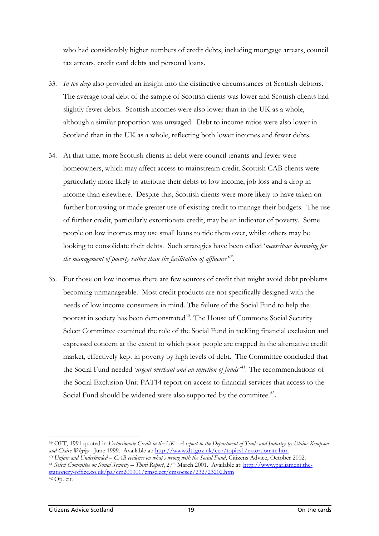who had considerably higher numbers of credit debts, including mortgage arrears, council tax arrears, credit card debts and personal loans.

- 33. *In too deep* also provided an insight into the distinctive circumstances of Scottish debtors. The average total debt of the sample of Scottish clients was lower and Scottish clients had slightly fewer debts. Scottish incomes were also lower than in the UK as a whole, although a similar proportion was unwaged. Debt to income ratios were also lower in Scotland than in the UK as a whole, reflecting both lower incomes and fewer debts.
- 34. At that time, more Scottish clients in debt were council tenants and fewer were homeowners, which may affect access to mainstream credit. Scottish CAB clients were particularly more likely to attribute their debts to low income, job loss and a drop in income than elsewhere. Despite this, Scottish clients were more likely to have taken on further borrowing or made greater use of existing credit to manage their budgets. The use of further credit, particularly extortionate credit, may be an indicator of poverty. Some people on low incomes may use small loans to tide them over, whilst others may be looking to consolidate their debts. Such strategies have been called '*necessitous borrowing for the management of poverty rather than the facilitation of affluence'[39.](#page-33-0)*
- 35. For those on low incomes there are few sources of credit that might avoid debt problems becoming unmanageable. Most credit products are not specifically designed with the needs of low income consumers in mind. The failure of the Social Fund to help the poorest in society has been demonstrated<sup>40</sup>. The House of Commons Social Security Select Committee examined the role of the Social Fund in tackling financial exclusion and expressed concern at the extent to which poor people are trapped in the alternative credit market, effectively kept in poverty by high levels of debt. The Committee concluded that the Social Fund needed '*urgent overhaul and an injection of funds'*<sup>41</sup>*[.](#page-33-2)* The recommendations of the Social Exclusion Unit PAT14 report on access to financial services that access to the Social Fund should be widened were also supported by the commitee.*<sup>42</sup>***[.](#page-33-3)**

<span id="page-33-0"></span>39 OFT, 1991 quoted in *Extortionate Credit in the UK - A report to the Department of Trade and Industry by Elaine Kempson and Claire Whyley* - June 1999. Available at:<http://www.dti.gov.uk/ccp/topics1/extortionate.htm><br><sup>40</sup> Unfair and Underfunded – CAB evidence on what's wrong with the Social Fund. Citizens Advice. October 2002.

<span id="page-33-3"></span><span id="page-33-2"></span><span id="page-33-1"></span><sup>&</sup>lt;sup>41</sup> Select Committee on Social Security – Third Report. 27<sup>th</sup> March 2001. Available at: [http://www.parliament.the](http://www.parliament.the-stationery-office.co.uk/pa/cm200001/cmselect/cmsocsec/232/23202.htm)[stationery-office.co.uk/pa/cm200001/cmselect/cmsocsec/232/23202.htm](http://www.parliament.the-stationery-office.co.uk/pa/cm200001/cmselect/cmsocsec/232/23202.htm) 42 Op. cit.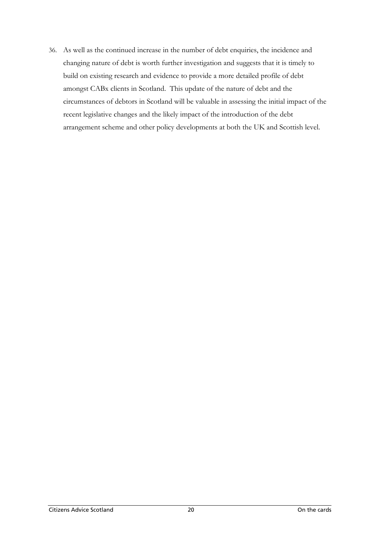36. As well as the continued increase in the number of debt enquiries, the incidence and changing nature of debt is worth further investigation and suggests that it is timely to build on existing research and evidence to provide a more detailed profile of debt amongst CABx clients in Scotland. This update of the nature of debt and the circumstances of debtors in Scotland will be valuable in assessing the initial impact of the recent legislative changes and the likely impact of the introduction of the debt arrangement scheme and other policy developments at both the UK and Scottish level.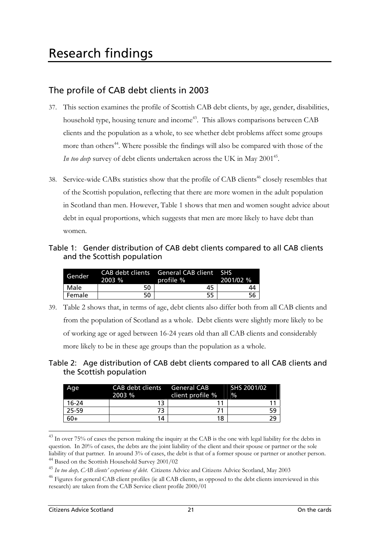## <span id="page-35-0"></span>The profile of CAB debt clients in 2003

- 37. This section examines the profile of Scottish CAB debt clients, by age, gender, disabilities, household type, housing tenure and income<sup>43</sup>. This allows comparisons between CAB clients and the population as a whole, to see whether debt problems affect some groups more than others<sup>44</sup>. Where possible the findings will also be compared with those of the *In too deep* survey of debt clients undertaken across the UK in May 2001<sup>45</sup>.
- 38. Service-wide CABx statistics show that the profile of CAB clients<sup>46</sup> closely resembles that of the Scottish population, reflecting that there are more women in the adult population in Scotland than men. However, Table 1 shows that men and women sought advice about debt in equal proportions, which suggests that men are more likely to have debt than women.

#### Table 1: Gender distribution of CAB debt clients compared to all CAB clients and the Scottish population

| Gender | 2003 % | CAB debt clients General CAB client SHS<br>profile % | 2001/02 % |
|--------|--------|------------------------------------------------------|-----------|
| Male   | 50     | 45                                                   | 44        |
| Female | 50     | 55                                                   |           |

- 39. Table 2 shows that, in terms of age, debt clients also differ both from all CAB clients and from the population of Scotland as a whole. Debt clients were slightly more likely to be of working age or aged between 16-24 years old than all CAB clients and considerably more likely to be in these age groups than the population as a whole.
- Table 2: Age distribution of CAB debt clients compared to all CAB clients and the Scottish population

| Age       | 2003 % | CAB debt clients General CAB SHS 2001/02<br>client profile % | $\frac{0}{0}$ |
|-----------|--------|--------------------------------------------------------------|---------------|
| $16 - 24$ | 13     |                                                              |               |
| 25-59     |        |                                                              | 59            |
| $60+$     | 14     | 18                                                           |               |

<span id="page-35-1"></span><sup>&</sup>lt;sup>43</sup> In over 75% of cases the person making the inquiry at the CAB is the one with legal liability for the debts in question. In 20% of cases, the debts are the joint liability of the client and their spouse or partner or the sole liability of that partner. In around 3% of cases, the debt is that of a former spouse or partner or another person. 44 Based on the Scottish Household Survey 2001/02

<span id="page-35-3"></span><span id="page-35-2"></span><sup>45</sup> *In too deep, CAB clients' experience of debt*. Citizens Advice and Citizens Advice Scotland, May 2003

<span id="page-35-4"></span><sup>&</sup>lt;sup>46</sup> Figures for general CAB client profiles (ie all CAB clients, as opposed to the debt clients interviewed in this research) are taken from the CAB Service client profile 2000/01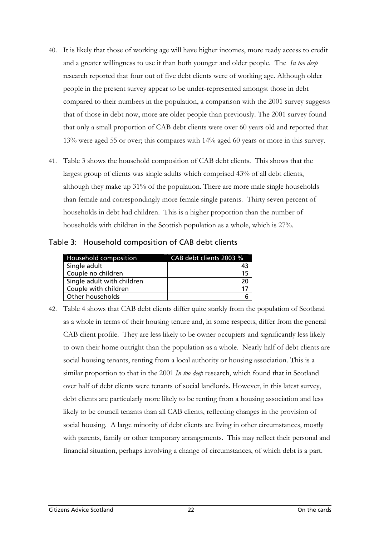- 40. It is likely that those of working age will have higher incomes, more ready access to credit and a greater willingness to use it than both younger and older people. The *In too deep* research reported that four out of five debt clients were of working age. Although older people in the present survey appear to be under-represented amongst those in debt compared to their numbers in the population, a comparison with the 2001 survey suggests that of those in debt now, more are older people than previously. The 2001 survey found that only a small proportion of CAB debt clients were over 60 years old and reported that 13% were aged 55 or over; this compares with 14% aged 60 years or more in this survey.
- 41. Table 3 shows the household composition of CAB debt clients. This shows that the largest group of clients was single adults which comprised 43% of all debt clients, although they make up 31% of the population. There are more male single households than female and correspondingly more female single parents. Thirty seven percent of households in debt had children. This is a higher proportion than the number of households with children in the Scottish population as a whole, which is 27%.

Table 3: Household composition of CAB debt clients

| Household composition      | CAB debt clients 2003 % |
|----------------------------|-------------------------|
| Single adult               |                         |
| Couple no children         | 15                      |
| Single adult with children |                         |
| Couple with children       |                         |
| Other households           |                         |

42. Table 4 shows that CAB debt clients differ quite starkly from the population of Scotland as a whole in terms of their housing tenure and, in some respects, differ from the general CAB client profile. They are less likely to be owner occupiers and significantly less likely to own their home outright than the population as a whole. Nearly half of debt clients are social housing tenants, renting from a local authority or housing association. This is a similar proportion to that in the 2001 *In too deep* research, which found that in Scotland over half of debt clients were tenants of social landlords. However, in this latest survey, debt clients are particularly more likely to be renting from a housing association and less likely to be council tenants than all CAB clients, reflecting changes in the provision of social housing. A large minority of debt clients are living in other circumstances, mostly with parents, family or other temporary arrangements. This may reflect their personal and financial situation, perhaps involving a change of circumstances, of which debt is a part.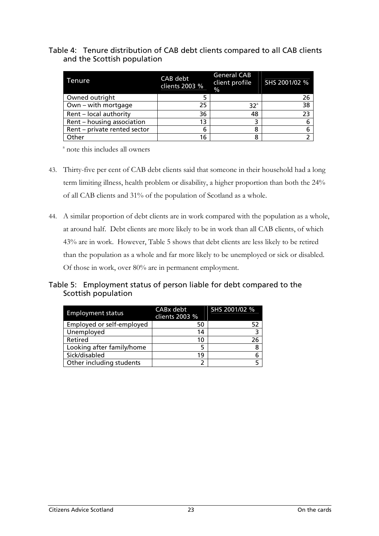#### Table 4: Tenure distribution of CAB debt clients compared to all CAB clients and the Scottish population

| Tenure                       | CAB debt<br>clients 2003 % | <b>General CAB</b><br>client profile SHS 2001/02 %<br>$\frac{0}{0}$ |    |
|------------------------------|----------------------------|---------------------------------------------------------------------|----|
| Owned outright               |                            |                                                                     | 26 |
| Own - with mortgage          | 25                         | $32^{\circ}$                                                        | 38 |
| Rent - local authority       | 36                         | 48                                                                  | 23 |
| Rent - housing association   | 13                         |                                                                     |    |
| Rent - private rented sector | 6                          | 8                                                                   |    |
| Other                        | 16                         | 8                                                                   |    |

a note this includes all owners

- 43. Thirty-five per cent of CAB debt clients said that someone in their household had a long term limiting illness, health problem or disability, a higher proportion than both the 24% of all CAB clients and 31% of the population of Scotland as a whole.
- 44. A similar proportion of debt clients are in work compared with the population as a whole, at around half. Debt clients are more likely to be in work than all CAB clients, of which 43% are in work. However, Table 5 shows that debt clients are less likely to be retired than the population as a whole and far more likely to be unemployed or sick or disabled. Of those in work, over 80% are in permanent employment.

#### Table 5: Employment status of person liable for debt compared to the Scottish population

| <b>Employment status</b>  | CABx debt<br>clients 2003 % | SHS 2001/02 % |
|---------------------------|-----------------------------|---------------|
| Employed or self-employed | 50                          |               |
| Unemployed                | 14                          |               |
| Retired                   | 10                          | 26            |
| Looking after family/home |                             |               |
| Sick/disabled             | 19                          |               |
| Other including students  |                             |               |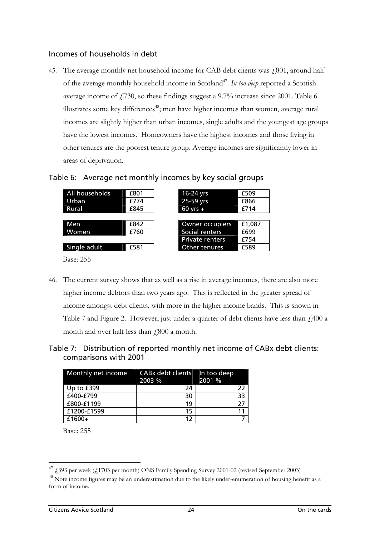#### Incomes of households in debt

45. The average monthly net household income for CAB debt clients was  $\ell$ 801, around half of the average monthly household income in Scotland<sup>47</sup>. *In too deep* reported a Scottish average income of  $\ddot{f}$  (730, so these findings suggest a 9.7% increase since 2001. Table 6 illustrates some key differences<sup> $48$ </sup>; men have higher incomes than women, average rural incomes are slightly higher than urban incomes, single adults and the youngest age groups have the lowest incomes. Homeowners have the highest incomes and those living in other tenures are the poorest tenure group. Average incomes are significantly lower in areas of deprivation.





Base: 255

46. The current survey shows that as well as a rise in average incomes, there are also more higher income debtors than two years ago. This is reflected in the greater spread of income amongst debt clients, with more in the higher income bands. This is shown in Table 7 and Figure 2. However, just under a quarter of debt clients have less than  $\mu$ 400 a month and over half less than  $\text{\emph{f}}800$  a month.

#### Table 7: Distribution of reported monthly net income of CABx debt clients: comparisons with 2001

| Monthly net income | CABx debt clients In too deep<br>2003 % | 2001 % |
|--------------------|-----------------------------------------|--------|
| Up to $£399$       | 24                                      | 22     |
| £400-£799          | 30                                      | 33     |
| £800-£1199         | 19                                      | 77     |
| £1200-£1599        | 15                                      |        |
| $£1600+$           | 12                                      |        |

Base: 255

<span id="page-38-0"></span><sup>47 £393</sup> per week (£1703 per month) ONS Family Spending Survey 2001-02 (revised September 2003)

<span id="page-38-1"></span><sup>&</sup>lt;sup>48</sup> Note income figures may be an underestimation due to the likely under-enumeration of housing benefit as a form of income.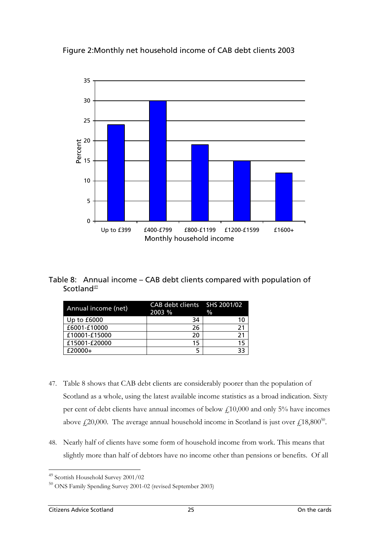Figure 2:Monthly net household income of CAB debt clients 2003



Table 8: Annual income – CAB debt clients compared with population of Scotland $49$ 

| Annual income (net) | <b>CAB debt clients</b><br>2003 % | SHS 2001/02<br>$\frac{0}{0}$ |
|---------------------|-----------------------------------|------------------------------|
| Up to $£6000$       | 34                                | 10                           |
| £6001-£10000        | 26                                | 21                           |
| £10001-£15000       | 20                                | 21                           |
| £15001-£20000       | 15                                | 15                           |
| $£20000+$           |                                   | 33                           |

- 47. Table 8 shows that CAB debt clients are considerably poorer than the population of Scotland as a whole, using the latest available income statistics as a broad indication. Sixty per cent of debt clients have annual incomes of below  $\text{\emph{L}}10,000$  and only 5% have incomes above  $\text{\emph{f}}(20,000)$ . The average annual household income in Scotland is just over  $\text{\emph{f}}(18,800^{50})$ .
- 48. Nearly half of clients have some form of household income from work. This means that slightly more than half of debtors have no income other than pensions or benefits. Of all

 $\overline{a}$ 

<span id="page-39-0"></span><sup>&</sup>lt;sup>49</sup> Scottish Household Survey 2001/02

<span id="page-39-1"></span> $^{50}$  ONS Family Spending Survey 2001-02 (revised September 2003)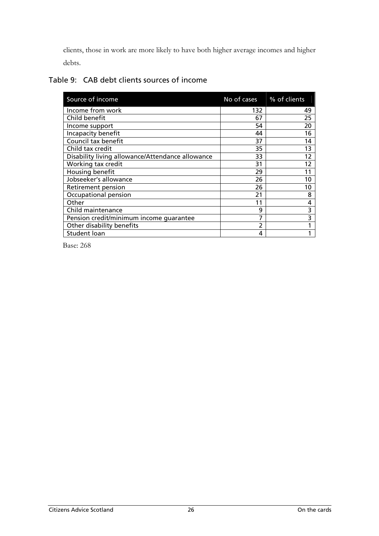clients, those in work are more likely to have both higher average incomes and higher debts.

| Table 9: CAB debt clients sources of income |
|---------------------------------------------|
|---------------------------------------------|

| Source of income                                 | No of cases | % of clients |
|--------------------------------------------------|-------------|--------------|
| Income from work                                 | 132         | 49           |
| Child benefit                                    | 67          | 25           |
| Income support                                   | 54          | 20           |
| Incapacity benefit                               | 44          | 16           |
| Council tax benefit                              | 37          | 14           |
| Child tax credit                                 | 35          | 13           |
| Disability living allowance/Attendance allowance | 33          | 12           |
| Working tax credit                               | 31          | 12           |
| Housing benefit                                  | 29          | 11           |
| Jobseeker's allowance                            | 26          | 10           |
| Retirement pension                               | 26          | 10           |
| Occupational pension                             | 21          | 8            |
| Other                                            | 11          | 4            |
| Child maintenance                                | 9           | 3            |
| Pension credit/minimum income quarantee          | 7           | 3            |
| Other disability benefits                        | 2           |              |
| Student loan                                     | 4           |              |

Base: 268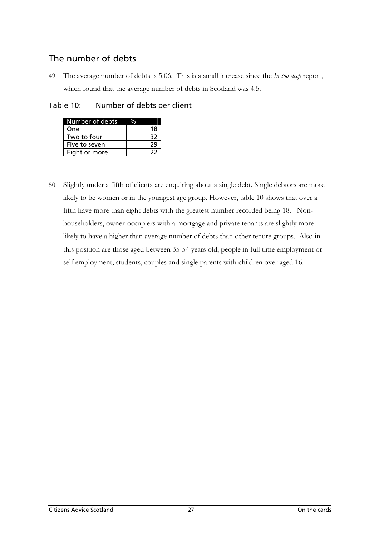# The number of debts

49. The average number of debts is 5.06. This is a small increase since the *In too deep* report, which found that the average number of debts in Scotland was 4.5.

Table 10: Number of debts per client

| Number of debts |    |
|-----------------|----|
| One             | 18 |
| Two to four     | 32 |
| Five to seven   | 79 |
| Eight or more   | 22 |

50. Slightly under a fifth of clients are enquiring about a single debt. Single debtors are more likely to be women or in the youngest age group. However, table 10 shows that over a fifth have more than eight debts with the greatest number recorded being 18. Nonhouseholders, owner-occupiers with a mortgage and private tenants are slightly more likely to have a higher than average number of debts than other tenure groups. Also in this position are those aged between 35-54 years old, people in full time employment or self employment, students, couples and single parents with children over aged 16.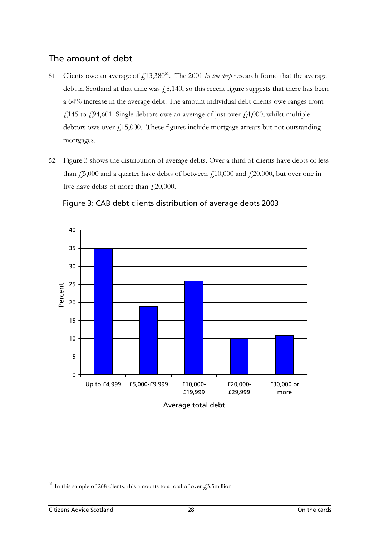# The amount of debt

- [51.](#page-42-0) Clients owe an average of  $f_{1}13,380^{51}$ . The 2001 *In too deep* research found that the average debt in Scotland at that time was  $\ell$ 8,140, so this recent figure suggests that there has been a 64% increase in the average debt. The amount individual debt clients owe ranges from £145 to £94,601. Single debtors owe an average of just over £4,000, whilst multiple debtors owe over  $f(15,000)$ . These figures include mortgage arrears but not outstanding mortgages.
- 52. Figure 3 shows the distribution of average debts. Over a third of clients have debts of less than  $\ddot{E}$ ,000 and a quarter have debts of between  $\ddot{E}$  (10,000 and  $\ddot{E}$  20,000, but over one in five have debts of more than  $\text{\emph{420,000}}$ .



Figure 3: CAB debt clients distribution of average debts 2003

<span id="page-42-0"></span><sup>51</sup> In this sample of 268 clients, this amounts to a total of over  $\text{\emph{f}}_3$ .5million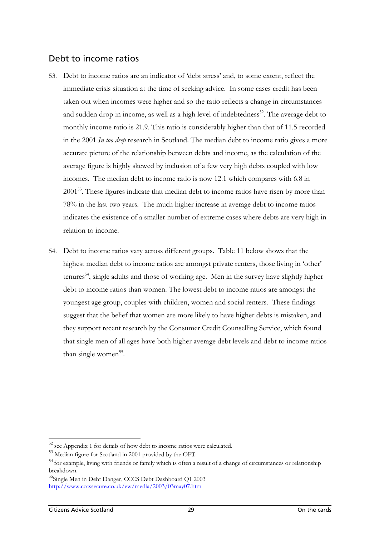# Debt to income ratios

- 53. Debt to income ratios are an indicator of 'debt stress' and, to some extent, reflect the immediate crisis situation at the time of seeking advice. In some cases credit has been taken out when incomes were higher and so the ratio reflects a change in circumstances and sudden drop in income, as well as a high level of indebtedness<sup>52</sup>. The average debt to monthly income ratio is 21.9. This ratio is considerably higher than that of 11.5 recorded in the 2001 *In too deep* research in Scotland. The median debt to income ratio gives a more accurate picture of the relationship between debts and income, as the calculation of the average figure is highly skewed by inclusion of a few very high debts coupled with low incomes. The median debt to income ratio is now 12.1 which compares with 6.8 in 2001<sup>53</sup>. These figures indicate that median debt to income ratios have risen by more than 78% in the last two years. The much higher increase in average debt to income ratios indicates the existence of a smaller number of extreme cases where debts are very high in relation to income.
- 54. Debt to income ratios vary across different groups. Table 11 below shows that the highest median debt to income ratios are amongst private renters, those living in 'other' tenures<sup>54</sup>, single adults and those of working age. Men in the survey have slightly higher debt to income ratios than women. The lowest debt to income ratios are amongst the youngest age group, couples with children, women and social renters. These findings suggest that the belief that women are more likely to have higher debts is mistaken, and they support recent research by the Consumer Credit Counselling Service, which found that single men of all ages have both higher average debt levels and debt to income ratios than single women<sup>55</sup>.

<span id="page-43-0"></span><sup>52</sup> see Appendix 1 for details of how debt to income ratios were calculated.

<span id="page-43-1"></span><sup>53</sup> Median figure for Scotland in 2001 provided by the OFT.

<span id="page-43-2"></span><sup>&</sup>lt;sup>54</sup> for example, living with friends or family which is often a result of a change of circumstances or relationship breakdown.<br><sup>55</sup>Single Men in Debt Danger, CCCS Debt Dashboard Q1 2003

<span id="page-43-3"></span><http://www.cccssecure.co.uk/ew/media/2003/03may07.htm>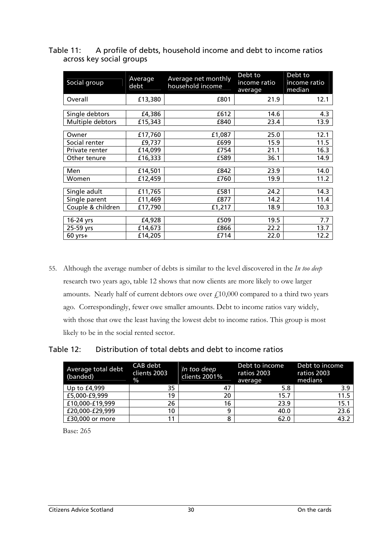Table 11: A profile of debts, household income and debt to income ratios across key social groups

| Social group      | Average<br>debt | Average net monthly<br>household income | Debt to<br>income ratio<br>average | Debt to<br>income ratio<br>median |
|-------------------|-----------------|-----------------------------------------|------------------------------------|-----------------------------------|
| Overall           | £13,380         | £801                                    | 21.9                               | 12.1                              |
|                   |                 |                                         |                                    |                                   |
| Single debtors    | £4,386          | £612                                    | 14.6                               | 4.3                               |
| Multiple debtors  | £15,343         | £840                                    | 23.4                               | 13.9                              |
|                   |                 |                                         |                                    |                                   |
| Owner             | £17,760         | £1,087                                  | 25.0                               | 12.1                              |
| Social renter     | £9,737          | £699                                    | 15.9                               | 11.5                              |
| Private renter    | £14,099         | £754                                    | 21.1                               | 16.3                              |
| Other tenure      | £16,333         | £589                                    | 36.1                               | 14.9                              |
|                   |                 |                                         |                                    |                                   |
| Men               | £14,501         | £842                                    | 23.9                               | 14.0                              |
| Women             | £12,459         | £760                                    | 19.9                               | 11.2                              |
|                   |                 |                                         |                                    |                                   |
| Single adult      | £11,765         | £581                                    | 24.2                               | 14.3                              |
| Single parent     | £11,469         | £877                                    | 14.2                               | 11.4                              |
| Couple & children | £17,790         | £1,217                                  | 18.9                               | 10.3                              |
|                   |                 |                                         |                                    |                                   |
| 16-24 yrs         | £4,928          | £509                                    | 19.5                               | 7.7                               |
| 25-59 yrs         | £14,673         | £866                                    | 22.2                               | 13.7                              |
| $60$ yrs+         | £14,205         | £714                                    | 22.0                               | 12.2                              |

55. Although the average number of debts is similar to the level discovered in the *In too deep* research two years ago, table 12 shows that now clients are more likely to owe larger amounts. Nearly half of current debtors owe over  $f<sub>1</sub>10,000$  compared to a third two years ago. Correspondingly, fewer owe smaller amounts. Debt to income ratios vary widely, with those that owe the least having the lowest debt to income ratios. This group is most likely to be in the social rented sector.

Table 12: Distribution of total debts and debt to income ratios

| Average total debt<br>(banded) | CAB debt<br>clients 2003<br>$\frac{9}{6}$ | In too deep<br>clients 2001% | Debt to income<br>ratios 2003<br>average | Debt to income<br>ratios 2003<br>medians |
|--------------------------------|-------------------------------------------|------------------------------|------------------------------------------|------------------------------------------|
| Up to £4,999                   | 35                                        | 47                           | 5.8                                      | 3.9                                      |
| £5,000-£9,999                  | 19                                        | 20                           | 15.7                                     | 11.5                                     |
| £10,000-£19,999                | 26                                        | 16                           | 23.9                                     | 15.1                                     |
| £20,000-£29,999                | 10                                        | q                            | 40.0                                     | 23.6                                     |
| £30,000 or more                | 11                                        | 8                            | 62.0                                     | 43.2                                     |

Base: 265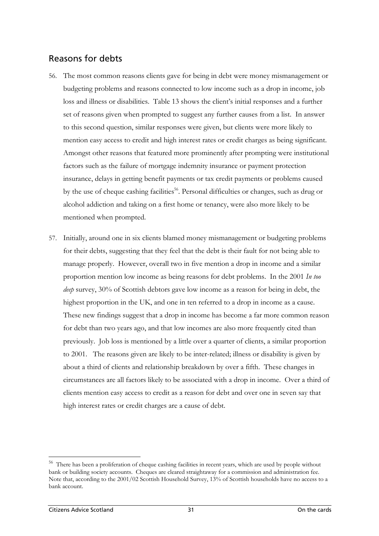# Reasons for debts

- 56. The most common reasons clients gave for being in debt were money mismanagement or budgeting problems and reasons connected to low income such as a drop in income, job loss and illness or disabilities. Table 13 shows the client's initial responses and a further set of reasons given when prompted to suggest any further causes from a list. In answer to this second question, similar responses were given, but clients were more likely to mention easy access to credit and high interest rates or credit charges as being significant. Amongst other reasons that featured more prominently after prompting were institutional factors such as the failure of mortgage indemnity insurance or payment protection insurance, delays in getting benefit payments or tax credit payments or problems caused by the use of cheque cashing facilities<sup>56</sup>. Personal difficulties or changes, such as drug or alcohol addiction and taking on a first home or tenancy, were also more likely to be mentioned when prompted.
- 57. Initially, around one in six clients blamed money mismanagement or budgeting problems for their debts, suggesting that they feel that the debt is their fault for not being able to manage properly. However, overall two in five mention a drop in income and a similar proportion mention low income as being reasons for debt problems. In the 2001 *In too deep* survey, 30% of Scottish debtors gave low income as a reason for being in debt, the highest proportion in the UK, and one in ten referred to a drop in income as a cause. These new findings suggest that a drop in income has become a far more common reason for debt than two years ago, and that low incomes are also more frequently cited than previously. Job loss is mentioned by a little over a quarter of clients, a similar proportion to 2001. The reasons given are likely to be inter-related; illness or disability is given by about a third of clients and relationship breakdown by over a fifth. These changes in circumstances are all factors likely to be associated with a drop in income. Over a third of clients mention easy access to credit as a reason for debt and over one in seven say that high interest rates or credit charges are a cause of debt.

<span id="page-45-0"></span><sup>&</sup>lt;sup>56</sup> There has been a proliferation of cheque cashing facilities in recent years, which are used by people without bank or building society accounts. Cheques are cleared straightaway for a commission and administration fee. Note that, according to the 2001/02 Scottish Household Survey, 13% of Scottish households have no access to a bank account.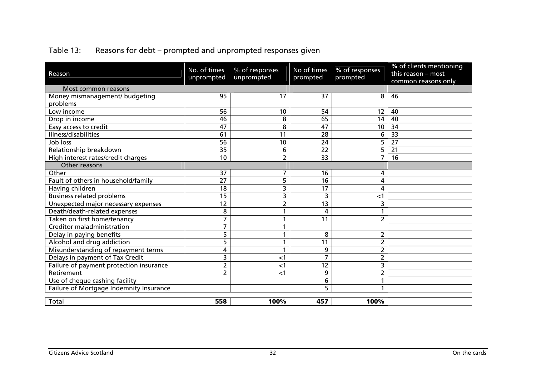| Reason                                  | No. of times<br>unprompted | % of responses<br>unprompted | No of times<br>prompted | % of responses<br>prompted | % of clients mentioning<br>this reason - most<br>common reasons only |  |  |
|-----------------------------------------|----------------------------|------------------------------|-------------------------|----------------------------|----------------------------------------------------------------------|--|--|
| Most common reasons                     |                            |                              |                         |                            |                                                                      |  |  |
| Money mismanagement/ budgeting          | 95                         | 17                           | 37                      | 8                          | 46                                                                   |  |  |
| problems                                |                            |                              |                         |                            |                                                                      |  |  |
| Low income                              | 56                         | 10                           | 54                      | 12                         | 40                                                                   |  |  |
| Drop in income                          | 46                         | 8                            | 65                      | 14                         | 40                                                                   |  |  |
| Easy access to credit                   | 47                         | 8                            | 47                      | 10                         | 34                                                                   |  |  |
| Illness/disabilities                    | 61                         | 11                           | 28                      | 6                          | $\overline{33}$                                                      |  |  |
| Job loss                                | 56                         | 10                           | 24                      | 5                          | $\overline{27}$                                                      |  |  |
| Relationship breakdown                  | $\overline{35}$            | 6                            | $\overline{22}$         | $\overline{5}$             | $\overline{21}$                                                      |  |  |
| High interest rates/credit charges      | 10                         | $\overline{2}$               | 33                      | 7                          | 16                                                                   |  |  |
| Other reasons                           |                            |                              |                         |                            |                                                                      |  |  |
| Other                                   | 37                         | 7                            | 16                      | 4                          |                                                                      |  |  |
| Fault of others in household/family     | $\overline{27}$            | 5                            | 16                      | 4                          |                                                                      |  |  |
| Having children                         | 18                         | 3                            | 17                      | 4                          |                                                                      |  |  |
| <b>Business related problems</b>        | 15                         | 3                            | 3                       | $<$ 1                      |                                                                      |  |  |
| Unexpected major necessary expenses     | 12                         | $\overline{2}$               | 13                      | 3                          |                                                                      |  |  |
| Death/death-related expenses            | 8                          | 1                            | 4                       |                            |                                                                      |  |  |
| Taken on first home/tenancy             | 7                          | 1                            | 11                      | $\overline{2}$             |                                                                      |  |  |
| Creditor maladministration              | $\overline{7}$             | $\mathbf{1}$                 |                         |                            |                                                                      |  |  |
| Delay in paying benefits                | 5                          |                              | 8                       | 2                          |                                                                      |  |  |
| Alcohol and drug addiction              | 5                          | 1                            | 11                      | 2                          |                                                                      |  |  |
| Misunderstanding of repayment terms     | 4                          | 1                            | 9                       | 2                          |                                                                      |  |  |
| Delays in payment of Tax Credit         | 3                          | $<$ 1                        | 7                       | 2                          |                                                                      |  |  |
| Failure of payment protection insurance | 2                          | $<$ 1                        | 12                      | 3                          |                                                                      |  |  |
| Retirement                              | 2                          | $<$ 1                        | 9                       | $\overline{2}$             |                                                                      |  |  |
| Use of cheque cashing facility          |                            |                              | 6                       |                            |                                                                      |  |  |
| Failure of Mortgage Indemnity Insurance |                            |                              | 5                       |                            |                                                                      |  |  |
|                                         |                            |                              |                         |                            |                                                                      |  |  |
| Total                                   | 558                        | 100%                         | 457                     | 100%                       |                                                                      |  |  |

# Table 13: Reasons for debt – prompted and unprompted responses given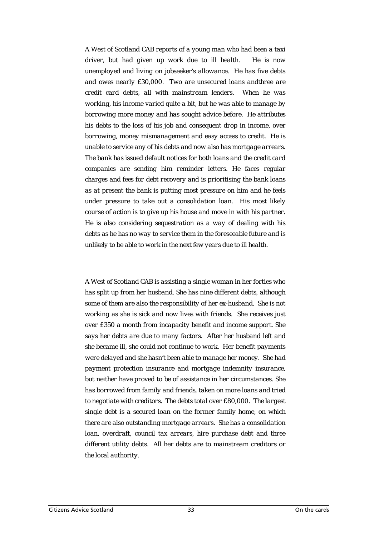*A West of Scotland CAB reports of a young man who had been a taxi driver, but had given up work due to ill health. He is now unemployed and living on jobseeker's allowance. He has five debts and owes nearly £30,000. Two are unsecured loans andthree are credit card debts, all with mainstream lenders. When he was working, his income varied quite a bit, but he was able to manage by borrowing more money and has sought advice before. He attributes his debts to the loss of his job and consequent drop in income, over borrowing, money mismanagement and easy access to credit. He is unable to service any of his debts and now also has mortgage arrears. The bank has issued default notices for both loans and the credit card companies are sending him reminder letters. He faces regular charges and fees for debt recovery and is prioritising the bank loans as at present the bank is putting most pressure on him and he feels under pressure to take out a consolidation loan. His most likely course of action is to give up his house and move in with his partner. He is also considering sequestration as a way of dealing with his debts as he has no way to service them in the foreseeable future and is unlikely to be able to work in the next few years due to ill health.* 

*A West of Scotland CAB is assisting a single woman in her forties who has split up from her husband. She has nine different debts, although some of them are also the responsibility of her ex-husband. She is not working as she is sick and now lives with friends. She receives just over £350 a month from incapacity benefit and income support. She says her debts are due to many factors. After her husband left and she became ill, she could not continue to work. Her benefit payments were delayed and she hasn't been able to manage her money. She had payment protection insurance and mortgage indemnity insurance, but neither have proved to be of assistance in her circumstances. She has borrowed from family and friends, taken on more loans and tried to negotiate with creditors. The debts total over £80,000. The largest single debt is a secured loan on the former family home, on which there are also outstanding mortgage arrears. She has a consolidation loan, overdraft, council tax arrears, hire purchase debt and three different utility debts. All her debts are to mainstream creditors or the local authority.*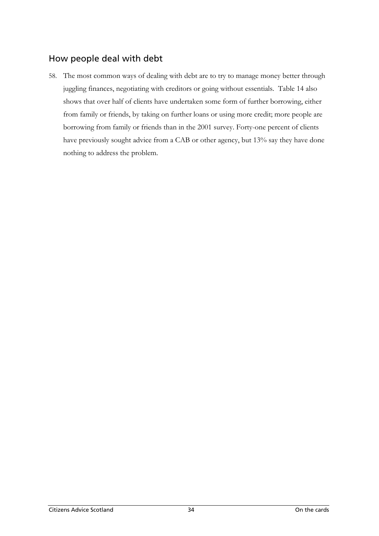# How people deal with debt

58. The most common ways of dealing with debt are to try to manage money better through juggling finances, negotiating with creditors or going without essentials. Table 14 also shows that over half of clients have undertaken some form of further borrowing, either from family or friends, by taking on further loans or using more credit; more people are borrowing from family or friends than in the 2001 survey. Forty-one percent of clients have previously sought advice from a CAB or other agency, but 13% say they have done nothing to address the problem.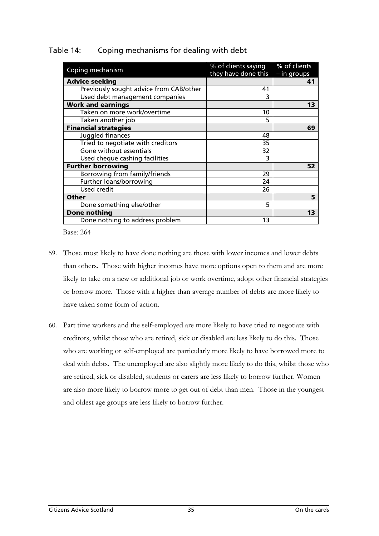| Coping mechanism                        | % of clients saying<br>they have done this | % of clients<br>- in groups |
|-----------------------------------------|--------------------------------------------|-----------------------------|
| <b>Advice seeking</b>                   |                                            | 41                          |
| Previously sought advice from CAB/other | 41                                         |                             |
| Used debt management companies          | 3                                          |                             |
| <b>Work and earnings</b>                |                                            | 13                          |
| Taken on more work/overtime             | 10                                         |                             |
| Taken another job                       | 5                                          |                             |
| <b>Financial strategies</b>             |                                            | 69                          |
| Juggled finances                        | 48                                         |                             |
| Tried to negotiate with creditors       | 35                                         |                             |
| Gone without essentials                 | 32                                         |                             |
| Used cheque cashing facilities          | 3                                          |                             |
| <b>Further borrowing</b>                |                                            | 52                          |
| Borrowing from family/friends           | 29                                         |                             |
| Further loans/borrowing                 | 24                                         |                             |
| <b>Used credit</b>                      | 26                                         |                             |
| <b>Other</b>                            |                                            | 5                           |
| Done something else/other               | 5                                          |                             |
| <b>Done nothing</b>                     |                                            | 13                          |
| Done nothing to address problem         | 13                                         |                             |

### Table 14: Coping mechanisms for dealing with debt

Base: 264

- 59. Those most likely to have done nothing are those with lower incomes and lower debts than others. Those with higher incomes have more options open to them and are more likely to take on a new or additional job or work overtime, adopt other financial strategies or borrow more. Those with a higher than average number of debts are more likely to have taken some form of action.
- 60. Part time workers and the self-employed are more likely to have tried to negotiate with creditors, whilst those who are retired, sick or disabled are less likely to do this. Those who are working or self-employed are particularly more likely to have borrowed more to deal with debts. The unemployed are also slightly more likely to do this, whilst those who are retired, sick or disabled, students or carers are less likely to borrow further. Women are also more likely to borrow more to get out of debt than men. Those in the youngest and oldest age groups are less likely to borrow further.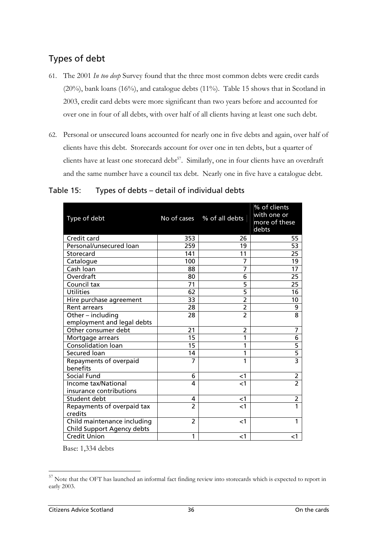# Types of debt

- 61. The 2001 *In too deep* Survey found that the three most common debts were credit cards (20%), bank loans (16%), and catalogue debts (11%).Table 15 shows that in Scotland in 2003, credit card debts were more significant than two years before and accounted for over one in four of all debts, with over half of all clients having at least one such debt.
- 62. Personal or unsecured loans accounted for nearly one in five debts and again, over half of clients have this debt. Storecards account for over one in ten debts, but a quarter of clients have at least one storecard debt<sup>57</sup>. Similarly, one in four clients have an overdraft and the same number have a council tax debt. Nearly one in five have a catalogue debt.

| Type of debt                                              | No of cases    | % of all debts | % of clients<br>with one or<br>more of these<br>debts |
|-----------------------------------------------------------|----------------|----------------|-------------------------------------------------------|
| Credit card                                               | 353            | 26             | 55                                                    |
| Personal/unsecured loan                                   | 259            | 19             | 53                                                    |
| Storecard                                                 | 141            | 11             | 25                                                    |
| Catalogue                                                 | 100            | 7              | 19                                                    |
| Cash Ioan                                                 | 88             | 7              | 17                                                    |
| Overdraft                                                 | 80             | 6              | 25                                                    |
| Council tax                                               | 71             | 5              | 25                                                    |
| <b>Utilities</b>                                          | 62             | 5              | 16                                                    |
| Hire purchase agreement                                   | 33             | $\overline{2}$ | 10                                                    |
| <b>Rent arrears</b>                                       | 28             | 2              | 9                                                     |
| Other - including                                         | 28             | $\overline{2}$ | 8                                                     |
| employment and legal debts                                |                |                |                                                       |
| Other consumer debt                                       | 21             | 2              | 7                                                     |
| Mortgage arrears                                          | 15             | 1              | 6                                                     |
| <b>Consolidation loan</b>                                 | 15             | 1              | 5                                                     |
| Secured loan                                              | 14             | 1              | 5                                                     |
| Repayments of overpaid<br>benefits                        | $\overline{7}$ | 1              | $\overline{3}$                                        |
| Social Fund                                               | 6              | $<$ 1          | 2                                                     |
| <b>Income tax/National</b>                                | 4              | $<$ 1          | $\overline{2}$                                        |
| insurance contributions                                   |                |                |                                                       |
| Student debt                                              | 4              | $<$ 1          | 2                                                     |
| Repayments of overpaid tax<br>credits                     | $\overline{2}$ | $\leq$ 1       | $\overline{1}$                                        |
| Child maintenance including<br>Child Support Agency debts | $\overline{2}$ | $<$ 1          | 1                                                     |
| <b>Credit Union</b>                                       | 1              | $<$ 1          | $<$ 1                                                 |

### Table 15: Types of debts – detail of individual debts

Base: 1,334 debts

<span id="page-50-0"></span><sup>57</sup> Note that the OFT has launched an informal fact finding review into storecards which is expected to report in early 2003.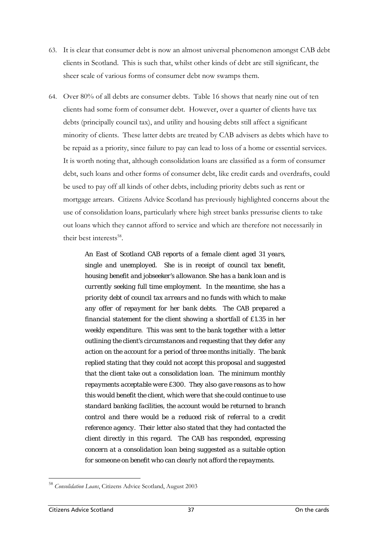- 63. It is clear that consumer debt is now an almost universal phenomenon amongst CAB debt clients in Scotland. This is such that, whilst other kinds of debt are still significant, the sheer scale of various forms of consumer debt now swamps them.
- 64. Over 80% of all debts are consumer debts. Table 16 shows that nearly nine out of ten clients had some form of consumer debt. However, over a quarter of clients have tax debts (principally council tax), and utility and housing debts still affect a significant minority of clients. These latter debts are treated by CAB advisers as debts which have to be repaid as a priority, since failure to pay can lead to loss of a home or essential services. It is worth noting that, although consolidation loans are classified as a form of consumer debt, such loans and other forms of consumer debt, like credit cards and overdrafts, could be used to pay off all kinds of other debts, including priority debts such as rent or mortgage arrears. Citizens Advice Scotland has previously highlighted concerns about the use of consolidation loans, particularly where high street banks pressurise clients to take out loans which they cannot afford to service and which are therefore not necessarily in their best interests $^{58}$ .

*An East of Scotland CAB reports of a female client aged 31 years, single and unemployed. She is in receipt of council tax benefit, housing benefit and jobseeker's allowance. She has a bank loan and is currently seeking full time employment. In the meantime, she has a priority debt of council tax arrears and no funds with which to make any offer of repayment for her bank debts. The CAB prepared a financial statement for the client showing a shortfall of £1.35 in her weekly expenditure. This was sent to the bank together with a letter outlining the client's circumstances and requesting that they defer any action on the account for a period of three months initially. The bank replied stating that they could not accept this proposal and suggested that the client take out a consolidation loan. The minimum monthly repayments acceptable were £300. They also gave reasons as to how this would benefit the client, which were that she could continue to use standard banking facilities, the account would be returned to branch control and there would be a reduced risk of referral to a credit reference agency. Their letter also stated that they had contacted the client directly in this regard. The CAB has responded, expressing concern at a consolidation loan being suggested as a suitable option for someone on benefit who can clearly not afford the repayments.* 

 $\overline{a}$ 

<span id="page-51-0"></span><sup>58</sup> *Consolidation Loans*, Citizens Advice Scotland, August 2003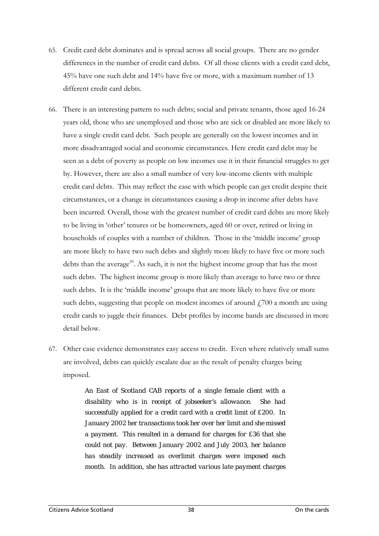- 65. Credit card debt dominates and is spread across all social groups. There are no gender differences in the number of credit card debts. Of all those clients with a credit card debt, 45% have one such debt and 14% have five or more, with a maximum number of 13 different credit card debts.
- 66. There is an interesting pattern to such debts; social and private tenants, those aged 16-24 years old, those who are unemployed and those who are sick or disabled are more likely to have a single credit card debt. Such people are generally on the lowest incomes and in more disadvantaged social and economic circumstances. Here credit card debt may be seen as a debt of poverty as people on low incomes use it in their financial struggles to get by. However, there are also a small number of very low-income clients with multiple credit card debts. This may reflect the ease with which people can get credit despite their circumstances, or a change in circumstances causing a drop in income after debts have been incurred. Overall, those with the greatest number of credit card debts are more likely to be living in 'other' tenures or be homeowners, aged 60 or over, retired or living in households of couples with a number of children. Those in the 'middle income' group are more likely to have two such debts and slightly more likely to have five or more such debts than the average<sup>59</sup>. As such, it is not the highest income group that has the most such debts. The highest income group is more likely than average to have two or three such debts. It is the 'middle income' groups that are more likely to have five or more such debts, suggesting that people on modest incomes of around  $\ddot{f}$  700 a month are using credit cards to juggle their finances. Debt profiles by income bands are discussed in more detail below.
- 67. Other case evidence demonstrates easy access to credit. Even where relatively small sums are involved, debts can quickly escalate due as the result of penalty charges being imposed.

<span id="page-52-0"></span>*An East of Scotland CAB reports of a single female client with a disability who is in receipt of jobseeker's allowance. She had successfully applied for a credit card with a credit limit of £200. In January 2002 her transactions took her over her limit and she missed a payment. This resulted in a demand for charges for £36 that she could not pay. Between January 2002 and July 2003, her balance has steadily increased as overlimit charges were imposed each month. In addition, she has attracted various late payment charges*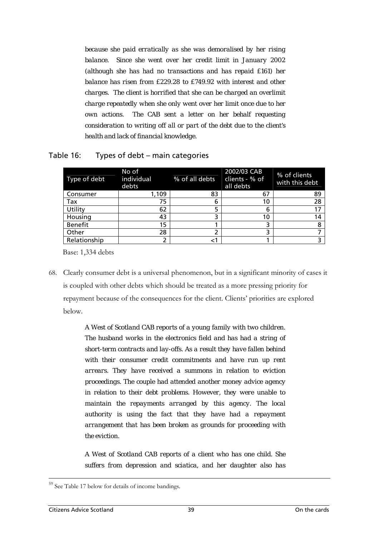*because she paid erratically as she was demoralised by her rising balance. Since she went over her credit limit in January 2002 (although she has had no transactions and has repaid £161) her balance has risen from £229.28 to £749.92 with interest and other charges. The client is horrified that she can be charged an overlimit charge repeatedly when she only went over her limit once due to her own actions. The CAB sent a letter on her behalf requesting consideration to writing off all or part of the debt due to the client's health and lack of financial knowledge.*

| Type of debt   | No of<br>individual<br>debts | % of all debts | 2002/03 CAB<br>clients - % of<br>all debts | % of clients<br>with this debt |
|----------------|------------------------------|----------------|--------------------------------------------|--------------------------------|
| Consumer       | 1,109                        | 83             | 67                                         | 89                             |
| Tax            | 75                           | 6              | 10                                         | 28                             |
| Utility        | 62                           |                | 6                                          |                                |
| Housing        | 43                           | 3              | 10                                         | 14                             |
| <b>Benefit</b> | 15                           |                |                                            |                                |
| Other          | 28                           |                |                                            |                                |
| Relationship   |                              |                |                                            |                                |

#### Table 16: Types of debt – main categories

Base: 1,334 debts

68. Clearly consumer debt is a universal phenomenon, but in a significant minority of cases it is coupled with other debts which should be treated as a more pressing priority for repayment because of the consequences for the client. Clients' priorities are explored below.

> *A West of Scotland CAB reports of a young family with two children. The husband works in the electronics field and has had a string of short-term contracts and lay-offs. As a result they have fallen behind with their consumer credit commitments and have run up rent arrears. They have received a summons in relation to eviction proceedings. The couple had attended another money advice agency in relation to their debt problems. However, they were unable to maintain the repayments arranged by this agency. The local authority is using the fact that they have had a repayment arrangement that has been broken as grounds for proceeding with the eviction.*

> *A West of Scotland CAB reports of a client who has one child. She suffers from depression and sciatica, and her daughter also has*

 $\overline{a}$ 

See Table 17 below for details of income bandings.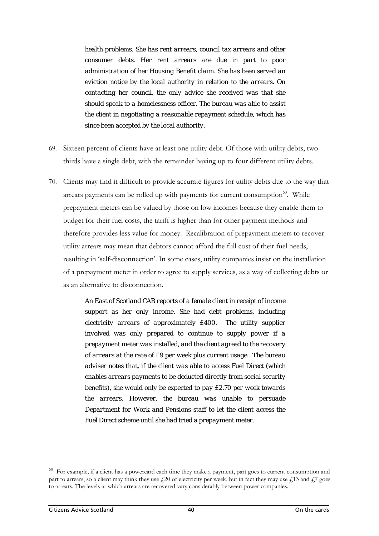*health problems. She has rent arrears, council tax arrears and other consumer debts. Her rent arrears are due in part to poor administration of her Housing Benefit claim. She has been served an eviction notice by the local authority in relation to the arrears. On contacting her council, the only advice she received was that she should speak to a homelessness officer. The bureau was able to assist the client in negotiating a reasonable repayment schedule, which has since been accepted by the local authority.* 

- 69. Sixteen percent of clients have at least one utility debt. Of those with utility debts, two thirds have a single debt, with the remainder having up to four different utility debts.
- 70. Clients may find it difficult to provide accurate figures for utility debts due to the way that arrears payments can be rolled up with payments for current consumption $60$ . While prepayment meters can be valued by those on low incomes because they enable them to budget for their fuel costs, the tariff is higher than for other payment methods and therefore provides less value for money. Recalibration of prepayment meters to recover utility arrears may mean that debtors cannot afford the full cost of their fuel needs, resulting in 'self-disconnection'. In some cases, utility companies insist on the installation of a prepayment meter in order to agree to supply services, as a way of collecting debts or as an alternative to disconnection.

*An East of Scotland CAB reports of a female client in receipt of income support as her only income. She had debt problems, including electricity arrears of approximately £400. The utility supplier involved was only prepared to continue to supply power if a prepayment meter was installed, and the client agreed to the recovery of arrears at the rate of £9 per week plus current usage. The bureau adviser notes that, if the client was able to access Fuel Direct (which enables arrears payments to be deducted directly from social security benefits), she would only be expected to pay £2.70 per week towards the arrears. However, the bureau was unable to persuade Department for Work and Pensions staff to let the client access the Fuel Direct scheme until she had tried a prepayment meter.*

<span id="page-54-0"></span>For example, if a client has a powercard each time they make a payment, part goes to current consumption and part to arrears, so a client may think they use  $\ell$ 20 of electricity per week, but in fact they may use  $\ell$ 13 and  $\ell$ 7 goes to arrears. The levels at which arrears are recovered vary considerably between power companies.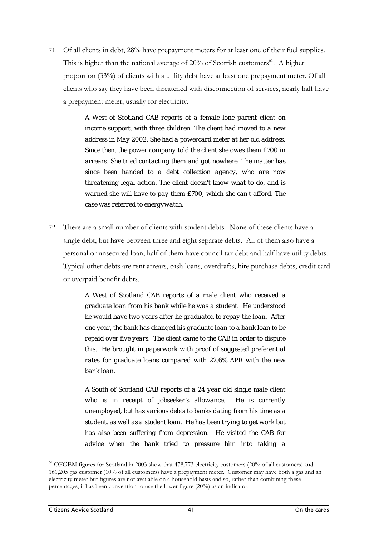71. Of all clients in debt, 28% have prepayment meters for at least one of their fuel supplies. This is higher than the national average of  $20\%$  of Scottish customers<sup>61</sup>. A higher proportion (33%) of clients with a utility debt have at least one prepayment meter. Of all clients who say they have been threatened with disconnection of services, nearly half have a prepayment meter, usually for electricity.

> *A West of Scotland CAB reports of a female lone parent client on income support, with three children. The client had moved to a new address in May 2002. She had a powercard meter at her old address. Since then, the power company told the client she owes them £700 in arrears. She tried contacting them and got nowhere. The matter has since been handed to a debt collection agency, who are now threatening legal action. The client doesn't know what to do, and is warned she will have to pay them £700, which she can't afford. The case was referred to energywatch.*

72. There are a small number of clients with student debts. None of these clients have a single debt, but have between three and eight separate debts. All of them also have a personal or unsecured loan, half of them have council tax debt and half have utility debts. Typical other debts are rent arrears, cash loans, overdrafts, hire purchase debts, credit card or overpaid benefit debts.

> *A West of Scotland CAB reports of a male client who received a graduate loan from his bank while he was a student. He understood he would have two years after he graduated to repay the loan. After one year, the bank has changed his graduate loan to a bank loan to be repaid over five years. The client came to the CAB in order to dispute this. He brought in paperwork with proof of suggested preferential rates for graduate loans compared with 22.6% APR with the new bank loan.*

> *A South of Scotland CAB reports of a 24 year old single male client who is in receipt of jobseeker's allowance. He is currently unemployed, but has various debts to banks dating from his time as a student, as well as a student loan. He has been trying to get work but has also been suffering from depression. He visited the CAB for advice when the bank tried to pressure him into taking a*

<span id="page-55-0"></span><sup>61</sup> OFGEM figures for Scotland in 2003 show that 478,773 electricity customers (20% of all customers) and 161,205 gas customer (10% of all customers) have a prepayment meter. Customer may have both a gas and an electricity meter but figures are not available on a household basis and so, rather than combining these percentages, it has been convention to use the lower figure (20%) as an indicator.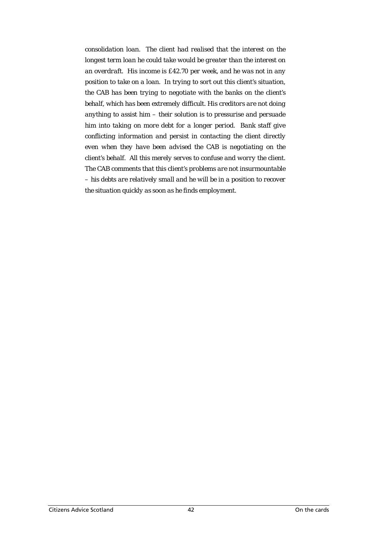*consolidation loan. The client had realised that the interest on the longest term loan he could take would be greater than the interest on an overdraft. His income is £42.70 per week, and he was not in any position to take on a loan. In trying to sort out this client's situation, the CAB has been trying to negotiate with the banks on the client's behalf, which has been extremely difficult. His creditors are not doing anything to assist him – their solution is to pressurise and persuade him into taking on more debt for a longer period. Bank staff give conflicting information and persist in contacting the client directly even when they have been advised the CAB is negotiating on the client's behalf. All this merely serves to confuse and worry the client. The CAB comments that this client's problems are not insurmountable – his debts are relatively small and he will be in a position to recover the situation quickly as soon as he finds employment.*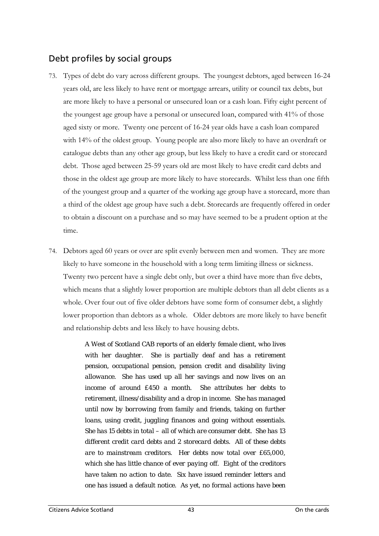# Debt profiles by social groups

- 73. Types of debt do vary across different groups. The youngest debtors, aged between 16-24 years old, are less likely to have rent or mortgage arrears, utility or council tax debts, but are more likely to have a personal or unsecured loan or a cash loan. Fifty eight percent of the youngest age group have a personal or unsecured loan, compared with 41% of those aged sixty or more. Twenty one percent of 16-24 year olds have a cash loan compared with 14% of the oldest group. Young people are also more likely to have an overdraft or catalogue debts than any other age group, but less likely to have a credit card or storecard debt. Those aged between 25-59 years old are most likely to have credit card debts and those in the oldest age group are more likely to have storecards. Whilst less than one fifth of the youngest group and a quarter of the working age group have a storecard, more than a third of the oldest age group have such a debt. Storecards are frequently offered in order to obtain a discount on a purchase and so may have seemed to be a prudent option at the time.
- 74. Debtors aged 60 years or over are split evenly between men and women. They are more likely to have someone in the household with a long term limiting illness or sickness. Twenty two percent have a single debt only, but over a third have more than five debts, which means that a slightly lower proportion are multiple debtors than all debt clients as a whole. Over four out of five older debtors have some form of consumer debt, a slightly lower proportion than debtors as a whole. Older debtors are more likely to have benefit and relationship debts and less likely to have housing debts.

*A West of Scotland CAB reports of an elderly female client, who lives with her daughter. She is partially deaf and has a retirement pension, occupational pension, pension credit and disability living allowance. She has used up all her savings and now lives on an income of around £450 a month. She attributes her debts to retirement, illness/disability and a drop in income. She has managed until now by borrowing from family and friends, taking on further loans, using credit, juggling finances and going without essentials. She has 15 debts in total – all of which are consumer debt. She has 13 different credit card debts and 2 storecard debts. All of these debts are to mainstream creditors. Her debts now total over £65,000, which she has little chance of ever paying off. Eight of the creditors have taken no action to date. Six have issued reminder letters and one has issued a default notice. As yet, no formal actions have been*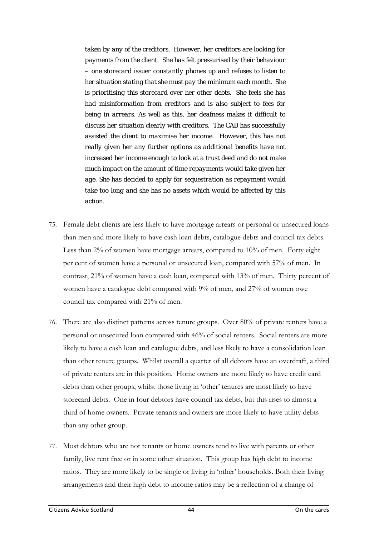*taken by any of the creditors. However, her creditors are looking for payments from the client. She has felt pressurised by their behaviour – one storecard issuer constantly phones up and refuses to listen to her situation stating that she must pay the minimum each month. She is prioritising this storecard over her other debts. She feels she has had misinformation from creditors and is also subject to fees for being in arrears. As well as this, her deafness makes it difficult to discuss her situation clearly with creditors. The CAB has successfully assisted the client to maximise her income. However, this has not really given her any further options as additional benefits have not increased her income enough to look at a trust deed and do not make much impact on the amount of time repayments would take given her age. She has decided to apply for sequestration as repayment would take too long and she has no assets which would be affected by this action.* 

- 75. Female debt clients are less likely to have mortgage arrears or personal or unsecured loans than men and more likely to have cash loan debts, catalogue debts and council tax debts. Less than 2% of women have mortgage arrears, compared to 10% of men. Forty eight per cent of women have a personal or unsecured loan, compared with 57% of men. In contrast, 21% of women have a cash loan, compared with 13% of men. Thirty percent of women have a catalogue debt compared with 9% of men, and 27% of women owe council tax compared with 21% of men.
- 76. There are also distinct patterns across tenure groups. Over 80% of private renters have a personal or unsecured loan compared with 46% of social renters. Social renters are more likely to have a cash loan and catalogue debts, and less likely to have a consolidation loan than other tenure groups. Whilst overall a quarter of all debtors have an overdraft, a third of private renters are in this position. Home owners are more likely to have credit card debts than other groups, whilst those living in 'other' tenures are most likely to have storecard debts. One in four debtors have council tax debts, but this rises to almost a third of home owners. Private tenants and owners are more likely to have utility debts than any other group.
- 77. Most debtors who are not tenants or home owners tend to live with parents or other family, live rent free or in some other situation. This group has high debt to income ratios. They are more likely to be single or living in 'other' households. Both their living arrangements and their high debt to income ratios may be a reflection of a change of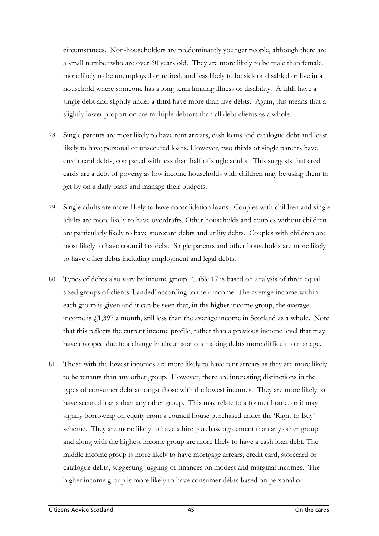circumstances. Non-householders are predominantly younger people, although there are a small number who are over 60 years old. They are more likely to be male than female, more likely to be unemployed or retired, and less likely to be sick or disabled or live in a household where someone has a long term limiting illness or disability. A fifth have a single debt and slightly under a third have more than five debts. Again, this means that a slightly lower proportion are multiple debtors than all debt clients as a whole.

- 78. Single parents are most likely to have rent arrears, cash loans and catalogue debt and least likely to have personal or unsecured loans. However, two thirds of single parents have credit card debts, compared with less than half of single adults. This suggests that credit cards are a debt of poverty as low income households with children may be using them to get by on a daily basis and manage their budgets.
- 79. Single adults are more likely to have consolidation loans. Couples with children and single adults are more likely to have overdrafts. Other households and couples without children are particularly likely to have storecard debts and utility debts. Couples with children are most likely to have council tax debt. Single parents and other households are more likely to have other debts including employment and legal debts.
- 80. Types of debts also vary by income group. Table 17 is based on analysis of three equal sized groups of clients 'banded' according to their income. The average income within each group is given and it can be seen that, in the higher income group, the average income is  $f(1,397)$  a month, still less than the average income in Scotland as a whole. Note that this reflects the current income profile, rather than a previous income level that may have dropped due to a change in circumstances making debts more difficult to manage.
- 81. Those with the lowest incomes are more likely to have rent arrears as they are more likely to be tenants than any other group. However, there are interesting distinctions in the types of consumer debt amongst those with the lowest incomes. They are more likely to have secured loans than any other group. This may relate to a former home, or it may signify borrowing on equity from a council house purchased under the 'Right to Buy' scheme. They are more likely to have a hire purchase agreement than any other group and along with the highest income group are more likely to have a cash loan debt. The middle income group is more likely to have mortgage arrears, credit card, storecard or catalogue debts, suggesting juggling of finances on modest and marginal incomes. The higher income group is more likely to have consumer debts based on personal or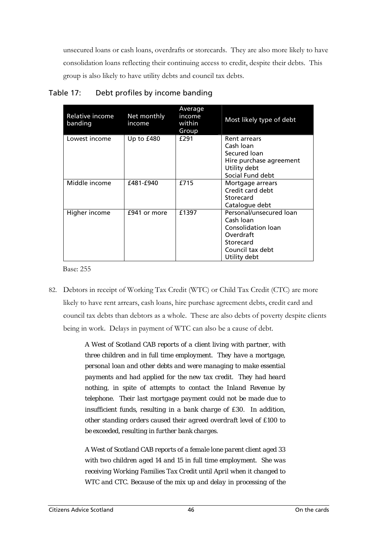unsecured loans or cash loans, overdrafts or storecards. They are also more likely to have consolidation loans reflecting their continuing access to credit, despite their debts. This group is also likely to have utility debts and council tax debts.

| Relative income<br>banding | Net monthly<br>income | Average<br>income<br>within<br>Group | Most likely type of debt                                                                                                 |
|----------------------------|-----------------------|--------------------------------------|--------------------------------------------------------------------------------------------------------------------------|
| Lowest income              | Up to $£480$          | £291                                 | <b>Rent arrears</b><br>Cash Ioan<br>Secured loan<br>Hire purchase agreement<br>Utility debt<br>Social Fund debt          |
| Middle income              | £481-£940             | £715                                 | Mortgage arrears<br>Credit card debt<br>Storecard<br>Catalogue debt                                                      |
| Higher income              | £941 or more          | £1397                                | Personal/unsecured loan<br>Cash Ioan<br>Consolidation Ioan<br>Overdraft<br>Storecard<br>Council tax debt<br>Utility debt |

### Table 17: Debt profiles by income banding

Base: 255

82. Debtors in receipt of Working Tax Credit (WTC) or Child Tax Credit (CTC) are more likely to have rent arrears, cash loans, hire purchase agreement debts, credit card and council tax debts than debtors as a whole. These are also debts of poverty despite clients being in work. Delays in payment of WTC can also be a cause of debt.

> *A West of Scotland CAB reports of a client living with partner, with three children and in full time employment. They have a mortgage, personal loan and other debts and were managing to make essential payments and had applied for the new tax credit. They had heard nothing, in spite of attempts to contact the Inland Revenue by telephone. Their last mortgage payment could not be made due to insufficient funds, resulting in a bank charge of £30. In addition, other standing orders caused their agreed overdraft level of £100 to be exceeded, resulting in further bank charges.*

> *A West of Scotland CAB reports of a female lone parent client aged 33 with two children aged 14 and 15 in full time employment. She was receiving Working Families Tax Credit until April when it changed to WTC and CTC. Because of the mix up and delay in processing of the*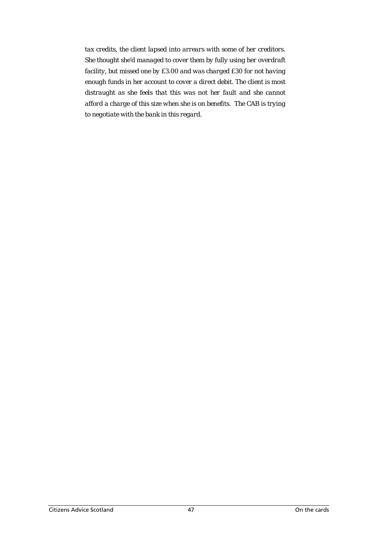*tax credits, the client lapsed into arrears with some of her creditors. She thought she'd managed to cover them by fully using her overdraft facility, but missed one by £3.00 and was charged £30 for not having enough funds in her account to cover a direct debit. The client is most distraught as she feels that this was not her fault and she cannot afford a charge of this size when she is on benefits. The CAB is trying to negotiate with the bank in this regard.*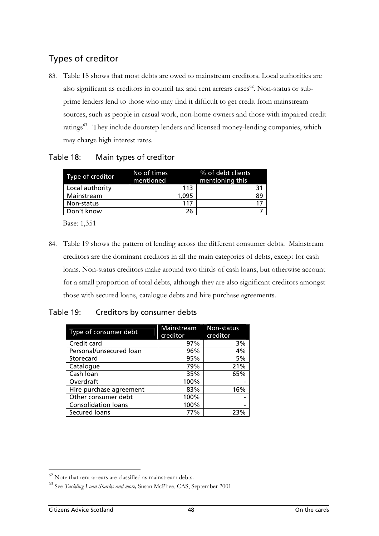# Types of creditor

83. Table 18 shows that most debts are owed to mainstream creditors. Local authorities are also significant as creditors in council tax and rent arrears cases $62$ . Non-status or subprime lenders lend to those who may find it difficult to get credit from mainstream sources, such as people in casual work, non-home owners and those with impaired credit ratings<sup>63</sup>. They include doorstep lenders and licensed money-lending companies, which may charge high interest rates.

### Table 18: Main types of creditor

| Type of creditor | No of times<br>mentioned | % of debt clients<br>mentioning this |
|------------------|--------------------------|--------------------------------------|
| Local authority  | 113                      |                                      |
| Mainstream       | 1.095                    | 89                                   |
| Non-status       | 117                      |                                      |
| Don't know       | 26                       |                                      |

Base: 1,351

84. Table 19 shows the pattern of lending across the different consumer debts. Mainstream creditors are the dominant creditors in all the main categories of debts, except for cash loans. Non-status creditors make around two thirds of cash loans, but otherwise account for a small proportion of total debts, although they are also significant creditors amongst those with secured loans, catalogue debts and hire purchase agreements.

#### Table 19: Creditors by consumer debts

| Type of consumer debt      | Mainstream<br>creditor | Non-status<br>creditor |
|----------------------------|------------------------|------------------------|
| Credit card                | 97%                    | 3%                     |
| Personal/unsecured loan    | 96%                    | 4%                     |
| Storecard                  | 95%                    | 5%                     |
| Catalogue                  | 79%                    | 21%                    |
| Cash Ioan                  | 35%                    | 65%                    |
| Overdraft                  | 100%                   |                        |
| Hire purchase agreement    | 83%                    | 16%                    |
| Other consumer debt        | 100%                   |                        |
| <b>Consolidation loans</b> | 100%                   |                        |
| Secured loans              | 77%                    | 23%                    |

 $\overline{a}$ 

<span id="page-62-0"></span> $62$  Note that rent arrears are classified as mainstream debts.

<span id="page-62-1"></span><sup>63</sup> See *Tackling Loan Sharks and more,* Susan McPhee, CAS, September 2001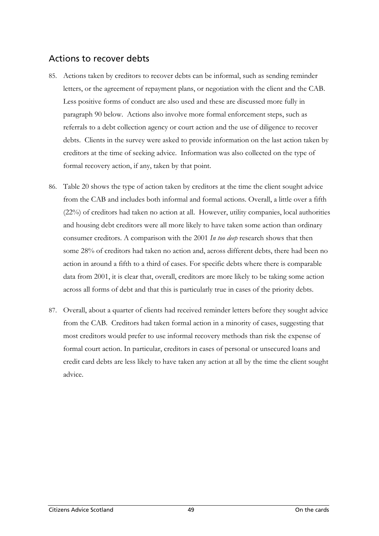# Actions to recover debts

- 85. Actions taken by creditors to recover debts can be informal, such as sending reminder letters, or the agreement of repayment plans, or negotiation with the client and the CAB. Less positive forms of conduct are also used and these are discussed more fully in paragraph [90](#page-65-0) below. Actions also involve more formal enforcement steps, such as referrals to a debt collection agency or court action and the use of diligence to recover debts. Clients in the survey were asked to provide information on the last action taken by creditors at the time of seeking advice. Information was also collected on the type of formal recovery action, if any, taken by that point.
- 86. Table 20 shows the type of action taken by creditors at the time the client sought advice from the CAB and includes both informal and formal actions. Overall, a little over a fifth (22%) of creditors had taken no action at all. However, utility companies, local authorities and housing debt creditors were all more likely to have taken some action than ordinary consumer creditors. A comparison with the 2001 *In too deep* research shows that then some 28% of creditors had taken no action and, across different debts, there had been no action in around a fifth to a third of cases. For specific debts where there is comparable data from 2001, it is clear that, overall, creditors are more likely to be taking some action across all forms of debt and that this is particularly true in cases of the priority debts.
- 87. Overall, about a quarter of clients had received reminder letters before they sought advice from the CAB. Creditors had taken formal action in a minority of cases, suggesting that most creditors would prefer to use informal recovery methods than risk the expense of formal court action. In particular, creditors in cases of personal or unsecured loans and credit card debts are less likely to have taken any action at all by the time the client sought advice.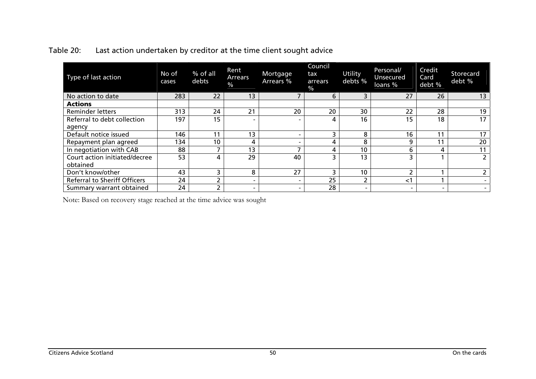| Type of last action                       | No of<br>cases | % of all<br>debts | Rent<br>Arrears<br>$\frac{9}{6}$ | Mortgage<br>Arrears %    | Council<br>tax<br>arrears<br>$\frac{1}{2}$ | Utility<br>debts %       | Personal/<br><b>Unsecured</b><br>loans % | Credit<br>Card<br>debt % | Storecard<br>debt % |
|-------------------------------------------|----------------|-------------------|----------------------------------|--------------------------|--------------------------------------------|--------------------------|------------------------------------------|--------------------------|---------------------|
| No action to date                         | 283            | 22                | 13                               |                          | 6                                          | 3                        | 27                                       | 26                       | 13                  |
| <b>Actions</b>                            |                |                   |                                  |                          |                                            |                          |                                          |                          |                     |
| <b>Reminder letters</b>                   | 313            | 24                | 21                               | 20                       | 20                                         | 30                       | 22                                       | 28                       | 19                  |
| Referral to debt collection               | 197            | 15                |                                  |                          | 4                                          | 16                       | 15                                       | 18                       | 17                  |
| agency                                    |                |                   |                                  |                          |                                            |                          |                                          |                          |                     |
| Default notice issued                     | 146            | 11                | 13                               |                          | 3                                          | 8                        | 16                                       | 11                       | 17                  |
| Repayment plan agreed                     | 134            | 10                | 4                                |                          | 4                                          | 8                        | 9                                        | 11                       | 20                  |
| In negotiation with CAB                   | 88             |                   | 13                               |                          | 4                                          | 10                       | b                                        | 4                        | 11                  |
| Court action initiated/decree<br>obtained | 53             | Δ                 | 29                               | 40                       |                                            | 13                       |                                          |                          | $\overline{2}$      |
| Don't know/other                          | 43             | 3                 | 8                                | 27                       | 3                                          | 10                       |                                          |                          | $\mathbf{2}$        |
| <b>Referral to Sheriff Officers</b>       | 24             |                   | $\overline{\phantom{0}}$         |                          | 25                                         |                          | ا>                                       |                          |                     |
| Summary warrant obtained                  | 24             |                   | $\overline{\phantom{0}}$         | $\overline{\phantom{0}}$ | 28                                         | $\overline{\phantom{0}}$ |                                          | $\overline{\phantom{0}}$ | -                   |

### Table 20: Last action undertaken by creditor at the time client sought advice

Note: Based on recovery stage reached at the time advice was sought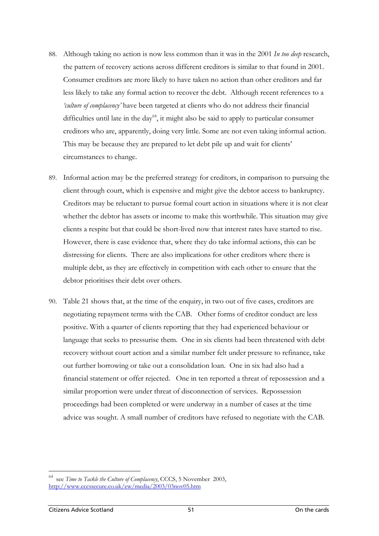- 88. Although taking no action is now less common than it was in the 2001 *In too deep* research, the pattern of recovery actions across different creditors is similar to that found in 2001. Consumer creditors are more likely to have taken no action than other creditors and far less likely to take any formal action to recover the debt. Although recent references to a *'culture of complacency'* have been targeted at clients who do not address their financial difficulties until late in the day<sup>64</sup>, it might also be said to apply to particular consumer creditors who are, apparently, doing very little. Some are not even taking informal action. This may be because they are prepared to let debt pile up and wait for clients' circumstances to change.
- 89. Informal action may be the preferred strategy for creditors, in comparison to pursuing the client through court, which is expensive and might give the debtor access to bankruptcy. Creditors may be reluctant to pursue formal court action in situations where it is not clear whether the debtor has assets or income to make this worthwhile. This situation may give clients a respite but that could be short-lived now that interest rates have started to rise. However, there is case evidence that, where they do take informal actions, this can be distressing for clients. There are also implications for other creditors where there is multiple debt, as they are effectively in competition with each other to ensure that the debtor prioritises their debt over others.
- <span id="page-65-0"></span>90. Table 21 shows that, at the time of the enquiry, in two out of five cases, creditors are negotiating repayment terms with the CAB. Other forms of creditor conduct are less positive. With a quarter of clients reporting that they had experienced behaviour or language that seeks to pressurise them. One in six clients had been threatened with debt recovery without court action and a similar number felt under pressure to refinance, take out further borrowing or take out a consolidation loan. One in six had also had a financial statement or offer rejected. One in ten reported a threat of repossession and a similar proportion were under threat of disconnection of services. Repossession proceedings had been completed or were underway in a number of cases at the time advice was sought. A small number of creditors have refused to negotiate with the CAB.

<span id="page-65-1"></span>see *Time to Tackle the Culture of Complacency*, CCCS, 5 November 2003, <http://www.cccssecure.co.uk/ew/media/2003/03nov05.htm>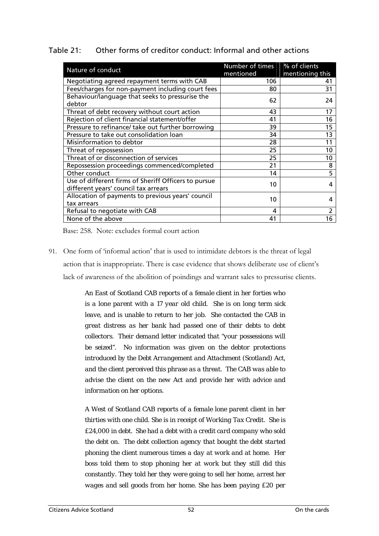| Table 21: |  | Other forms of creditor conduct: Informal and other actions |
|-----------|--|-------------------------------------------------------------|
|           |  |                                                             |

| Nature of conduct                                    | <b>Number of times</b> | % of clients    |  |  |
|------------------------------------------------------|------------------------|-----------------|--|--|
|                                                      | mentioned              | mentioning this |  |  |
| Negotiating agreed repayment terms with CAB          | 106                    | 41              |  |  |
| Fees/charges for non-payment including court fees    | 80                     | 31              |  |  |
| Behaviour/language that seeks to pressurise the      | 62                     | 24              |  |  |
| debtor                                               |                        |                 |  |  |
| Threat of debt recovery without court action         | 43                     | 17              |  |  |
| Rejection of client financial statement/offer        | 41                     | 16              |  |  |
| Pressure to refinance/ take out further borrowing    | 39                     | 15              |  |  |
| Pressure to take out consolidation loan              | 34                     | 13              |  |  |
| Misinformation to debtor                             | 28                     | 11              |  |  |
| Threat of repossession                               | 25                     | 10              |  |  |
| Threat of or disconnection of services               | 25                     | 10              |  |  |
| Repossession proceedings commenced/completed         | 21                     | 8               |  |  |
| Other conduct                                        | 14                     | 5               |  |  |
| Use of different firms of Sheriff Officers to pursue | 10                     | 4               |  |  |
| different years' council tax arrears                 |                        |                 |  |  |
| Allocation of payments to previous years' council    | 10                     | 4               |  |  |
| tax arrears                                          |                        |                 |  |  |
| Refusal to negotiate with CAB                        | 4                      | 2               |  |  |
| None of the above                                    | 41                     | 16              |  |  |

Base: 258. Note: excludes formal court action

91. One form of 'informal action' that is used to intimidate debtors is the threat of legal action that is inappropriate. There is case evidence that shows deliberate use of client's lack of awareness of the abolition of poindings and warrant sales to pressurise clients.

> *An East of Scotland CAB reports of a female client in her forties who is a lone parent with a 17 year old child. She is on long term sick leave, and is unable to return to her job. She contacted the CAB in great distress as her bank had passed one of their debts to debt collectors. Their demand letter indicated that "your possessions will be seized". No information was given on the debtor protections introduced by the Debt Arrangement and Attachment (Scotland) Act, and the client perceived this phrase as a threat. The CAB was able to advise the client on the new Act and provide her with advice and information on her options.*

> *A West of Scotland CAB reports of a female lone parent client in her thirties with one child. She is in receipt of Working Tax Credit. She is £24,000 in debt. She had a debt with a credit card company who sold the debt on. The debt collection agency that bought the debt started phoning the client numerous times a day at work and at home. Her boss told them to stop phoning her at work but they still did this constantly. They told her they were going to sell her home, arrest her wages and sell goods from her home. She has been paying £20 per*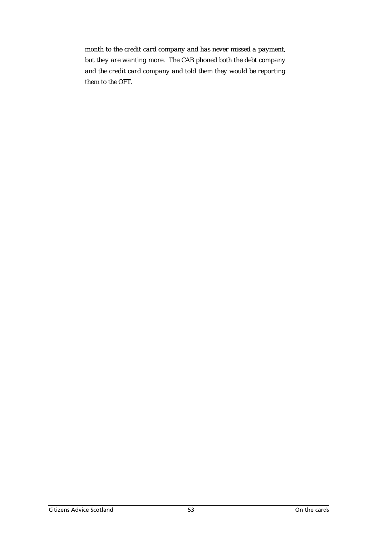*month to the credit card company and has never missed a payment, but they are wanting more. The CAB phoned both the debt company and the credit card company and told them they would be reporting them to the OFT.*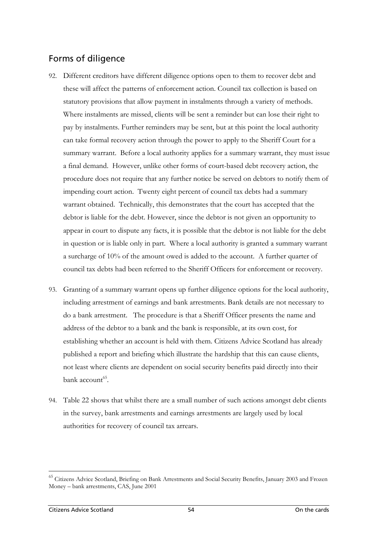# Forms of diligence

- 92. Different creditors have different diligence options open to them to recover debt and these will affect the patterns of enforcement action. Council tax collection is based on statutory provisions that allow payment in instalments through a variety of methods. Where instalments are missed, clients will be sent a reminder but can lose their right to pay by instalments. Further reminders may be sent, but at this point the local authority can take formal recovery action through the power to apply to the Sheriff Court for a summary warrant. Before a local authority applies for a summary warrant, they must issue a final demand. However, unlike other forms of court-based debt recovery action, the procedure does not require that any further notice be served on debtors to notify them of impending court action. Twenty eight percent of council tax debts had a summary warrant obtained. Technically, this demonstrates that the court has accepted that the debtor is liable for the debt. However, since the debtor is not given an opportunity to appear in court to dispute any facts, it is possible that the debtor is not liable for the debt in question or is liable only in part. Where a local authority is granted a summary warrant a surcharge of 10% of the amount owed is added to the account. A further quarter of council tax debts had been referred to the Sheriff Officers for enforcement or recovery.
- 93. Granting of a summary warrant opens up further diligence options for the local authority, including arrestment of earnings and bank arrestments. Bank details are not necessary to do a bank arrestment. The procedure is that a Sheriff Officer presents the name and address of the debtor to a bank and the bank is responsible, at its own cost, for establishing whether an account is held with them. Citizens Advice Scotland has already published a report and briefing which illustrate the hardship that this can cause clients, not least where clients are dependent on social security benefits paid directly into their bank  $\arccos 65$ .
- 94. Table 22 shows that whilst there are a small number of such actions amongst debt clients in the survey, bank arrestments and earnings arrestments are largely used by local authorities for recovery of council tax arrears.

<span id="page-68-0"></span><sup>&</sup>lt;sup>65</sup> Citizens Advice Scotland, Briefing on Bank Arrestments and Social Security Benefits, January 2003 and Frozen Money – bank arrestments, CAS, June 2001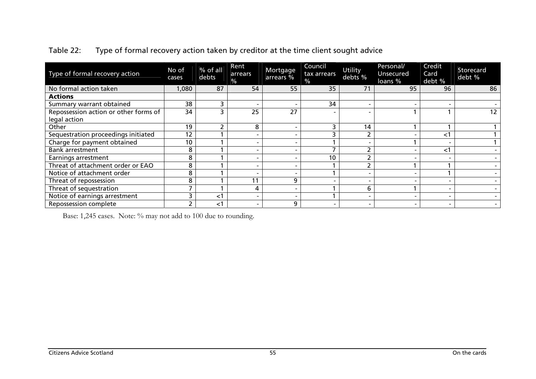| Type of formal recovery action        | No of<br>cases | % of all<br>debts | Rent<br>arrears<br>% | Mortgage<br>arrears % | Council<br>tax arrears<br>$\frac{0}{0}$ | Utility<br>debts %       | Personal/<br>Unsecured<br>loans % | Credit<br>Card<br>debt % | Storecard<br>debt % |
|---------------------------------------|----------------|-------------------|----------------------|-----------------------|-----------------------------------------|--------------------------|-----------------------------------|--------------------------|---------------------|
| No formal action taken                | 1,080          | 87                | 54                   | 55                    | 35                                      | 71                       | 95                                | 96                       | 86                  |
| <b>Actions</b>                        |                |                   |                      |                       |                                         |                          |                                   |                          |                     |
| Summary warrant obtained              | 38             |                   |                      |                       | 34                                      |                          |                                   | $\overline{\phantom{0}}$ |                     |
| Repossession action or other forms of | 34             |                   | 25                   | 27                    |                                         |                          |                                   |                          | 12                  |
| legal action                          |                |                   |                      |                       |                                         |                          |                                   |                          |                     |
| Other                                 | 19             |                   | 8                    |                       | h                                       | 14                       |                                   |                          |                     |
| Sequestration proceedings initiated   | 12             |                   |                      |                       |                                         |                          |                                   | $<$ 1                    |                     |
| Charge for payment obtained           | 10             |                   |                      |                       |                                         |                          |                                   | $\overline{\phantom{0}}$ |                     |
| <b>Bank arrestment</b>                | 8              |                   |                      |                       |                                         |                          |                                   | $<$ 1                    |                     |
| Earnings arrestment                   | 8              |                   |                      |                       | 10                                      |                          |                                   |                          |                     |
| Threat of attachment order or EAO     | 8              |                   |                      |                       |                                         |                          |                                   |                          |                     |
| Notice of attachment order            | 8              |                   |                      |                       |                                         |                          |                                   |                          |                     |
| Threat of repossession                | 8              |                   | 11                   | ົ                     |                                         |                          |                                   |                          |                     |
| Threat of sequestration               |                |                   | 4                    |                       |                                         | 6                        |                                   | $\overline{\phantom{0}}$ |                     |
| Notice of earnings arrestment         |                | ≺`                |                      |                       |                                         |                          |                                   |                          |                     |
| <b>Repossession complete</b>          |                | ا>                |                      | q                     | $\overline{\phantom{0}}$                | $\overline{\phantom{0}}$ |                                   | $\overline{\phantom{0}}$ |                     |

### Table 22: Type of formal recovery action taken by creditor at the time client sought advice

Base: 1,245 cases. Note: % may not add to 100 due to rounding.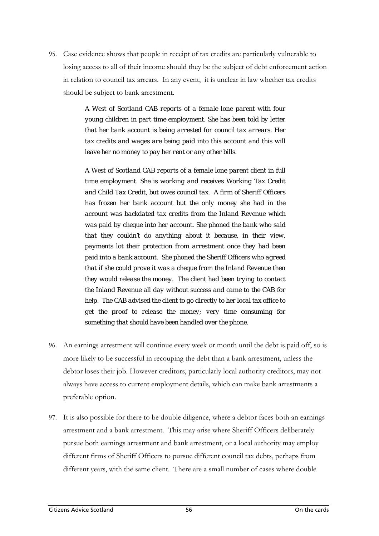95. Case evidence shows that people in receipt of tax credits are particularly vulnerable to losing access to all of their income should they be the subject of debt enforcement action in relation to council tax arrears. In any event, it is unclear in law whether tax credits should be subject to bank arrestment.

> *A West of Scotland CAB reports of a female lone parent with four young children in part time employment. She has been told by letter that her bank account is being arrested for council tax arrears. Her tax credits and wages are being paid into this account and this will leave her no money to pay her rent or any other bills.*

> *A West of Scotland CAB reports of a female lone parent client in full time employment. She is working and receives Working Tax Credit and Child Tax Credit, but owes council tax. A firm of Sheriff Officers has frozen her bank account but the only money she had in the account was backdated tax credits from the Inland Revenue which was paid by cheque into her account. She phoned the bank who said that they couldn't do anything about it because, in their view, payments lot their protection from arrestment once they had been paid into a bank account. She phoned the Sheriff Officers who agreed that if she could prove it was a cheque from the Inland Revenue then they would release the money. The client had been trying to contact the Inland Revenue all day without success and came to the CAB for help. The CAB advised the client to go directly to her local tax office to get the proof to release the money; very time consuming for something that should have been handled over the phone.*

- 96. An earnings arrestment will continue every week or month until the debt is paid off, so is more likely to be successful in recouping the debt than a bank arrestment, unless the debtor loses their job. However creditors, particularly local authority creditors, may not always have access to current employment details, which can make bank arrestments a preferable option.
- 97. It is also possible for there to be double diligence, where a debtor faces both an earnings arrestment and a bank arrestment. This may arise where Sheriff Officers deliberately pursue both earnings arrestment and bank arrestment, or a local authority may employ different firms of Sheriff Officers to pursue different council tax debts, perhaps from different years, with the same client. There are a small number of cases where double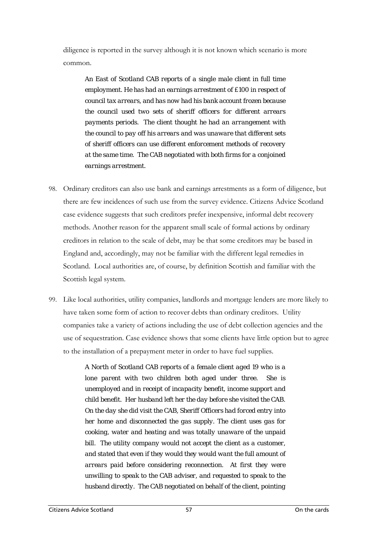diligence is reported in the survey although it is not known which scenario is more common.

*An East of Scotland CAB reports of a single male client in full time employment. He has had an earnings arrestment of £100 in respect of council tax arrears, and has now had his bank account frozen because the council used two sets of sheriff officers for different arrears payments periods. The client thought he had an arrangement with the council to pay off his arrears and was unaware that different sets of sheriff officers can use different enforcement methods of recovery at the same time. The CAB negotiated with both firms for a conjoined earnings arrestment.*

- 98. Ordinary creditors can also use bank and earnings arrestments as a form of diligence, but there are few incidences of such use from the survey evidence. Citizens Advice Scotland case evidence suggests that such creditors prefer inexpensive, informal debt recovery methods. Another reason for the apparent small scale of formal actions by ordinary creditors in relation to the scale of debt, may be that some creditors may be based in England and, accordingly, may not be familiar with the different legal remedies in Scotland. Local authorities are, of course, by definition Scottish and familiar with the Scottish legal system.
- 99. Like local authorities, utility companies, landlords and mortgage lenders are more likely to have taken some form of action to recover debts than ordinary creditors. Utility companies take a variety of actions including the use of debt collection agencies and the use of sequestration. Case evidence shows that some clients have little option but to agree to the installation of a prepayment meter in order to have fuel supplies.

*A North of Scotland CAB reports of a female client aged 19 who is a lone parent with two children both aged under three. She is unemployed and in receipt of incapacity benefit, income support and child benefit. Her husband left her the day before she visited the CAB. On the day she did visit the CAB, Sheriff Officers had forced entry into her home and disconnected the gas supply. The client uses gas for cooking, water and heating and was totally unaware of the unpaid bill. The utility company would not accept the client as a customer, and stated that even if they would they would want the full amount of arrears paid before considering reconnection. At first they were unwilling to speak to the CAB adviser, and requested to speak to the husband directly. The CAB negotiated on behalf of the client, pointing*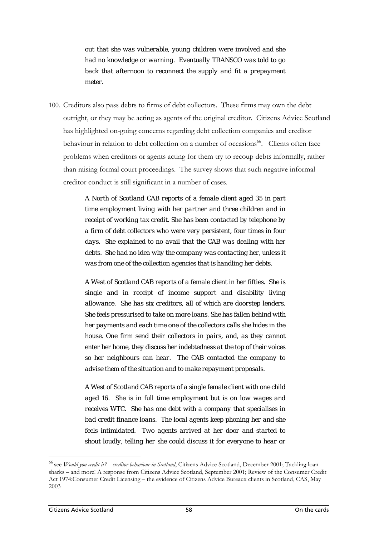*out that she was vulnerable, young children were involved and she had no knowledge or warning. Eventually TRANSCO was told to go back that afternoon to reconnect the supply and fit a prepayment meter.* 

100. Creditors also pass debts to firms of debt collectors. These firms may own the debt outright, or they may be acting as agents of the original creditor. Citizens Advice Scotland has highlighted on-going concerns regarding debt collection companies and creditor behaviour in relation to debt collection on a number of occasions<sup>66</sup>. Clients often face problems when creditors or agents acting for them try to recoup debts informally, rather than raising formal court proceedings. The survey shows that such negative informal creditor conduct is still significant in a number of cases.

> *A North of Scotland CAB reports of a female client aged 35 in part time employment living with her partner and three children and in receipt of working tax credit. She has been contacted by telephone by a firm of debt collectors who were very persistent, four times in four days. She explained to no avail that the CAB was dealing with her debts. She had no idea why the company was contacting her, unless it was from one of the collection agencies that is handling her debts.*

> *A West of Scotland CAB reports of a female client in her fifties. She is single and in receipt of income support and disability living allowance. She has six creditors, all of which are doorstep lenders. She feels pressurised to take on more loans. She has fallen behind with her payments and each time one of the collectors calls she hides in the house. One firm send their collectors in pairs, and, as they cannot enter her home, they discuss her indebtedness at the top of their voices so her neighbours can hear. The CAB contacted the company to advise them of the situation and to make repayment proposals.*

> *A West of Scotland CAB reports of a single female client with one child aged 16. She is in full time employment but is on low wages and receives WTC. She has one debt with a company that specialises in bad credit finance loans. The local agents keep phoning her and she feels intimidated. Two agents arrived at her door and started to shout loudly, telling her she could discuss it for everyone to hear or*

<span id="page-72-0"></span><sup>66</sup> see *Would you credit it? – creditor behaviour in Scotland*, Citizens Advice Scotland, December 2001; Tackling loan sharks – and more! A response from Citizens Advice Scotland, September 2001; Review of the Consumer Credit Act 1974:Consumer Credit Licensing – the evidence of Citizens Advice Bureaux clients in Scotland, CAS, May 2003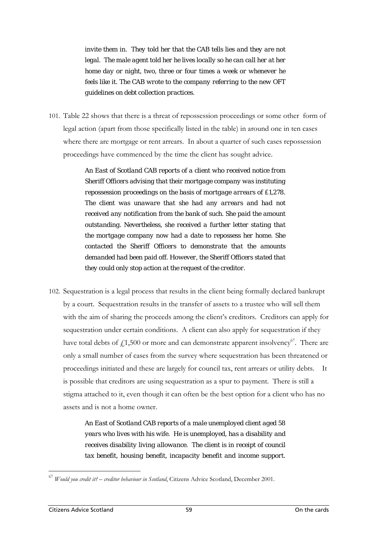*invite them in. They told her that the CAB tells lies and they are not legal. The male agent told her he lives locally so he can call her at her home day or night, two, three or four times a week or whenever he feels like it. The CAB wrote to the company referring to the new OFT guidelines on debt collection practices.* 

101. Table 22 shows that there is a threat of repossession proceedings or some other form of legal action (apart from those specifically listed in the table) in around one in ten cases where there are mortgage or rent arrears. In about a quarter of such cases repossession proceedings have commenced by the time the client has sought advice.

> *An East of Scotland CAB reports of a client who received notice from Sheriff Officers advising that their mortgage company was instituting repossession proceedings on the basis of mortgage arrears of £1,278. The client was unaware that she had any arrears and had not received any notification from the bank of such. She paid the amount outstanding. Nevertheless, she received a further letter stating that the mortgage company now had a date to repossess her home. She contacted the Sheriff Officers to demonstrate that the amounts demanded had been paid off. However, the Sheriff Officers stated that they could only stop action at the request of the creditor.*

102. Sequestration is a legal process that results in the client being formally declared bankrupt by a court. Sequestration results in the transfer of assets to a trustee who will sell them with the aim of sharing the proceeds among the client's creditors. Creditors can apply for sequestration under certain conditions. A client can also apply for sequestration if they have total debts of  $f1,500$  or more and can demonstrate apparent insolvency<sup>67</sup>. There are only a small number of cases from the survey where sequestration has been threatened or proceedings initiated and these are largely for council tax, rent arrears or utility debts. It is possible that creditors are using sequestration as a spur to payment. There is still a stigma attached to it, even though it can often be the best option for a client who has no assets and is not a home owner.

> *An East of Scotland CAB reports of a male unemployed client aged 58 years who lives with his wife. He is unemployed, has a disability and receives disability living allowance. The client is in receipt of council tax benefit, housing benefit, incapacity benefit and income support.*

<span id="page-73-0"></span><sup>67</sup> *Would you credit it? – creditor behaviour in Scotland*, Citizens Advice Scotland, December 2001.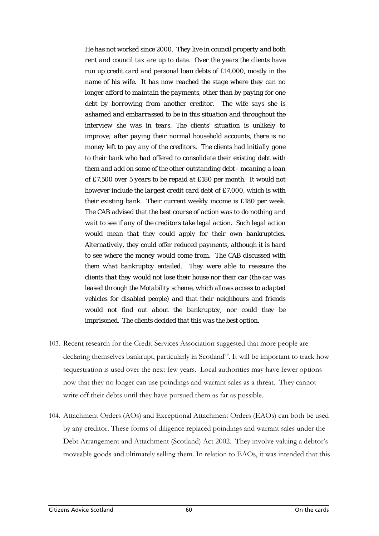*He has not worked since 2000. They live in council property and both rent and council tax are up to date. Over the years the clients have run up credit card and personal loan debts of £14,000, mostly in the name of his wife. It has now reached the stage where they can no longer afford to maintain the payments, other than by paying for one debt by borrowing from another creditor. The wife says she is ashamed and embarrassed to be in this situation and throughout the interview she was in tears. The clients' situation is unlikely to improve; after paying their normal household accounts, there is no money left to pay any of the creditors. The clients had initially gone to their bank who had offered to consolidate their existing debt with them and add on some of the other outstanding debt - meaning a loan of £7,500 over 5 years to be repaid at £180 per month. It would not however include the largest credit card debt of £7,000, which is with their existing bank. Their current weekly income is £180 per week. The CAB advised that the best course of action was to do nothing and wait to see if any of the creditors take legal action. Such legal action would mean that they could apply for their own bankruptcies. Alternatively, they could offer reduced payments, although it is hard to see where the money would come from. The CAB discussed with them what bankruptcy entailed. They were able to reassure the clients that they would not lose their house nor their car (the car was leased through the Motability scheme, which allows access to adapted vehicles for disabled people) and that their neighbours and friends would not find out about the bankruptcy, nor could they be imprisoned. The clients decided that this was the best option.* 

- 103. Recent research for the Credit Services Association suggested that more people are declaring themselves bankrupt, particularly in Scotland<sup>68</sup>. It will be important to track how sequestration is used over the next few years. Local authorities may have fewer options now that they no longer can use poindings and warrant sales as a threat. They cannot write off their debts until they have pursued them as far as possible.
- <span id="page-74-0"></span>104. Attachment Orders (AOs) and Exceptional Attachment Orders (EAOs) can both be used by any creditor. These forms of diligence replaced poindings and warrant sales under the Debt Arrangement and Attachment (Scotland) Act 2002. They involve valuing a debtor's moveable goods and ultimately selling them. In relation to EAOs, it was intended that this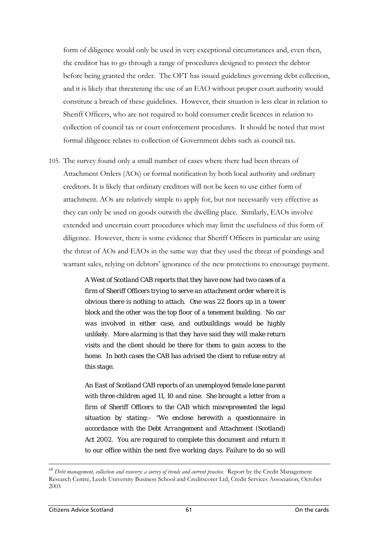form of diligence would only be used in very exceptional circumstances and, even then, the creditor has to go through a range of procedures designed to protect the debtor before being granted the order. The OFT has issued guidelines governing debt collection, and it is likely that threatening the use of an EAO without proper court authority would constitute a breach of these guidelines. However, their situation is less clear in relation to Sheriff Officers, who are not required to hold consumer credit licences in relation to collection of council tax or court enforcement procedures. It should be noted that most formal diligence relates to collection of Government debts such as council tax.

105. The survey found only a small number of cases where there had been threats of Attachment Orders (AOs) or formal notification by both local authority and ordinary creditors. It is likely that ordinary creditors will not be keen to use either form of attachment. AOs are relatively simple to apply for, but not necessarily very effective as they can only be used on goods outwith the dwelling place. Similarly, EAOs involve extended and uncertain court procedures which may limit the usefulness of this form of diligence. However, there is some evidence that Sheriff Officers in particular are using the threat of AOs and EAOs in the same way that they used the threat of poindings and warrant sales, relying on debtors' ignorance of the new protections to encourage payment.

> *A West of Scotland CAB reports that they have now had two cases of a firm of Sheriff Officers trying to serve an attachment order where it is obvious there is nothing to attach. One was 22 floors up in a tower block and the other was the top floor of a tenement building. No car was involved in either case, and outbuildings would be highly unlikely. More alarming is that they have said they will make return visits and the client should be there for them to gain access to the home. In both cases the CAB has advised the client to refuse entry at this stage.*

> *An East of Scotland CAB reports of an unemployed female lone parent with three children aged 11, 10 and nine. She brought a letter from a firm of Sheriff Officers to the CAB which misrepresented the legal situation by stating:- "We enclose herewith a questionnaire in accordance with the Debt Arrangement and Attachment (Scotland) Act 2002. You are required to complete this document and return it to our office within the next five working days. Failure to do so will*

<sup>68</sup> *Debt management, collection and recovery: a survey of trends and current practice*. Report by the Credit Management Research Centre, Leeds University Business School and Creditscorer Ltd, Credit Services Association, October 2003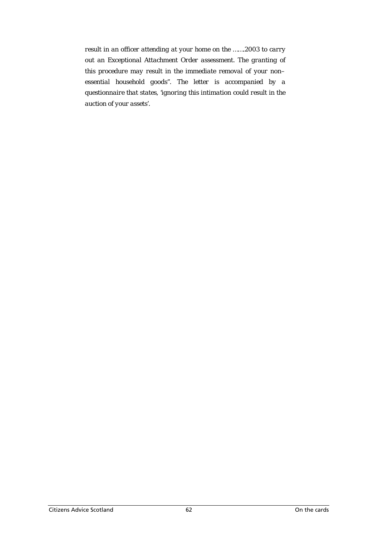*result in an officer attending at your home on the …….2003 to carry out an Exceptional Attachment Order assessment. The granting of this procedure may result in the immediate removal of your non– essential household goods". The letter is accompanied by a questionnaire that states, 'ignoring this intimation could result in the auction of your assets'.*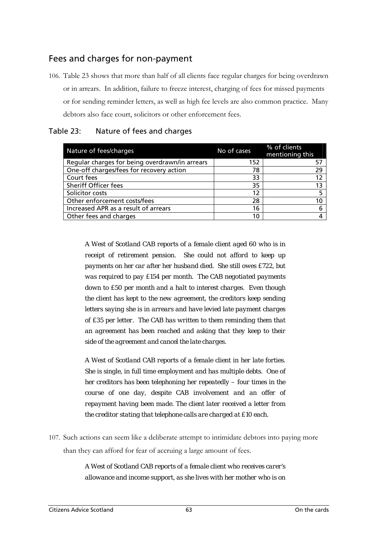## Fees and charges for non-payment

106. Table 23 shows that more than half of all clients face regular charges for being overdrawn or in arrears. In addition, failure to freeze interest, charging of fees for missed payments or for sending reminder letters, as well as high fee levels are also common practice. Many debtors also face court, solicitors or other enforcement fees.

| Nature of fees/charges                         | No of cases | % of clients<br>mentioning this |
|------------------------------------------------|-------------|---------------------------------|
| Regular charges for being overdrawn/in arrears | 152         | 57                              |
| One-off charges/fees for recovery action       | 78          | 29                              |
| Court fees                                     | 33          | 12                              |
| Sheriff Officer fees                           | 35          | 13                              |
| Solicitor costs                                | 12          | 5                               |
| Other enforcement costs/fees                   | 28          | 10                              |
| Increased APR as a result of arrears           | 16          | 6                               |
| Other fees and charges                         | 10          |                                 |

#### Table 23: Nature of fees and charges

*A West of Scotland CAB reports of a female client aged 60 who is in receipt of retirement pension. She could not afford to keep up payments on her car after her husband died. She still owes £722, but was required to pay £154 per month. The CAB negotiated payments down to £50 per month and a halt to interest charges. Even though the client has kept to the new agreement, the creditors keep sending letters saying she is in arrears and have levied late payment charges of £35 per letter. The CAB has written to them reminding them that an agreement has been reached and asking that they keep to their side of the agreement and cancel the late charges.* 

*A West of Scotland CAB reports of a female client in her late forties. She is single, in full time employment and has multiple debts. One of her creditors has been telephoning her repeatedly – four times in the course of one day, despite CAB involvement and an offer of repayment having been made. The client later received a letter from the creditor stating that telephone calls are charged at £10 each.* 

107. Such actions can seem like a deliberate attempt to intimidate debtors into paying more than they can afford for fear of accruing a large amount of fees.

> *A West of Scotland CAB reports of a female client who receives carer's allowance and income support, as she lives with her mother who is on*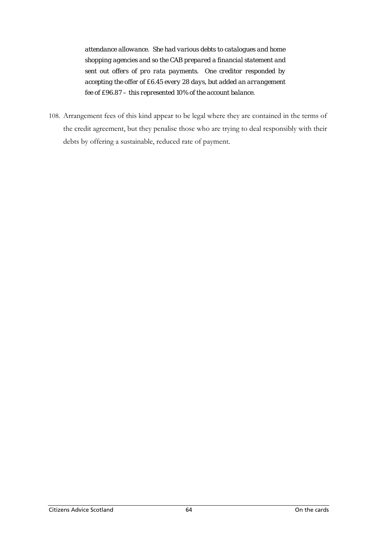*attendance allowance. She had various debts to catalogues and home shopping agencies and so the CAB prepared a financial statement and sent out offers of pro rata payments. One creditor responded by accepting the offer of £6.45 every 28 days, but added an arrangement fee of £96.87 – this represented 10% of the account balance.* 

108. Arrangement fees of this kind appear to be legal where they are contained in the terms of the credit agreement, but they penalise those who are trying to deal responsibly with their debts by offering a sustainable, reduced rate of payment.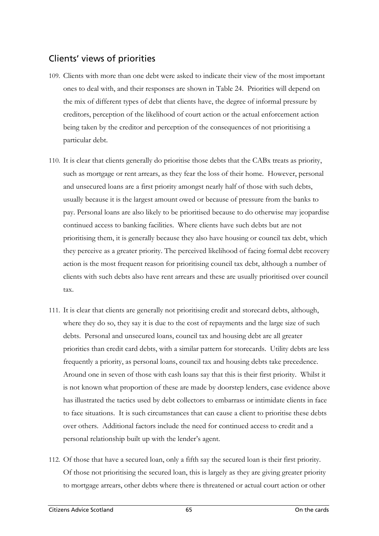## Clients' views of priorities

- 109. Clients with more than one debt were asked to indicate their view of the most important ones to deal with, and their responses are shown in Table 24. Priorities will depend on the mix of different types of debt that clients have, the degree of informal pressure by creditors, perception of the likelihood of court action or the actual enforcement action being taken by the creditor and perception of the consequences of not prioritising a particular debt.
- 110. It is clear that clients generally do prioritise those debts that the CABx treats as priority, such as mortgage or rent arrears, as they fear the loss of their home. However, personal and unsecured loans are a first priority amongst nearly half of those with such debts, usually because it is the largest amount owed or because of pressure from the banks to pay. Personal loans are also likely to be prioritised because to do otherwise may jeopardise continued access to banking facilities. Where clients have such debts but are not prioritising them, it is generally because they also have housing or council tax debt, which they perceive as a greater priority. The perceived likelihood of facing formal debt recovery action is the most frequent reason for prioritising council tax debt, although a number of clients with such debts also have rent arrears and these are usually prioritised over council tax.
- 111. It is clear that clients are generally not prioritising credit and storecard debts, although, where they do so, they say it is due to the cost of repayments and the large size of such debts. Personal and unsecured loans, council tax and housing debt are all greater priorities than credit card debts, with a similar pattern for storecards. Utility debts are less frequently a priority, as personal loans, council tax and housing debts take precedence. Around one in seven of those with cash loans say that this is their first priority. Whilst it is not known what proportion of these are made by doorstep lenders, case evidence above has illustrated the tactics used by debt collectors to embarrass or intimidate clients in face to face situations. It is such circumstances that can cause a client to prioritise these debts over others. Additional factors include the need for continued access to credit and a personal relationship built up with the lender's agent.
- 112. Of those that have a secured loan, only a fifth say the secured loan is their first priority. Of those not prioritising the secured loan, this is largely as they are giving greater priority to mortgage arrears, other debts where there is threatened or actual court action or other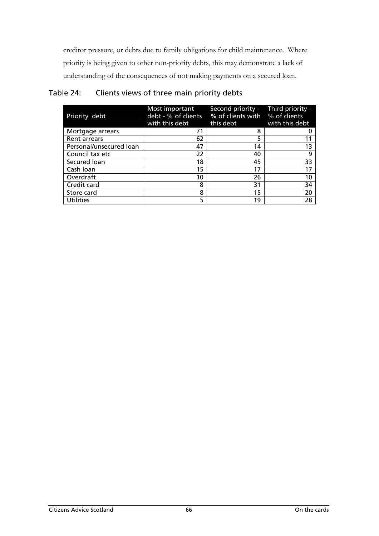creditor pressure, or debts due to family obligations for child maintenance. Where priority is being given to other non-priority debts, this may demonstrate a lack of understanding of the consequences of not making payments on a secured loan.

| Priority debt           | Most important<br>debt - % of clients<br>with this debt | Second priority -<br>% of clients with<br>this debt | Third priority -<br>% of clients<br>with this debt |
|-------------------------|---------------------------------------------------------|-----------------------------------------------------|----------------------------------------------------|
| Mortgage arrears        |                                                         | 8                                                   |                                                    |
| <b>Rent arrears</b>     | 62                                                      | 5                                                   |                                                    |
| Personal/unsecured loan | 47                                                      | 14                                                  | 13                                                 |
| Council tax etc         | 22                                                      | 40                                                  | 9                                                  |
| Secured loan            | 18                                                      | 45                                                  | 33                                                 |
| Cash Ioan               | 15                                                      | 17                                                  | 17                                                 |
| Overdraft               | 10                                                      | 26                                                  | 10                                                 |
| Credit card             | 8                                                       | 31                                                  | 34                                                 |
| Store card              | 8                                                       | 15                                                  | 20                                                 |
| <b>Utilities</b>        | 5                                                       | 19                                                  | 28                                                 |

### Table 24: Clients views of three main priority debts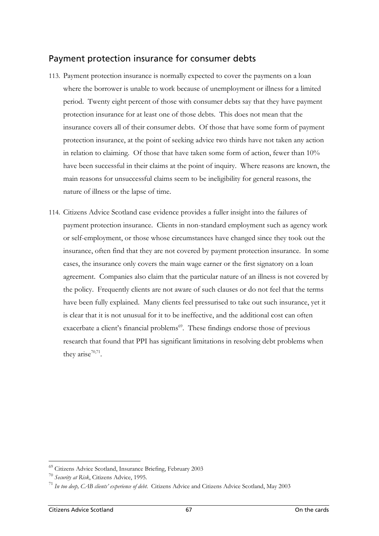## Payment protection insurance for consumer debts

- 113. Payment protection insurance is normally expected to cover the payments on a loan where the borrower is unable to work because of unemployment or illness for a limited period. Twenty eight percent of those with consumer debts say that they have payment protection insurance for at least one of those debts. This does not mean that the insurance covers all of their consumer debts. Of those that have some form of payment protection insurance, at the point of seeking advice two thirds have not taken any action in relation to claiming. Of those that have taken some form of action, fewer than 10% have been successful in their claims at the point of inquiry. Where reasons are known, the main reasons for unsuccessful claims seem to be ineligibility for general reasons, the nature of illness or the lapse of time.
- 114. Citizens Advice Scotland case evidence provides a fuller insight into the failures of payment protection insurance. Clients in non-standard employment such as agency work or self-employment, or those whose circumstances have changed since they took out the insurance, often find that they are not covered by payment protection insurance. In some cases, the insurance only covers the main wage earner or the first signatory on a loan agreement. Companies also claim that the particular nature of an illness is not covered by the policy. Frequently clients are not aware of such clauses or do not feel that the terms have been fully explained. Many clients feel pressurised to take out such insurance, yet it is clear that it is not unusual for it to be ineffective, and the additional cost can often exacerbate a client's financial problems<sup>69</sup>. These findings endorse those of previous research that found that PPI has significant limitations in resolving debt problems when they arise $70,71$  $70,71$ .

<span id="page-81-0"></span> $^{69}$  Citizens Advice Scotland, Insurance Briefing, February 2003<br> $^{70}$  Security at Risk, Citizens Advice, 1995.

<span id="page-81-1"></span>

<span id="page-81-2"></span><sup>&</sup>lt;sup>71</sup> In too deep, CAB clients' experience of debt. Citizens Advice and Citizens Advice Scotland, May 2003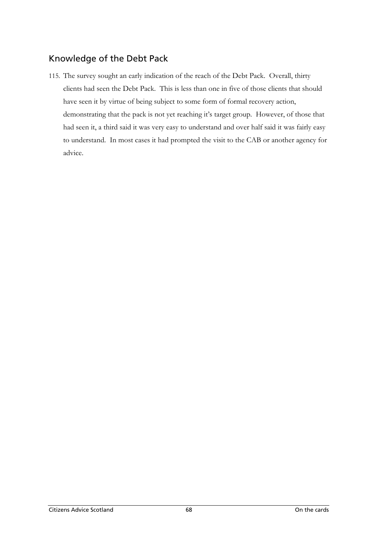## Knowledge of the Debt Pack

115. The survey sought an early indication of the reach of the Debt Pack. Overall, thirty clients had seen the Debt Pack. This is less than one in five of those clients that should have seen it by virtue of being subject to some form of formal recovery action, demonstrating that the pack is not yet reaching it's target group. However, of those that had seen it, a third said it was very easy to understand and over half said it was fairly easy to understand. In most cases it had prompted the visit to the CAB or another agency for advice.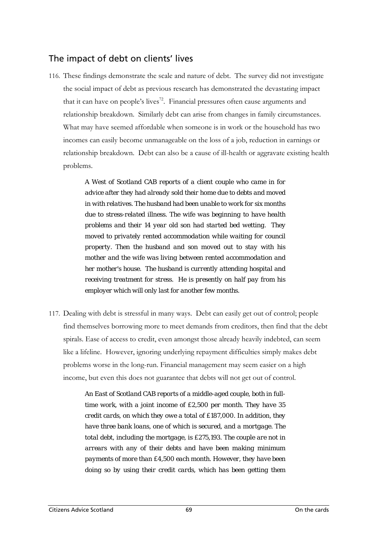## The impact of debt on clients' lives

116. These findings demonstrate the scale and nature of debt. The survey did not investigate the social impact of debt as previous research has demonstrated the devastating impact that it can have on people's lives<sup>72</sup>. Financial pressures often cause arguments and relationship breakdown. Similarly debt can arise from changes in family circumstances. What may have seemed affordable when someone is in work or the household has two incomes can easily become unmanageable on the loss of a job, reduction in earnings or relationship breakdown. Debt can also be a cause of ill-health or aggravate existing health problems.

> *A West of Scotland CAB reports of a client couple who came in for advice after they had already sold their home due to debts and moved in with relatives. The husband had been unable to work for six months due to stress-related illness. The wife was beginning to have health problems and their 14 year old son had started bed wetting. They moved to privately rented accommodation while waiting for council property. Then the husband and son moved out to stay with his mother and the wife was living between rented accommodation and her mother's house. The husband is currently attending hospital and receiving treatment for stress. He is presently on half pay from his employer which will only last for another few months.*

117. Dealing with debt is stressful in many ways. Debt can easily get out of control; people find themselves borrowing more to meet demands from creditors, then find that the debt spirals. Ease of access to credit, even amongst those already heavily indebted, can seem like a lifeline. However, ignoring underlying repayment difficulties simply makes debt problems worse in the long-run. Financial management may seem easier on a high income, but even this does not guarantee that debts will not get out of control.

> <span id="page-83-0"></span>*An East of Scotland CAB reports of a middle-aged couple, both in fulltime work, with a joint income of £2,500 per month. They have 35 credit cards, on which they owe a total of £187,000. In addition, they have three bank loans, one of which is secured, and a mortgage. The total debt, including the mortgage, is £275,193. The couple are not in arrears with any of their debts and have been making minimum payments of more than £4,500 each month. However, they have been doing so by using their credit cards, which has been getting them*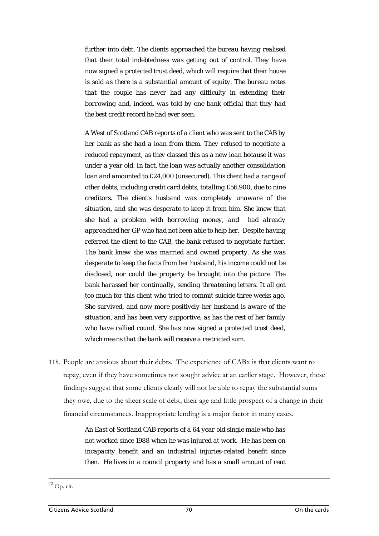*further into debt. The clients approached the bureau having realised that their total indebtedness was getting out of control. They have now signed a protected trust deed, which will require that their house is sold as there is a substantial amount of equity. The bureau notes that the couple has never had any difficulty in extending their borrowing and, indeed, was told by one bank official that they had the best credit record he had ever seen.*

*A West of Scotland CAB reports of a client who was sent to the CAB by her bank as she had a loan from them. They refused to negotiate a reduced repayment, as they classed this as a new loan because it was under a year old. In fact, the loan was actually another consolidation loan and amounted to £24,000 (unsecured). This client had a range of other debts, including credit card debts, totalling £56,900, due to nine creditors. The client's husband was completely unaware of the situation, and she was desperate to keep it from him. She knew that she had a problem with borrowing money, and had already approached her GP who had not been able to help her. Despite having referred the client to the CAB, the bank refused to negotiate further. The bank knew she was married and owned property. As she was desperate to keep the facts from her husband, his income could not be disclosed, nor could the property be brought into the picture. The bank harassed her continually, sending threatening letters. It all got too much for this client who tried to commit suicide three weeks ago. She survived, and now more positively her husband is aware of the situation, and has been very supportive, as has the rest of her family who have rallied round. She has now signed a protected trust deed, which means that the bank will receive a restricted sum.* 

118. People are anxious about their debts. The experience of CABx is that clients want to repay, even if they have sometimes not sought advice at an earlier stage. However, these findings suggest that some clients clearly will not be able to repay the substantial sums they owe, due to the sheer scale of debt, their age and little prospect of a change in their financial circumstances. Inappropriate lending is a major factor in many cases.

> *An East of Scotland CAB reports of a 64 year old single male who has not worked since 1988 when he was injured at work. He has been on incapacity benefit and an industrial injuries-related benefit since then. He lives in a council property and has a small amount of rent*

 $\overline{a}$ 

 $72$  Op. cit.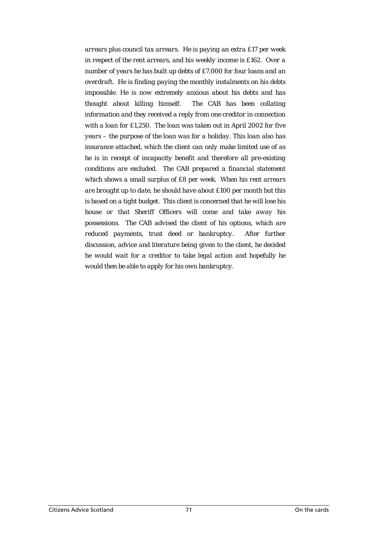*arrears plus council tax arrears. He is paying an extra £17 per week in respect of the rent arrears, and his weekly income is £162. Over a number of years he has built up debts of £7,000 for four loans and an overdraft. He is finding paying the monthly instalments on his debts impossible. He is now extremely anxious about his debts and has thought about killing himself. The CAB has been collating information and they received a reply from one creditor in connection with a loan for £1,250. The loan was taken out in April 2002 for five years – the purpose of the loan was for a holiday. This loan also has insurance attached, which the client can only make limited use of as he is in receipt of incapacity benefit and therefore all pre-existing conditions are excluded. The CAB prepared a financial statement which shows a small surplus of £8 per week. When his rent arrears are brought up to date, he should have about £100 per month but this is based on a tight budget. This client is concerned that he will lose his house or that Sheriff Officers will come and take away his possessions. The CAB advised the client of his options, which are reduced payments, trust deed or bankruptcy. After further discussion, advice and literature being given to the client, he decided he would wait for a creditor to take legal action and hopefully he would then be able to apply for his own bankruptcy.*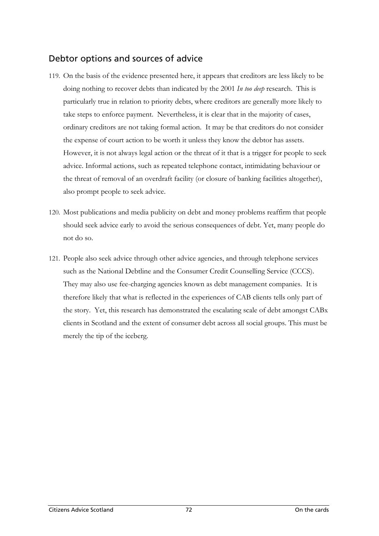## Debtor options and sources of advice

- 119. On the basis of the evidence presented here, it appears that creditors are less likely to be doing nothing to recover debts than indicated by the 2001 *In too deep* research. This is particularly true in relation to priority debts, where creditors are generally more likely to take steps to enforce payment. Nevertheless, it is clear that in the majority of cases, ordinary creditors are not taking formal action. It may be that creditors do not consider the expense of court action to be worth it unless they know the debtor has assets. However, it is not always legal action or the threat of it that is a trigger for people to seek advice. Informal actions, such as repeated telephone contact, intimidating behaviour or the threat of removal of an overdraft facility (or closure of banking facilities altogether), also prompt people to seek advice.
- 120. Most publications and media publicity on debt and money problems reaffirm that people should seek advice early to avoid the serious consequences of debt. Yet, many people do not do so.
- 121. People also seek advice through other advice agencies, and through telephone services such as the National Debtline and the Consumer Credit Counselling Service (CCCS). They may also use fee-charging agencies known as debt management companies. It is therefore likely that what is reflected in the experiences of CAB clients tells only part of the story. Yet, this research has demonstrated the escalating scale of debt amongst CABx clients in Scotland and the extent of consumer debt across all social groups. This must be merely the tip of the iceberg.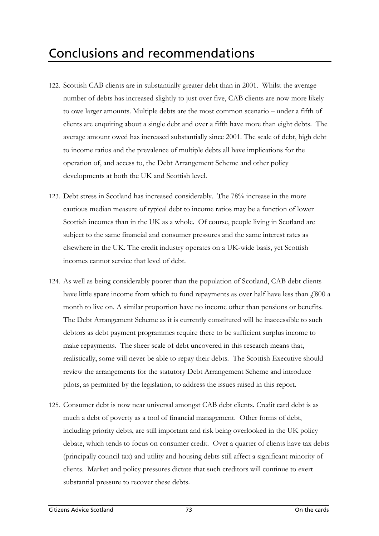- 122. Scottish CAB clients are in substantially greater debt than in 2001. Whilst the average number of debts has increased slightly to just over five, CAB clients are now more likely to owe larger amounts. Multiple debts are the most common scenario – under a fifth of clients are enquiring about a single debt and over a fifth have more than eight debts. The average amount owed has increased substantially since 2001. The scale of debt, high debt to income ratios and the prevalence of multiple debts all have implications for the operation of, and access to, the Debt Arrangement Scheme and other policy developments at both the UK and Scottish level.
- 123. Debt stress in Scotland has increased considerably. The 78% increase in the more cautious median measure of typical debt to income ratios may be a function of lower Scottish incomes than in the UK as a whole. Of course, people living in Scotland are subject to the same financial and consumer pressures and the same interest rates as elsewhere in the UK. The credit industry operates on a UK-wide basis, yet Scottish incomes cannot service that level of debt.
- 124. As well as being considerably poorer than the population of Scotland, CAB debt clients have little spare income from which to fund repayments as over half have less than  $\text{\emph{f}}800$  a month to live on. A similar proportion have no income other than pensions or benefits. The Debt Arrangement Scheme as it is currently constituted will be inaccessible to such debtors as debt payment programmes require there to be sufficient surplus income to make repayments. The sheer scale of debt uncovered in this research means that, realistically, some will never be able to repay their debts. The Scottish Executive should review the arrangements for the statutory Debt Arrangement Scheme and introduce pilots, as permitted by the legislation, to address the issues raised in this report.
- 125. Consumer debt is now near universal amongst CAB debt clients. Credit card debt is as much a debt of poverty as a tool of financial management. Other forms of debt, including priority debts, are still important and risk being overlooked in the UK policy debate, which tends to focus on consumer credit. Over a quarter of clients have tax debts (principally council tax) and utility and housing debts still affect a significant minority of clients. Market and policy pressures dictate that such creditors will continue to exert substantial pressure to recover these debts.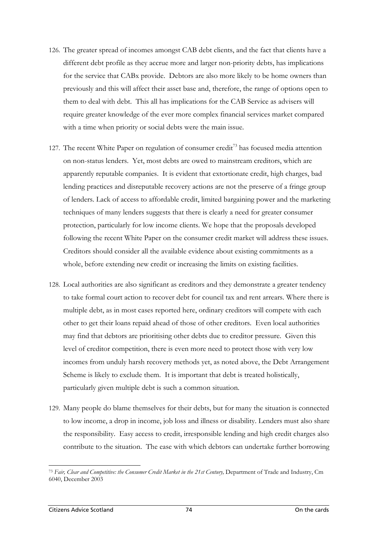- 126. The greater spread of incomes amongst CAB debt clients, and the fact that clients have a different debt profile as they accrue more and larger non-priority debts, has implications for the service that CABx provide. Debtors are also more likely to be home owners than previously and this will affect their asset base and, therefore, the range of options open to them to deal with debt. This all has implications for the CAB Service as advisers will require greater knowledge of the ever more complex financial services market compared with a time when priority or social debts were the main issue.
- 127. The recent White Paper on regulation of consumer credit<sup>73</sup> has focused media attention on non-status lenders. Yet, most debts are owed to mainstream creditors, which are apparently reputable companies. It is evident that extortionate credit, high charges, bad lending practices and disreputable recovery actions are not the preserve of a fringe group of lenders. Lack of access to affordable credit, limited bargaining power and the marketing techniques of many lenders suggests that there is clearly a need for greater consumer protection, particularly for low income clients. We hope that the proposals developed following the recent White Paper on the consumer credit market will address these issues. Creditors should consider all the available evidence about existing commitments as a whole, before extending new credit or increasing the limits on existing facilities.
- 128. Local authorities are also significant as creditors and they demonstrate a greater tendency to take formal court action to recover debt for council tax and rent arrears. Where there is multiple debt, as in most cases reported here, ordinary creditors will compete with each other to get their loans repaid ahead of those of other creditors. Even local authorities may find that debtors are prioritising other debts due to creditor pressure. Given this level of creditor competition, there is even more need to protect those with very low incomes from unduly harsh recovery methods yet, as noted above, the Debt Arrangement Scheme is likely to exclude them. It is important that debt is treated holistically, particularly given multiple debt is such a common situation.
- 129. Many people do blame themselves for their debts, but for many the situation is connected to low income, a drop in income, job loss and illness or disability. Lenders must also share the responsibility. Easy access to credit, irresponsible lending and high credit charges also contribute to the situation. The ease with which debtors can undertake further borrowing

<span id="page-88-0"></span><sup>73</sup> *Fair, Clear and Competitive: the Consumer Credit Market in the 21st Century,* Department of Trade and Industry, Cm 6040, December 2003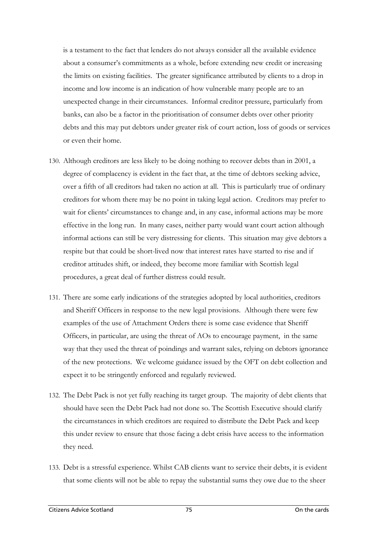is a testament to the fact that lenders do not always consider all the available evidence about a consumer's commitments as a whole, before extending new credit or increasing the limits on existing facilities. The greater significance attributed by clients to a drop in income and low income is an indication of how vulnerable many people are to an unexpected change in their circumstances. Informal creditor pressure, particularly from banks, can also be a factor in the prioritisation of consumer debts over other priority debts and this may put debtors under greater risk of court action, loss of goods or services or even their home.

- 130. Although creditors are less likely to be doing nothing to recover debts than in 2001, a degree of complacency is evident in the fact that, at the time of debtors seeking advice, over a fifth of all creditors had taken no action at all. This is particularly true of ordinary creditors for whom there may be no point in taking legal action. Creditors may prefer to wait for clients' circumstances to change and, in any case, informal actions may be more effective in the long run. In many cases, neither party would want court action although informal actions can still be very distressing for clients. This situation may give debtors a respite but that could be short-lived now that interest rates have started to rise and if creditor attitudes shift, or indeed, they become more familiar with Scottish legal procedures, a great deal of further distress could result.
- 131. There are some early indications of the strategies adopted by local authorities, creditors and Sheriff Officers in response to the new legal provisions. Although there were few examples of the use of Attachment Orders there is some case evidence that Sheriff Officers, in particular, are using the threat of AOs to encourage payment, in the same way that they used the threat of poindings and warrant sales, relying on debtors ignorance of the new protections. We welcome guidance issued by the OFT on debt collection and expect it to be stringently enforced and regularly reviewed.
- 132. The Debt Pack is not yet fully reaching its target group. The majority of debt clients that should have seen the Debt Pack had not done so. The Scottish Executive should clarify the circumstances in which creditors are required to distribute the Debt Pack and keep this under review to ensure that those facing a debt crisis have access to the information they need.
- 133. Debt is a stressful experience. Whilst CAB clients want to service their debts, it is evident that some clients will not be able to repay the substantial sums they owe due to the sheer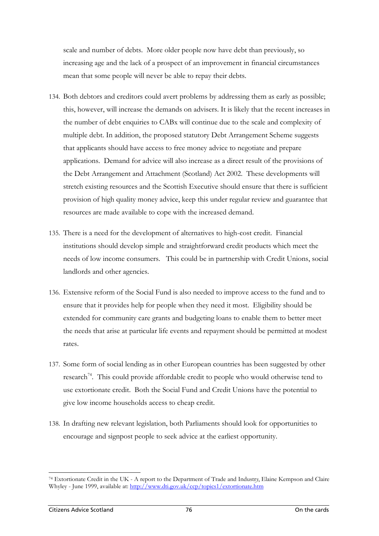scale and number of debts. More older people now have debt than previously, so increasing age and the lack of a prospect of an improvement in financial circumstances mean that some people will never be able to repay their debts.

- 134. Both debtors and creditors could avert problems by addressing them as early as possible; this, however, will increase the demands on advisers. It is likely that the recent increases in the number of debt enquiries to CABx will continue due to the scale and complexity of multiple debt. In addition, the proposed statutory Debt Arrangement Scheme suggests that applicants should have access to free money advice to negotiate and prepare applications. Demand for advice will also increase as a direct result of the provisions of the Debt Arrangement and Attachment (Scotland) Act 2002. These developments will stretch existing resources and the Scottish Executive should ensure that there is sufficient provision of high quality money advice, keep this under regular review and guarantee that resources are made available to cope with the increased demand.
- 135. There is a need for the development of alternatives to high-cost credit. Financial institutions should develop simple and straightforward credit products which meet the needs of low income consumers. This could be in partnership with Credit Unions, social landlords and other agencies.
- 136. Extensive reform of the Social Fund is also needed to improve access to the fund and to ensure that it provides help for people when they need it most. Eligibility should be extended for community care grants and budgeting loans to enable them to better meet the needs that arise at particular life events and repayment should be permitted at modest rates.
- 137. Some form of social lending as in other European countries has been suggested by other research<sup>74</sup>. This could provide affordable credit to people who would otherwise tend to use extortionate credit. Both the Social Fund and Credit Unions have the potential to give low income households access to cheap credit.
- 138. In drafting new relevant legislation, both Parliaments should look for opportunities to encourage and signpost people to seek advice at the earliest opportunity.

<span id="page-90-0"></span> $\overline{a}$ 74 Extortionate Credit in the UK - A report to the Department of Trade and Industr*y*, Elaine Kempson and Claire Whyley - June 1999, available at:<http://www.dti.gov.uk/ccp/topics1/extortionate.htm>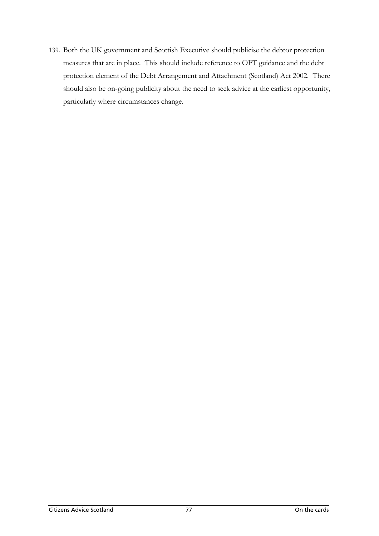139. Both the UK government and Scottish Executive should publicise the debtor protection measures that are in place. This should include reference to OFT guidance and the debt protection element of the Debt Arrangement and Attachment (Scotland) Act 2002. There should also be on-going publicity about the need to seek advice at the earliest opportunity, particularly where circumstances change.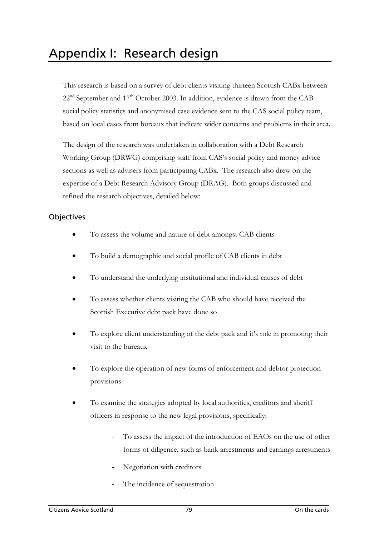This research is based on a survey of debt clients visiting thirteen Scottish CABx between  $22<sup>nd</sup>$  September and  $17<sup>th</sup>$  October 2003. In addition, evidence is drawn from the CAB social policy statistics and anonymised case evidence sent to the CAS social policy team, based on local cases from bureaux that indicate wider concerns and problems in their area.

The design of the research was undertaken in collaboration with a Debt Research Working Group (DRWG) comprising staff from CAS's social policy and money advice sections as well as advisers from participating CABx. The research also drew on the expertise of a Debt Research Advisory Group (DRAG). Both groups discussed and refined the research objectives, detailed below:

### **Objectives**

- To assess the volume and nature of debt amongst CAB clients
- To build a demographic and social profile of CAB clients in debt
- To understand the underlying institutional and individual causes of debt
- To assess whether clients visiting the CAB who should have received the Scottish Executive debt pack have done so
- To explore client understanding of the debt pack and it's role in promoting their visit to the bureaux
- To explore the operation of new forms of enforcement and debtor protection provisions
- To examine the strategies adopted by local authorities, creditors and sheriff officers in response to the new legal provisions, specifically:
	- To assess the impact of the introduction of EAOs on the use of other forms of diligence, such as bank arrestments and earnings arrestments
	- Negotiation with creditors
	- The incidence of sequestration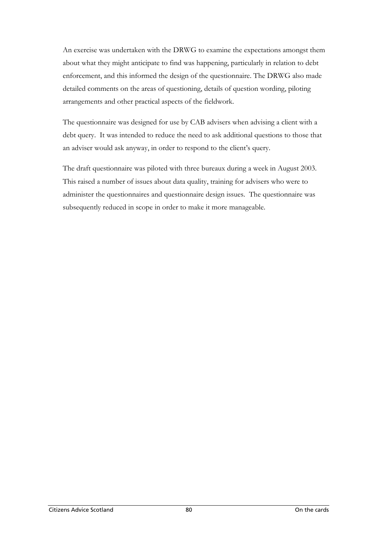An exercise was undertaken with the DRWG to examine the expectations amongst them about what they might anticipate to find was happening, particularly in relation to debt enforcement, and this informed the design of the questionnaire. The DRWG also made detailed comments on the areas of questioning, details of question wording, piloting arrangements and other practical aspects of the fieldwork.

The questionnaire was designed for use by CAB advisers when advising a client with a debt query. It was intended to reduce the need to ask additional questions to those that an adviser would ask anyway, in order to respond to the client's query.

The draft questionnaire was piloted with three bureaux during a week in August 2003. This raised a number of issues about data quality, training for advisers who were to administer the questionnaires and questionnaire design issues. The questionnaire was subsequently reduced in scope in order to make it more manageable.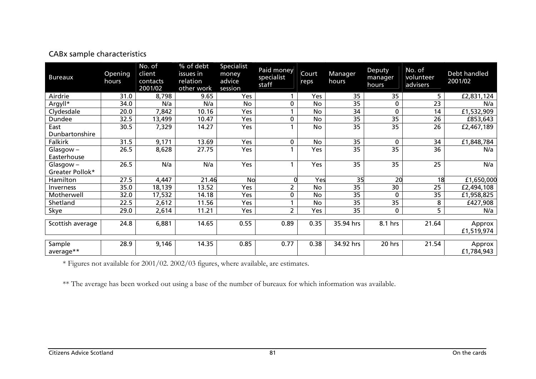| <b>Bureaux</b>                    | Opening<br>hours | No. of<br>client<br>contacts<br>2001/02 | % of debt<br>issues in<br>relation<br>other work | Specialist<br>money<br>advice<br>session | Paid money<br>specialist<br>staff | Court<br>reps | Manager<br>hours | Deputy<br>manager<br>hours | No. of<br>volunteer<br>advisers | Debt handled<br>2001/02 |
|-----------------------------------|------------------|-----------------------------------------|--------------------------------------------------|------------------------------------------|-----------------------------------|---------------|------------------|----------------------------|---------------------------------|-------------------------|
| Airdrie                           | 31.0             | 8,798                                   | 9.65                                             | Yes                                      |                                   | Yes           | 35               | 35                         | 5.                              | £2,831,124              |
| Argyll*                           | 34.0             | N/a                                     | N/a                                              | No                                       | $\Omega$                          | No            | $\overline{35}$  | 0                          | 23                              | N/a                     |
| Clydesdale                        | 20.0             | 7,842                                   | 10.16                                            | Yes                                      |                                   | No            | 34               | $\mathbf{0}$               | 14                              | £1,532,909              |
| Dundee                            | 32.5             | 13,499                                  | 10.47                                            | Yes                                      | 0                                 | No            | 35               | 35                         | 26                              | £853,643                |
| East<br>Dunbartonshire            | 30.5             | 7,329                                   | 14.27                                            | Yes                                      |                                   | No            | 35               | 35                         | 26                              | £2,467,189              |
| Falkirk                           | 31.5             | 9,171                                   | 13.69                                            | Yes                                      | 0                                 | <b>No</b>     | 35               | $\mathbf{0}$               | 34                              | £1,848,784              |
| Glasgow-<br>Easterhouse           | 26.5             | 8,628                                   | 27.75                                            | Yes                                      |                                   | Yes           | 35               | 35                         | 36                              | N/a                     |
| $G$ lasgow $-$<br>Greater Pollok* | 26.5             | N/a                                     | N/a                                              | Yes                                      |                                   | Yes           | 35               | 35                         | 25                              | N/a                     |
| Hamilton                          | 27.5             | 4,447                                   | 21.46                                            | <b>No</b>                                |                                   | Yes           | 35               | 20                         | 18                              | £1,650,000              |
| <b>Inverness</b>                  | 35.0             | 18,139                                  | 13.52                                            | Yes                                      | 2                                 | No            | 35               | 30                         | 25                              | £2,494,108              |
| Motherwell                        | 32.0             | 17,532                                  | 14.18                                            | Yes                                      | 0                                 | No            | 35               | 0                          | 35                              | £1,958,825              |
| Shetland                          | 22.5             | 2,612                                   | 11.56                                            | Yes                                      |                                   | No            | 35               | 35                         | 8                               | £427,908                |
| Skye                              | 29.0             | 2,614                                   | 11.21                                            | Yes                                      | 2                                 | Yes           | 35               | 0                          | 5                               | N/a                     |
| Scottish average                  | 24.8             | 6,881                                   | 14.65                                            | 0.55                                     | 0.89                              | 0.35          | 35.94 hrs        | 8.1 hrs                    | 21.64                           | Approx<br>£1,519,974    |
| Sample<br>average**               | 28.9             | 9,146                                   | 14.35                                            | 0.85                                     | 0.77                              | 0.38          | 34.92 hrs        | 20 hrs                     | 21.54                           | Approx<br>£1,784,943    |

## CABx sample characteristics

\* Figures not available for 2001/02. 2002/03 figures, where available, are estimates.

\*\* The average has been worked out using a base of the number of bureaux for which information was available.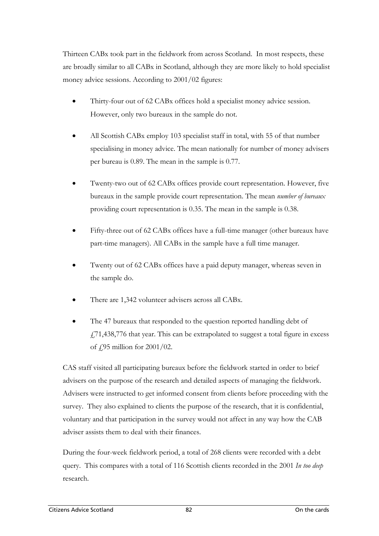Thirteen CABx took part in the fieldwork from across Scotland. In most respects, these are broadly similar to all CABx in Scotland, although they are more likely to hold specialist money advice sessions. According to 2001/02 figures:

- Thirty-four out of 62 CABx offices hold a specialist money advice session. However, only two bureaux in the sample do not.
- All Scottish CABx employ 103 specialist staff in total, with 55 of that number specialising in money advice. The mean nationally for number of money advisers per bureau is 0.89. The mean in the sample is 0.77.
- Twenty-two out of 62 CABx offices provide court representation. However, five bureaux in the sample provide court representation. The mean *number of bureaux* providing court representation is 0.35. The mean in the sample is 0.38.
- Fifty-three out of 62 CABx offices have a full-time manager (other bureaux have part-time managers). All CABx in the sample have a full time manager.
- Twenty out of 62 CABx offices have a paid deputy manager, whereas seven in the sample do.
- There are 1,342 volunteer advisers across all CABx.
- The 47 bureaux that responded to the question reported handling debt of  $\frac{1771}{438,776}$  that year. This can be extrapolated to suggest a total figure in excess of £95 million for 2001/02.

CAS staff visited all participating bureaux before the fieldwork started in order to brief advisers on the purpose of the research and detailed aspects of managing the fieldwork. Advisers were instructed to get informed consent from clients before proceeding with the survey. They also explained to clients the purpose of the research, that it is confidential, voluntary and that participation in the survey would not affect in any way how the CAB adviser assists them to deal with their finances.

During the four-week fieldwork period, a total of 268 clients were recorded with a debt query. This compares with a total of 116 Scottish clients recorded in the 2001 *In too deep* research.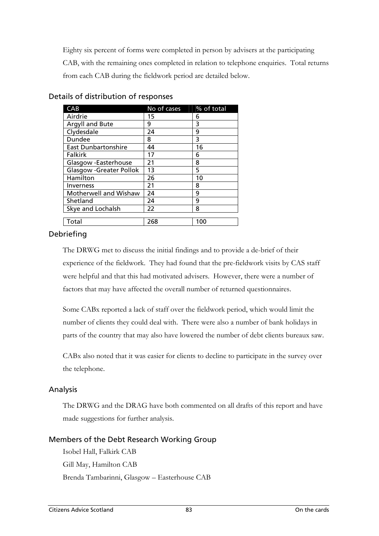Eighty six percent of forms were completed in person by advisers at the participating CAB, with the remaining ones completed in relation to telephone enquiries. Total returns from each CAB during the fieldwork period are detailed below.

| CAB                            | No of cases | % of total |
|--------------------------------|-------------|------------|
| Airdrie                        | 15          | 6          |
| Argyll and Bute                | 9           | 3          |
| Clydesdale                     | 24          | 9          |
| Dundee                         | 8           | 3          |
| <b>East Dunbartonshire</b>     | 44          | 16         |
| <b>Falkirk</b>                 | 17          | 6          |
| Glasgow -Easterhouse           | 21          | 8          |
| <b>Glasgow -Greater Pollok</b> | 13          | 5          |
| Hamilton                       | 26          | 10         |
| Inverness                      | 21          | 8          |
| Motherwell and Wishaw          | 24          | 9          |
| Shetland                       | 24          | 9          |
| Skye and Lochalsh              | 22          | 8          |
| Total                          | 268         | 100        |

Details of distribution of responses

#### Debriefing

The DRWG met to discuss the initial findings and to provide a de-brief of their experience of the fieldwork. They had found that the pre-fieldwork visits by CAS staff were helpful and that this had motivated advisers. However, there were a number of factors that may have affected the overall number of returned questionnaires.

Some CABx reported a lack of staff over the fieldwork period, which would limit the number of clients they could deal with. There were also a number of bank holidays in parts of the country that may also have lowered the number of debt clients bureaux saw.

CABx also noted that it was easier for clients to decline to participate in the survey over the telephone.

#### Analysis

The DRWG and the DRAG have both commented on all drafts of this report and have made suggestions for further analysis.

#### Members of the Debt Research Working Group

Isobel Hall, Falkirk CAB Gill May, Hamilton CAB Brenda Tambarinni, Glasgow – Easterhouse CAB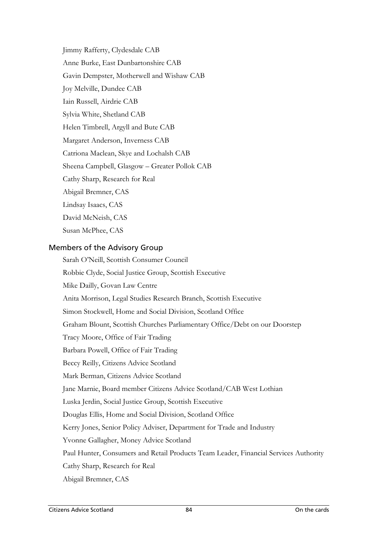Jimmy Rafferty, Clydesdale CAB Anne Burke, East Dunbartonshire CAB Gavin Dempster, Motherwell and Wishaw CAB Joy Melville, Dundee CAB Iain Russell, Airdrie CAB Sylvia White, Shetland CAB Helen Timbrell, Argyll and Bute CAB Margaret Anderson, Inverness CAB Catriona Maclean, Skye and Lochalsh CAB Sheena Campbell, Glasgow – Greater Pollok CAB Cathy Sharp, Research for Real Abigail Bremner, CAS Lindsay Isaacs, CAS David McNeish, CAS Susan McPhee, CAS

Members of the Advisory Group

Sarah O'Neill, Scottish Consumer Council Robbie Clyde, Social Justice Group, Scottish Executive Mike Dailly, Govan Law Centre Anita Morrison, Legal Studies Research Branch, Scottish Executive Simon Stockwell, Home and Social Division, Scotland Office Graham Blount, Scottish Churches Parliamentary Office/Debt on our Doorstep Tracy Moore, Office of Fair Trading Barbara Powell, Office of Fair Trading Beccy Reilly, Citizens Advice Scotland Mark Berman, Citizens Advice Scotland Jane Marnie, Board member Citizens Advice Scotland/CAB West Lothian Luska Jerdin, Social Justice Group, Scottish Executive Douglas Ellis, Home and Social Division, Scotland Office Kerry Jones, Senior Policy Adviser, Department for Trade and Industry Yvonne Gallagher, Money Advice Scotland Paul Hunter, Consumers and Retail Products Team Leader, Financial Services Authority Cathy Sharp, Research for Real Abigail Bremner, CAS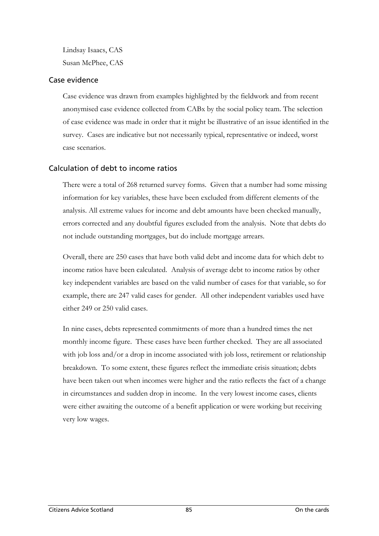Lindsay Isaacs, CAS Susan McPhee, CAS

#### Case evidence

Case evidence was drawn from examples highlighted by the fieldwork and from recent anonymised case evidence collected from CABx by the social policy team. The selection of case evidence was made in order that it might be illustrative of an issue identified in the survey. Cases are indicative but not necessarily typical, representative or indeed, worst case scenarios.

### Calculation of debt to income ratios

There were a total of 268 returned survey forms. Given that a number had some missing information for key variables, these have been excluded from different elements of the analysis. All extreme values for income and debt amounts have been checked manually, errors corrected and any doubtful figures excluded from the analysis. Note that debts do not include outstanding mortgages, but do include mortgage arrears.

Overall, there are 250 cases that have both valid debt and income data for which debt to income ratios have been calculated. Analysis of average debt to income ratios by other key independent variables are based on the valid number of cases for that variable, so for example, there are 247 valid cases for gender. All other independent variables used have either 249 or 250 valid cases.

In nine cases, debts represented commitments of more than a hundred times the net monthly income figure. These cases have been further checked. They are all associated with job loss and/or a drop in income associated with job loss, retirement or relationship breakdown. To some extent, these figures reflect the immediate crisis situation; debts have been taken out when incomes were higher and the ratio reflects the fact of a change in circumstances and sudden drop in income. In the very lowest income cases, clients were either awaiting the outcome of a benefit application or were working but receiving very low wages.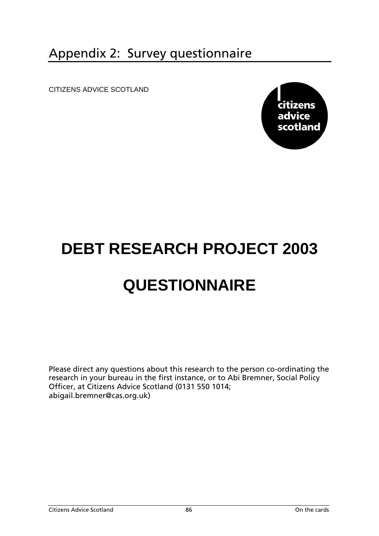## Appendix 2: Survey questionnaire

CITIZENS ADVICE SCOTLAND



# **DEBT RESEARCH PROJECT 2003 QUESTIONNAIRE**

Please direct any questions about this research to the person co-ordinating the research in your bureau in the first instance, or to Abi Bremner, Social Policy Officer, at Citizens Advice Scotland (0131 550 1014; abigail.bremner@cas.org.uk)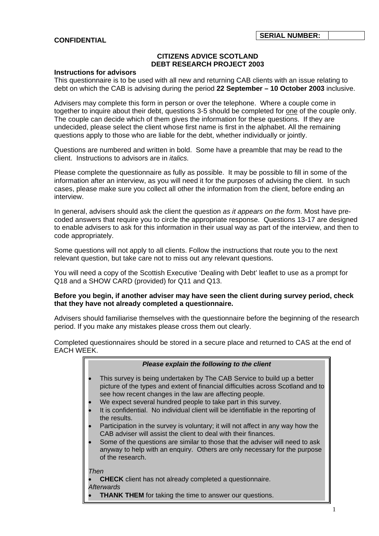#### **CONFIDENTIAL**

#### **CITIZENS ADVICE SCOTLAND DEBT RESEARCH PROJECT 2003**

#### **Instructions for advisors**

This questionnaire is to be used with all new and returning CAB clients with an issue relating to debt on which the CAB is advising during the period **22 September – 10 October 2003** inclusive.

Advisers may complete this form in person or over the telephone. Where a couple come in together to inquire about their debt, questions 3-5 should be completed for one of the couple only. The couple can decide which of them gives the information for these questions. If they are undecided, please select the client whose first name is first in the alphabet. All the remaining questions apply to those who are liable for the debt, whether individually or jointly.

Questions are numbered and written in bold. Some have a preamble that may be read to the client. Instructions to advisors are in *italics.*

Please complete the questionnaire as fully as possible. It may be possible to fill in some of the information after an interview, as you will need it for the purposes of advising the client. In such cases, please make sure you collect all other the information from the client, before ending an interview.

In general, advisers should ask the client the question *as it appears on the form*. Most have precoded answers that require you to circle the appropriate response. Questions 13-17 are designed to enable advisers to ask for this information in their usual way as part of the interview, and then to code appropriately.

Some questions will not apply to all clients. Follow the instructions that route you to the next relevant question, but take care not to miss out any relevant questions.

You will need a copy of the Scottish Executive 'Dealing with Debt' leaflet to use as a prompt for Q18 and a SHOW CARD (provided) for Q11 and Q13.

#### **Before you begin, if another adviser may have seen the client during survey period, check that they have not already completed a questionnaire.**

Advisers should familiarise themselves with the questionnaire before the beginning of the research period. If you make any mistakes please cross them out clearly.

Completed questionnaires should be stored in a secure place and returned to CAS at the end of EACH WEEK.

| Please explain the following to the client                                                                                                                                                                                                                                                                                                                                                                                                                                                                                                                                                                                                                                                                                          |
|-------------------------------------------------------------------------------------------------------------------------------------------------------------------------------------------------------------------------------------------------------------------------------------------------------------------------------------------------------------------------------------------------------------------------------------------------------------------------------------------------------------------------------------------------------------------------------------------------------------------------------------------------------------------------------------------------------------------------------------|
| This survey is being undertaken by The CAB Service to build up a better<br>picture of the types and extent of financial difficulties across Scotland and to<br>see how recent changes in the law are affecting people.<br>We expect several hundred people to take part in this survey.<br>It is confidential. No individual client will be identifiable in the reporting of<br>the results.<br>Participation in the survey is voluntary; it will not affect in any way how the<br>CAB adviser will assist the client to deal with their finances.<br>Some of the questions are similar to those that the adviser will need to ask<br>anyway to help with an enquiry. Others are only necessary for the purpose<br>of the research. |
| Then                                                                                                                                                                                                                                                                                                                                                                                                                                                                                                                                                                                                                                                                                                                                |
| <b>CHECK</b> client has not already completed a questionnaire.<br>Afterwards                                                                                                                                                                                                                                                                                                                                                                                                                                                                                                                                                                                                                                                        |
| <b>THANK THEM</b> for taking the time to answer our questions.                                                                                                                                                                                                                                                                                                                                                                                                                                                                                                                                                                                                                                                                      |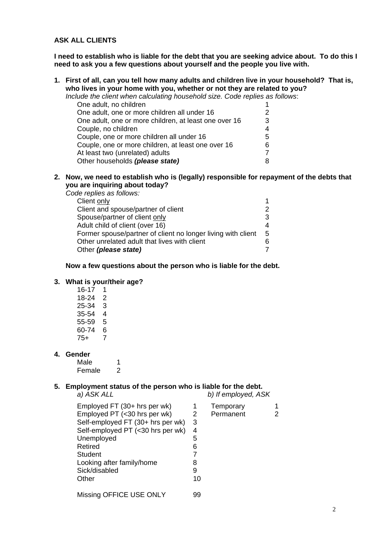#### **ASK ALL CLIENTS**

**I need to establish who is liable for the debt that you are seeking advice about. To do this I need to ask you a few questions about yourself and the people you live with.** 

**1. First of all, can you tell how many adults and children live in your household? That is, who lives in your home with you, whether or not they are related to you?** 

*Include the client when calculating household size. Code replies as follows*:

| One adult, no children                                |    |
|-------------------------------------------------------|----|
| One adult, one or more children all under 16          | 2. |
| One adult, one or more children, at least one over 16 | 3  |
| Couple, no children                                   |    |
| Couple, one or more children all under 16             | 5  |
| Couple, one or more children, at least one over 16    | 6  |
| At least two (unrelated) adults                       |    |
| Other households (please state)                       |    |

**2. Now, we need to establish who is (legally) responsible for repayment of the debts that you are inquiring about today?**  *Code replies as follows:* 

| ie repiles as follows.                                       |             |
|--------------------------------------------------------------|-------------|
| Client only                                                  |             |
| Client and spouse/partner of client                          |             |
| Spouse/partner of client only                                |             |
| Adult child of client (over 16)                              |             |
| Former spouse/partner of client no longer living with client | $5^{\circ}$ |
| Other unrelated adult that lives with client                 |             |
| Other ( <i>please state</i> )                                |             |
|                                                              |             |

#### **Now a few questions about the person who is liable for the debt.**

#### **3. What is your/their age?**

 $16-17$  1 18-24 2 25-34 3 35-54 4 55-59 5 60-74 6 75+ 7

#### **4. Gender**

Male 1 Female 2

#### **5. Employment status of the person who is liable for the debt.**

*a) ASK ALL b) If employed, ASK* 

| Employed FT (30+ hrs per wk)      |    | Temporary |  |
|-----------------------------------|----|-----------|--|
| Employed PT (<30 hrs per wk)      | 2  | Permanent |  |
| Self-employed FT (30+ hrs per wk) | 3  |           |  |
| Self-employed PT (<30 hrs per wk) | 4  |           |  |
| Unemployed                        | 5  |           |  |
| Retired                           | 6  |           |  |
| Student                           |    |           |  |
| Looking after family/home         | 8  |           |  |
| Sick/disabled                     | 9  |           |  |
| Other                             | 10 |           |  |
| Missing OFFICE USE ONLY           | 99 |           |  |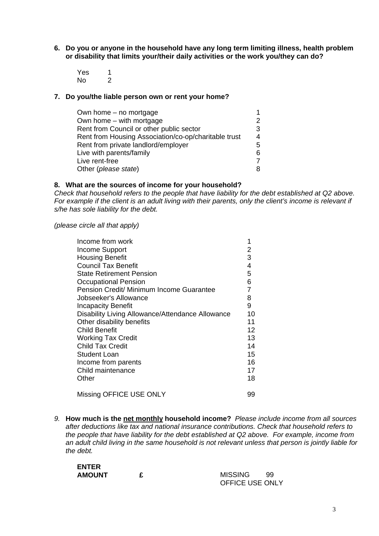- **6. Do you or anyone in the household have any long term limiting illness, health problem or disability that limits your/their daily activities or the work you/they can do?** 
	- Yes 1 No 2

#### **7. Do you/the liable person own or rent your home?**

| Own home – no mortgage                               |   |
|------------------------------------------------------|---|
| Own home – with mortgage                             |   |
| Rent from Council or other public sector             | 3 |
| Rent from Housing Association/co-op/charitable trust | 4 |
| Rent from private landlord/employer                  | 5 |
| Live with parents/family                             | 6 |
| Live rent-free                                       |   |
| Other (please state)                                 |   |

#### **8. What are the sources of income for your household?**

*Check that household refers to the people that have liability for the debt established at Q2 above. For example if the client is an adult living with their parents, only the client's income is relevant if s/he has sole liability for the debt.* 

*(please circle all that apply)* 

| Income from work                                 | 1  |
|--------------------------------------------------|----|
| Income Support                                   | 2  |
| <b>Housing Benefit</b>                           | 3  |
| <b>Council Tax Benefit</b>                       | 4  |
| <b>State Retirement Pension</b>                  | 5  |
| <b>Occupational Pension</b>                      | 6  |
| Pension Credit/ Minimum Income Guarantee         | 7  |
| Jobseeker's Allowance                            | 8  |
| <b>Incapacity Benefit</b>                        | 9  |
| Disability Living Allowance/Attendance Allowance | 10 |
| Other disability benefits                        | 11 |
| <b>Child Benefit</b>                             | 12 |
| <b>Working Tax Credit</b>                        | 13 |
| <b>Child Tax Credit</b>                          | 14 |
| Student Loan                                     | 15 |
| Income from parents                              | 16 |
| Child maintenance                                | 17 |
| Other                                            | 18 |
| Missing OFFICE USE ONLY                          | 99 |

*9.* **How much is the net monthly household income?** *Please include income from all sources after deductions like tax and national insurance contributions. Check that household refers to the people that have liability for the debt established at Q2 above. For example, income from an adult child living in the same household is not relevant unless that person is jointly liable for the debt.* 

| <b>ENTER</b>  |  |
|---------------|--|
| <b>AMOUNT</b> |  |

**AMOUNT £** MISSING 99 OFFICE USE ONLY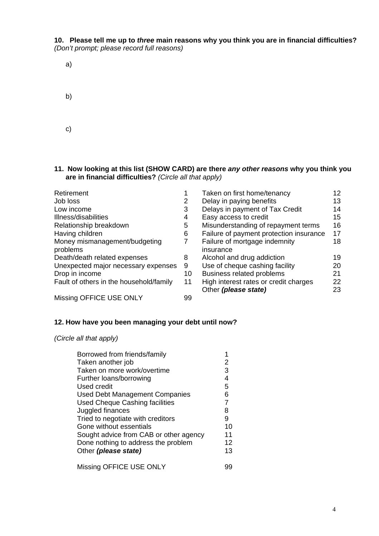**10. Please tell me up to** *three* **main reasons why you think you are in financial difficulties?**  *(Don't prompt; please record full reasons)*

| a) |  |  |  |
|----|--|--|--|
| b) |  |  |  |
| c) |  |  |  |

#### **11. Now looking at this list (SHOW CARD) are there** *any other reasons* **why you think you are in financial difficulties?** *(Circle all that apply)*

| Retirement                                |    | Taken on first home/tenancy                                   | 12       |
|-------------------------------------------|----|---------------------------------------------------------------|----------|
| Job loss                                  | 2  | Delay in paying benefits                                      | 13       |
| Low income                                | 3  | Delays in payment of Tax Credit                               | 14       |
| Illness/disabilities                      | 4  | Easy access to credit                                         | 15       |
| Relationship breakdown                    | 5  | Misunderstanding of repayment terms                           | 16       |
| Having children                           | 6  | Failure of payment protection insurance                       | 17       |
| Money mismanagement/budgeting<br>problems |    | Failure of mortgage indemnity<br>insurance                    | 18       |
| Death/death related expenses              | 8  | Alcohol and drug addiction                                    | 19       |
| Unexpected major necessary expenses       | 9  | Use of cheque cashing facility                                | 20       |
| Drop in income                            | 10 | Business related problems                                     | 21       |
| Fault of others in the household/family   | 11 | High interest rates or credit charges<br>Other (please state) | 22<br>23 |
| Missing OFFICE USE ONLY                   | 99 |                                                               |          |

#### **12. How have you been managing your debt until now?**

*(Circle all that apply)* 

| Borrowed from friends/family           |    |
|----------------------------------------|----|
| Taken another job                      | 2  |
| Taken on more work/overtime            | 3  |
| Further loans/borrowing                | 4  |
| Used credit                            | 5  |
| <b>Used Debt Management Companies</b>  | 6  |
| <b>Used Cheque Cashing facilities</b>  | 7  |
| Juggled finances                       | 8  |
| Tried to negotiate with creditors      | 9  |
| Gone without essentials                | 10 |
| Sought advice from CAB or other agency | 11 |
| Done nothing to address the problem    | 12 |
| Other (please state)                   | 13 |
| Missing OFFICE USE ONLY                | yu |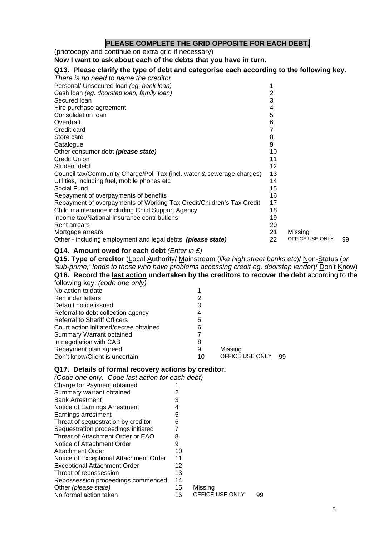#### **PLEASE COMPLETE THE GRID OPPOSITE FOR EACH DEBT.**

(photocopy and continue on extra grid if necessary)

**Now I want to ask about each of the debts that you have in turn.** 

#### **Q13. Please clarify the type of debt and categorise each according to the following key.**

| There is no need to name the creditor                                                                                                                                                                                                                                       |                      |                 |    |
|-----------------------------------------------------------------------------------------------------------------------------------------------------------------------------------------------------------------------------------------------------------------------------|----------------------|-----------------|----|
| Personal/ Unsecured loan (eg. bank loan)                                                                                                                                                                                                                                    |                      |                 |    |
| Cash loan (eg. doorstep loan, family loan)                                                                                                                                                                                                                                  | 2                    |                 |    |
| Secured Ioan                                                                                                                                                                                                                                                                | 3                    |                 |    |
| Hire purchase agreement                                                                                                                                                                                                                                                     | 4                    |                 |    |
| Consolidation Ioan                                                                                                                                                                                                                                                          | 5                    |                 |    |
| Overdraft                                                                                                                                                                                                                                                                   | 6                    |                 |    |
| Credit card                                                                                                                                                                                                                                                                 |                      |                 |    |
| Store card                                                                                                                                                                                                                                                                  | 8                    |                 |    |
| Catalogue                                                                                                                                                                                                                                                                   | 9                    |                 |    |
| Other consumer debt (please state)                                                                                                                                                                                                                                          | 10                   |                 |    |
| Credit Union                                                                                                                                                                                                                                                                | 11                   |                 |    |
| Student debt                                                                                                                                                                                                                                                                | 12                   |                 |    |
| Council tax/Community Charge/Poll Tax (incl. water & sewerage charges)                                                                                                                                                                                                      | 13                   |                 |    |
| Utilities, including fuel, mobile phones etc.                                                                                                                                                                                                                               | 14                   |                 |    |
| Social Fund                                                                                                                                                                                                                                                                 | 15                   |                 |    |
| Repayment of overpayments of benefits                                                                                                                                                                                                                                       | 16                   |                 |    |
|                                                                                                                                                                                                                                                                             | 17                   |                 |    |
|                                                                                                                                                                                                                                                                             |                      |                 |    |
|                                                                                                                                                                                                                                                                             |                      |                 |    |
|                                                                                                                                                                                                                                                                             |                      |                 |    |
|                                                                                                                                                                                                                                                                             |                      |                 |    |
|                                                                                                                                                                                                                                                                             | 22                   | OFFICE USE ONLY | 99 |
| Repayment of overpayments of Working Tax Credit/Children's Tax Credit<br>Child maintenance including Child Support Agency<br>Income tax/National Insurance contributions<br>Rent arrears<br>Mortgage arrears<br>Other - including employment and legal debts (please state) | 18<br>19<br>20<br>21 | Missing         |    |

#### **Q14. Amount owed for each debt** *(Enter in £)*

**Q15. Type of creditor** (Local Authority/ Mainstream (*like high street banks etc*)/ Non-Status (*or 'sub-prime,' lends to those who have problems accessing credit eg. doorstep lender*)/ Don't Know) **Q16. Record the last action undertaken by the creditors to recover the debt** according to the following key: *(code one only)*

| 2  |                 |    |
|----|-----------------|----|
| З  |                 |    |
| 4  |                 |    |
| 5  |                 |    |
| 6  |                 |    |
|    |                 |    |
| 8  |                 |    |
| 9  | Missing         |    |
| 10 | OFFICE USE ONLY | 99 |
|    |                 |    |

#### **Q17. Details of formal recovery actions by creditor.**

*(Code one only. Code last action for each debt)* 

| Charge for Payment obtained            |    |                 |    |
|----------------------------------------|----|-----------------|----|
| Summary warrant obtained               | 2  |                 |    |
| <b>Bank Arrestment</b>                 | 3  |                 |    |
| Notice of Earnings Arrestment          | 4  |                 |    |
| Earnings arrestment                    | 5  |                 |    |
| Threat of sequestration by creditor    | 6  |                 |    |
| Sequestration proceedings initiated    |    |                 |    |
| Threat of Attachment Order or EAO      | 8  |                 |    |
| Notice of Attachment Order             | 9  |                 |    |
| Attachment Order                       | 10 |                 |    |
| Notice of Exceptional Attachment Order | 11 |                 |    |
| <b>Exceptional Attachment Order</b>    | 12 |                 |    |
| Threat of repossession                 | 13 |                 |    |
| Repossession proceedings commenced     | 14 |                 |    |
| Other (please state)                   | 15 | Missing         |    |
| No formal action taken                 | 16 | OFFICE USE ONLY | 99 |
|                                        |    |                 |    |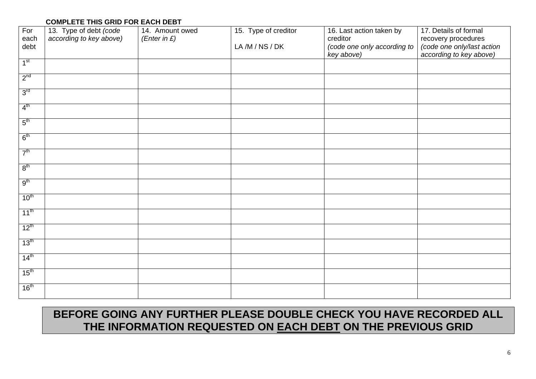#### **COMPLETE THIS GRID FOR EACH DEBT**

| For              | 13. Type of debt (code  | 14. Amount owed | 15. Type of creditor<br>16. Last action taken by |                                           | 17. Details of formal                                 |
|------------------|-------------------------|-----------------|--------------------------------------------------|-------------------------------------------|-------------------------------------------------------|
| each             | according to key above) | (Enter in $E$ ) |                                                  | creditor                                  | recovery procedures                                   |
| debt             |                         |                 | LA/M/NS/DK                                       | (code one only according to<br>key above) | (code one only/last action<br>according to key above) |
| 1 <sup>st</sup>  |                         |                 |                                                  |                                           |                                                       |
|                  |                         |                 |                                                  |                                           |                                                       |
| 2 <sup>nd</sup>  |                         |                 |                                                  |                                           |                                                       |
| 3 <sup>rd</sup>  |                         |                 |                                                  |                                           |                                                       |
| 4 <sup>th</sup>  |                         |                 |                                                  |                                           |                                                       |
| 5 <sup>th</sup>  |                         |                 |                                                  |                                           |                                                       |
| 6 <sup>th</sup>  |                         |                 |                                                  |                                           |                                                       |
| 7 <sup>th</sup>  |                         |                 |                                                  |                                           |                                                       |
| 8 <sup>th</sup>  |                         |                 |                                                  |                                           |                                                       |
|                  |                         |                 |                                                  |                                           |                                                       |
| 9 <sup>th</sup>  |                         |                 |                                                  |                                           |                                                       |
| $10^{\text{th}}$ |                         |                 |                                                  |                                           |                                                       |
| $11^{\text{th}}$ |                         |                 |                                                  |                                           |                                                       |
| $12^{th}$        |                         |                 |                                                  |                                           |                                                       |
| $13^{\text{th}}$ |                         |                 |                                                  |                                           |                                                       |
| 14 <sup>th</sup> |                         |                 |                                                  |                                           |                                                       |
| 15 <sup>th</sup> |                         |                 |                                                  |                                           |                                                       |
| 16 <sup>th</sup> |                         |                 |                                                  |                                           |                                                       |

## **BEFORE GOING ANY FURTHER PLEASE DOUBLE CHECK YOU HAVE RECORDED ALL THE INFORMATION REQUESTED ON EACH DEBT ON THE PREVIOUS GRID**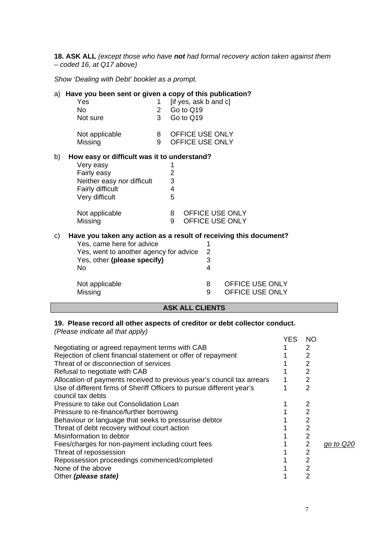**18. ASK ALL** *(except those who have not had formal recovery action taken against them – coded 16, at Q17 above)*

*Show 'Dealing with Debt' booklet as a prompt.* 

|    | a) Have you been sent or given a copy of this publication?        |                |                |                        |                         |                        |
|----|-------------------------------------------------------------------|----------------|----------------|------------------------|-------------------------|------------------------|
|    | Yes                                                               | 1              |                | [if yes, ask b and c]  |                         |                        |
|    | <b>No</b>                                                         | $\overline{2}$ |                | Go to Q19              |                         |                        |
|    | Not sure                                                          | $\overline{3}$ |                | Go to Q19              |                         |                        |
|    | Not applicable                                                    | 8              |                | OFFICE USE ONLY        |                         |                        |
|    | Missing                                                           | 9              |                | OFFICE USE ONLY        |                         |                        |
| b) | How easy or difficult was it to understand?                       |                |                |                        |                         |                        |
|    | Very easy                                                         |                | 1              |                        |                         |                        |
|    | Fairly easy                                                       |                | $\overline{2}$ |                        |                         |                        |
|    | Neither easy nor difficult                                        |                | 3              |                        |                         |                        |
|    | Fairly difficult                                                  |                | $\overline{4}$ |                        |                         |                        |
|    | Very difficult                                                    |                | 5              |                        |                         |                        |
|    | Not applicable                                                    |                | 8              |                        |                         | <b>OFFICE USE ONLY</b> |
|    | Missing                                                           |                | 9              |                        |                         | <b>OFFICE USE ONLY</b> |
| c) | Have you taken any action as a result of receiving this document? |                |                |                        |                         |                        |
|    | Yes, came here for advice                                         |                |                |                        |                         |                        |
|    | Yes, went to another agency for advice                            |                |                |                        | 2                       |                        |
|    | Yes, other (please specify)                                       |                |                |                        | 3                       |                        |
|    | <b>No</b>                                                         |                |                |                        | $\overline{\mathbf{4}}$ |                        |
|    | Not applicable                                                    |                |                |                        | 8                       | OFFICE USE ONLY        |
|    | Missing                                                           |                |                |                        | 9                       | OFFICE USE ONLY        |
|    |                                                                   |                |                | <b>ASK ALL CLIENTS</b> |                         |                        |
|    |                                                                   |                |                |                        |                         |                        |

#### **19. Please record all other aspects of creditor or debt collector conduct.**  *(Please indicate all that apply)*

|                                                                        | <b>YES</b> | NO             |                  |
|------------------------------------------------------------------------|------------|----------------|------------------|
| Negotiating or agreed repayment terms with CAB                         |            | 2              |                  |
| Rejection of client financial statement or offer of repayment          |            | 2              |                  |
| Threat of or disconnection of services                                 |            | 2              |                  |
| Refusal to negotiate with CAB                                          |            | 2              |                  |
| Allocation of payments received to previous year's council tax arrears |            | 2              |                  |
| Use of different firms of Sheriff Officers to pursue different year's  |            | 2              |                  |
| council tax debts                                                      |            |                |                  |
| Pressure to take out Consolidation Loan                                |            | 2              |                  |
| Pressure to re-finance/further borrowing                               |            | $\overline{2}$ |                  |
| Behaviour or language that seeks to pressurise debtor                  |            | 2              |                  |
| Threat of debt recovery without court action                           |            | 2              |                  |
| Misinformation to debtor                                               |            | 2              |                  |
| Fees/charges for non-payment including court fees                      |            | 2              | <u>go to Q20</u> |
| Threat of repossession                                                 |            | 2              |                  |
| Repossession proceedings commenced/completed                           |            | 2              |                  |
| None of the above                                                      |            | 2              |                  |
| Other (please state)                                                   |            | 2              |                  |
|                                                                        |            |                |                  |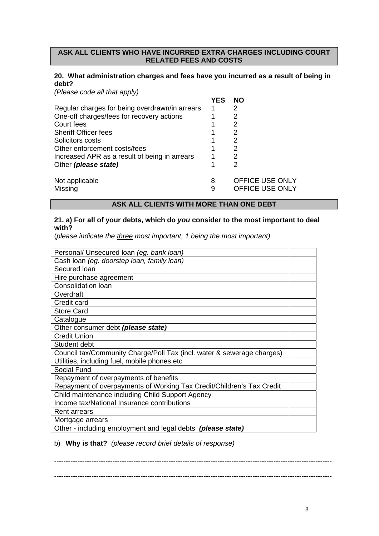#### **ASK ALL CLIENTS WHO HAVE INCURRED EXTRA CHARGES INCLUDING COURT RELATED FEES AND COSTS**

#### **20. What administration charges and fees have you incurred as a result of being in debt?**

*(Please code all that apply)* 

|                                                | YES | NΟ              |
|------------------------------------------------|-----|-----------------|
| Regular charges for being overdrawn/in arrears |     | 2               |
| One-off charges/fees for recovery actions      |     | 2               |
| Court fees                                     |     | 2               |
| <b>Sheriff Officer fees</b>                    |     | 2               |
| Solicitors costs                               |     | 2               |
| Other enforcement costs/fees                   |     | 2               |
| Increased APR as a result of being in arrears  |     | 2               |
| Other (please state)                           |     | 2               |
| Not applicable                                 | 8   | OFFICE USE ONLY |
| Missing                                        | 9   | OFFICE USE ONLY |

#### **ASK ALL CLIENTS WITH MORE THAN ONE DEBT**

#### **21. a) For all of your debts, which do** *you* **consider to the most important to deal with?**

(*please indicate the three most important, 1 being the most important)* 

| Personal/ Unsecured Ioan (eg. bank Ioan)                               |  |
|------------------------------------------------------------------------|--|
| Cash loan (eg. doorstep loan, family loan)                             |  |
| Secured loan                                                           |  |
| Hire purchase agreement                                                |  |
| Consolidation loan                                                     |  |
| Overdraft                                                              |  |
| Credit card                                                            |  |
| <b>Store Card</b>                                                      |  |
| Catalogue                                                              |  |
| Other consumer debt (please state)                                     |  |
| <b>Credit Union</b>                                                    |  |
| Student debt                                                           |  |
| Council tax/Community Charge/Poll Tax (incl. water & sewerage charges) |  |
| Utilities, including fuel, mobile phones etc                           |  |
| Social Fund                                                            |  |
| Repayment of overpayments of benefits                                  |  |
| Repayment of overpayments of Working Tax Credit/Children's Tax Credit  |  |
| Child maintenance including Child Support Agency                       |  |
| Income tax/National Insurance contributions                            |  |
| Rent arrears                                                           |  |
| Mortgage arrears                                                       |  |
| Other - including employment and legal debts (please state)            |  |

b) **Why is that?** *(please record brief details of response)*

----------------------------------------------------------------------------------------------------------------------- -----------------------------------------------------------------------------------------------------------------------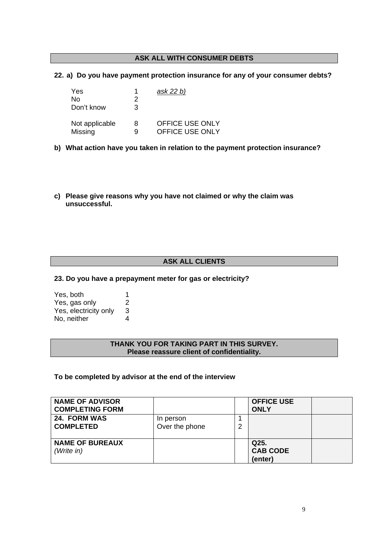#### **ASK ALL WITH CONSUMER DEBTS**

#### **22. a) Do you have payment protection insurance for any of your consumer debts?**

| <b>Yes</b>     |   | ask 22 b)              |
|----------------|---|------------------------|
| No             | 2 |                        |
| Don't know     | 3 |                        |
| Not applicable | 8 | <b>OFFICE USE ONLY</b> |
| Missing        | 9 | <b>OFFICE USE ONLY</b> |

- **b) What action have you taken in relation to the payment protection insurance?**
- **c) Please give reasons why you have not claimed or why the claim was unsuccessful.**

#### **ASK ALL CLIENTS**

#### **23. Do you have a prepayment meter for gas or electricity?**

| Yes, both             | 1 |
|-----------------------|---|
| Yes, gas only         | 2 |
| Yes, electricity only | 3 |
| No, neither           | 4 |

#### **THANK YOU FOR TAKING PART IN THIS SURVEY. Please reassure client of confidentiality.**

#### **To be completed by advisor at the end of the interview**

| <b>NAME OF ADVISOR</b><br><b>COMPLETING FORM</b> |                             |   | <b>OFFICE USE</b><br><b>ONLY</b>   |  |
|--------------------------------------------------|-----------------------------|---|------------------------------------|--|
| 24. FORM WAS<br><b>COMPLETED</b>                 | In person<br>Over the phone | ົ |                                    |  |
| <b>NAME OF BUREAUX</b><br>(Write in)             |                             |   | Q25.<br><b>CAB CODE</b><br>(enter) |  |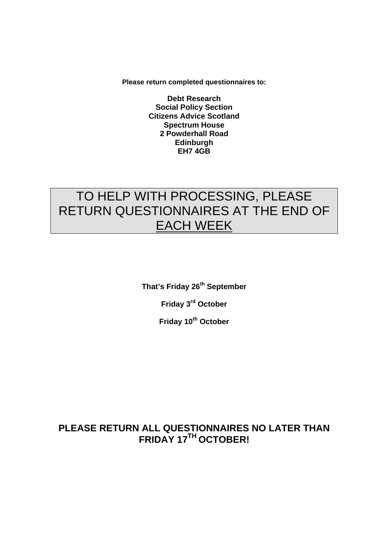**Please return completed questionnaires to:** 

**Debt Research Social Policy Section Citizens Advice Scotland Spectrum House 2 Powderhall Road Edinburgh EH7 4GB**

# TO HELP WITH PROCESSING, PLEASE RETURN QUESTIONNAIRES AT THE END OF EACH WEEK

**That's Friday 26th September** 

**Friday 3rd October** 

**Friday 10th October**

## **PLEASE RETURN ALL QUESTIONNAIRES NO LATER THAN FRIDAY 17TH OCTOBER!**